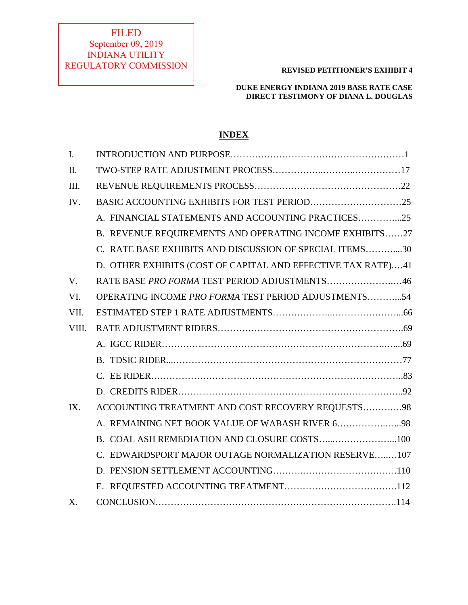# FILED September 09, 2019 INDIANA UTILITY REGULATORY COMMISSION

## **REVISED PETITIONER'S EXHIBIT 4**

# **DUKE ENERGY INDIANA 2019 BASE RATE CASE DIRECT TESTIMONY OF DIANA L. DOUGLAS**

# **INDEX**

| $\mathbf{I}$ . |                                                              |  |
|----------------|--------------------------------------------------------------|--|
| II.            |                                                              |  |
| III.           |                                                              |  |
| IV.            |                                                              |  |
|                | A. FINANCIAL STATEMENTS AND ACCOUNTING PRACTICES25           |  |
|                | B. REVENUE REQUIREMENTS AND OPERATING INCOME EXHIBITS27      |  |
|                | C. RATE BASE EXHIBITS AND DISCUSSION OF SPECIAL ITEMS30      |  |
|                | D. OTHER EXHIBITS (COST OF CAPITAL AND EFFECTIVE TAX RATE)41 |  |
| V.             | RATE BASE PRO FORMA TEST PERIOD ADJUSTMENTS46                |  |
| VI.            | OPERATING INCOME PRO FORMA TEST PERIOD ADJUSTMENTS54         |  |
| VII.           |                                                              |  |
| VIII.          |                                                              |  |
|                |                                                              |  |
|                |                                                              |  |
|                |                                                              |  |
|                |                                                              |  |
| IX.            | ACCOUNTING TREATMENT AND COST RECOVERY REQUESTS98            |  |
|                | A. REMAINING NET BOOK VALUE OF WABASH RIVER 698              |  |
|                | B. COAL ASH REMEDIATION AND CLOSURE COSTS100                 |  |
|                | C. EDWARDSPORT MAJOR OUTAGE NORMALIZATION RESERVE107         |  |
|                |                                                              |  |
|                |                                                              |  |
| X.             |                                                              |  |
|                |                                                              |  |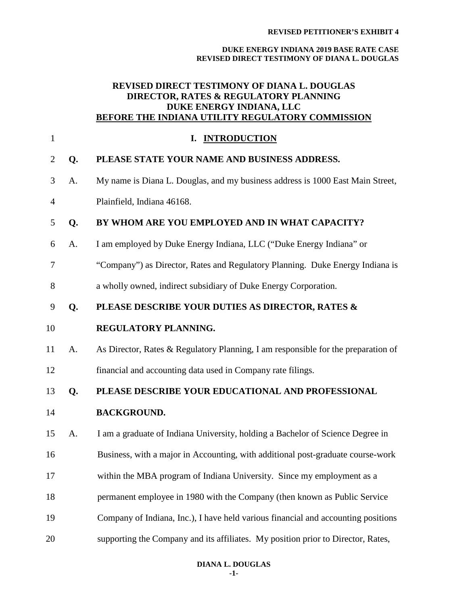#### **DUKE ENERGY INDIANA 2019 BASE RATE CASE REVISED DIRECT TESTIMONY OF DIANA L. DOUGLAS**

# **REVISED DIRECT TESTIMONY OF DIANA L. DOUGLAS DIRECTOR, RATES & REGULATORY PLANNING DUKE ENERGY INDIANA, LLC BEFORE THE INDIANA UTILITY REGULATORY COMMISSION**

| $\mathbf{1}$   |    | I. INTRODUCTION                                                                   |  |
|----------------|----|-----------------------------------------------------------------------------------|--|
| 2              | Q. | PLEASE STATE YOUR NAME AND BUSINESS ADDRESS.                                      |  |
| 3              | A. | My name is Diana L. Douglas, and my business address is 1000 East Main Street,    |  |
| $\overline{4}$ |    | Plainfield, Indiana 46168.                                                        |  |
| 5              | Q. | BY WHOM ARE YOU EMPLOYED AND IN WHAT CAPACITY?                                    |  |
| 6              | A. | I am employed by Duke Energy Indiana, LLC ("Duke Energy Indiana" or               |  |
| 7              |    | "Company") as Director, Rates and Regulatory Planning. Duke Energy Indiana is     |  |
| 8              |    | a wholly owned, indirect subsidiary of Duke Energy Corporation.                   |  |
| 9              | Q. | PLEASE DESCRIBE YOUR DUTIES AS DIRECTOR, RATES &                                  |  |
| 10             |    | REGULATORY PLANNING.                                                              |  |
| 11             | A. | As Director, Rates & Regulatory Planning, I am responsible for the preparation of |  |
| 12             |    | financial and accounting data used in Company rate filings.                       |  |
| 13             | Q. | PLEASE DESCRIBE YOUR EDUCATIONAL AND PROFESSIONAL                                 |  |
| 14             |    | <b>BACKGROUND.</b>                                                                |  |
| 15             | A. | I am a graduate of Indiana University, holding a Bachelor of Science Degree in    |  |
| 16             |    | Business, with a major in Accounting, with additional post-graduate course-work   |  |
| 17             |    | within the MBA program of Indiana University. Since my employment as a            |  |
| 18             |    | permanent employee in 1980 with the Company (then known as Public Service         |  |
| 19             |    | Company of Indiana, Inc.), I have held various financial and accounting positions |  |
| 20             |    | supporting the Company and its affiliates. My position prior to Director, Rates,  |  |
|                |    |                                                                                   |  |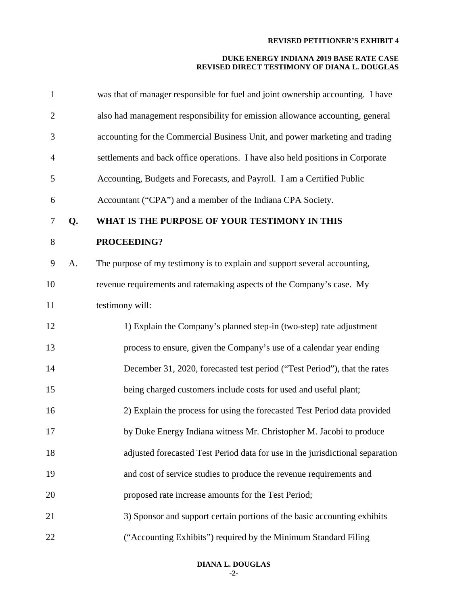| $\mathbf{1}$   |    | was that of manager responsible for fuel and joint ownership accounting. I have |
|----------------|----|---------------------------------------------------------------------------------|
| $\overline{c}$ |    | also had management responsibility for emission allowance accounting, general   |
| 3              |    | accounting for the Commercial Business Unit, and power marketing and trading    |
| 4              |    | settlements and back office operations. I have also held positions in Corporate |
| 5              |    | Accounting, Budgets and Forecasts, and Payroll. I am a Certified Public         |
| 6              |    | Accountant ("CPA") and a member of the Indiana CPA Society.                     |
| $\tau$         | Q. | WHAT IS THE PURPOSE OF YOUR TESTIMONY IN THIS                                   |
| $8\,$          |    | PROCEEDING?                                                                     |
| 9              | A. | The purpose of my testimony is to explain and support several accounting,       |
| 10             |    | revenue requirements and ratemaking aspects of the Company's case. My           |
| 11             |    | testimony will:                                                                 |
| 12             |    | 1) Explain the Company's planned step-in (two-step) rate adjustment             |
| 13             |    | process to ensure, given the Company's use of a calendar year ending            |
| 14             |    | December 31, 2020, forecasted test period ("Test Period"), that the rates       |
| 15             |    | being charged customers include costs for used and useful plant;                |
| 16             |    | 2) Explain the process for using the forecasted Test Period data provided       |
| 17             |    | by Duke Energy Indiana witness Mr. Christopher M. Jacobi to produce             |
| 18             |    | adjusted forecasted Test Period data for use in the jurisdictional separation   |
| 19             |    | and cost of service studies to produce the revenue requirements and             |
| 20             |    | proposed rate increase amounts for the Test Period;                             |
| 21             |    | 3) Sponsor and support certain portions of the basic accounting exhibits        |
| 22             |    | ("Accounting Exhibits") required by the Minimum Standard Filing                 |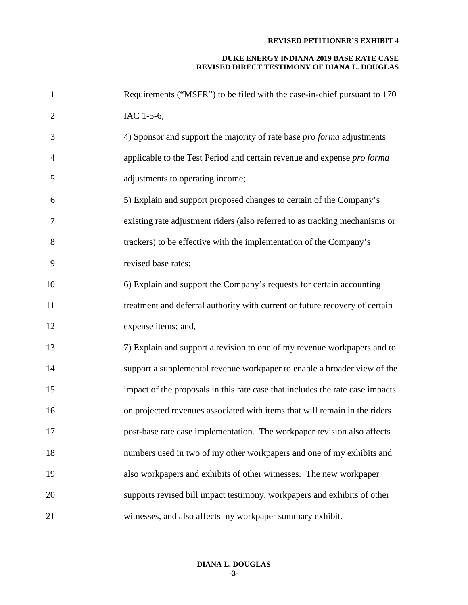| $\mathbf{1}$   | Requirements ("MSFR") to be filed with the case-in-chief pursuant to 170      |
|----------------|-------------------------------------------------------------------------------|
| $\overline{2}$ | IAC 1-5-6;                                                                    |
| 3              | 4) Sponsor and support the majority of rate base <i>pro forma</i> adjustments |
| $\overline{4}$ | applicable to the Test Period and certain revenue and expense pro forma       |
| 5              | adjustments to operating income;                                              |
| 6              | 5) Explain and support proposed changes to certain of the Company's           |
| 7              | existing rate adjustment riders (also referred to as tracking mechanisms or   |
| 8              | trackers) to be effective with the implementation of the Company's            |
| 9              | revised base rates;                                                           |
| 10             | 6) Explain and support the Company's requests for certain accounting          |
| 11             | treatment and deferral authority with current or future recovery of certain   |
| 12             | expense items; and,                                                           |
| 13             | 7) Explain and support a revision to one of my revenue workpapers and to      |
| 14             | support a supplemental revenue workpaper to enable a broader view of the      |
| 15             | impact of the proposals in this rate case that includes the rate case impacts |
| 16             | on projected revenues associated with items that will remain in the riders    |
| 17             | post-base rate case implementation. The workpaper revision also affects       |
| 18             | numbers used in two of my other workpapers and one of my exhibits and         |
| 19             | also workpapers and exhibits of other witnesses. The new workpaper            |
| 20             | supports revised bill impact testimony, workpapers and exhibits of other      |
| 21             | witnesses, and also affects my workpaper summary exhibit.                     |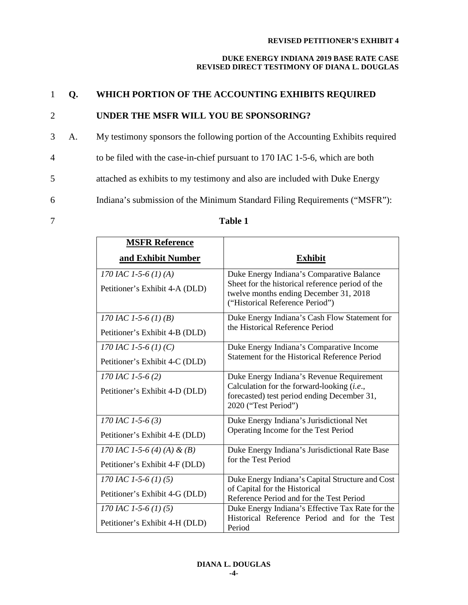# **DUKE ENERGY INDIANA 2019 BASE RATE CASE REVISED DIRECT TESTIMONY OF DIANA L. DOUGLAS**

# 1 **Q. WHICH PORTION OF THE ACCOUNTING EXHIBITS REQUIRED**

# 2 **UNDER THE MSFR WILL YOU BE SPONSORING?**

- 3 A. My testimony sponsors the following portion of the Accounting Exhibits required
- 4 to be filed with the case-in-chief pursuant to 170 IAC 1-5-6, which are both
- 5 attached as exhibits to my testimony and also are included with Duke Energy
- 6 Indiana's submission of the Minimum Standard Filing Requirements ("MSFR"):

# 7 **Table 1**

| <b>MSFR Reference</b>          |                                                                                                                               |
|--------------------------------|-------------------------------------------------------------------------------------------------------------------------------|
| and Exhibit Number             | <b>Exhibit</b>                                                                                                                |
| 170 IAC 1-5-6 (1) (A)          | Duke Energy Indiana's Comparative Balance                                                                                     |
| Petitioner's Exhibit 4-A (DLD) | Sheet for the historical reference period of the<br>twelve months ending December 31, 2018<br>("Historical Reference Period") |
| 170 IAC 1-5-6 (1) (B)          | Duke Energy Indiana's Cash Flow Statement for                                                                                 |
| Petitioner's Exhibit 4-B (DLD) | the Historical Reference Period                                                                                               |
| 170 IAC 1-5-6 (1) (C)          | Duke Energy Indiana's Comparative Income                                                                                      |
| Petitioner's Exhibit 4-C (DLD) | Statement for the Historical Reference Period                                                                                 |
| 170 IAC 1-5-6 (2)              | Duke Energy Indiana's Revenue Requirement                                                                                     |
| Petitioner's Exhibit 4-D (DLD) | Calculation for the forward-looking (i.e.,<br>forecasted) test period ending December 31,<br>2020 ("Test Period")             |
| 170 IAC 1-5-6 (3)              | Duke Energy Indiana's Jurisdictional Net                                                                                      |
| Petitioner's Exhibit 4-E (DLD) | Operating Income for the Test Period                                                                                          |
| 170 IAC 1-5-6 (4) (A) & (B)    | Duke Energy Indiana's Jurisdictional Rate Base                                                                                |
| Petitioner's Exhibit 4-F (DLD) | for the Test Period                                                                                                           |
| 170 IAC 1-5-6 (1) (5)          | Duke Energy Indiana's Capital Structure and Cost                                                                              |
| Petitioner's Exhibit 4-G (DLD) | of Capital for the Historical<br>Reference Period and for the Test Period                                                     |
| 170 IAC 1-5-6 (1) (5)          | Duke Energy Indiana's Effective Tax Rate for the                                                                              |
| Petitioner's Exhibit 4-H (DLD) | Historical Reference Period and for the Test<br>Period                                                                        |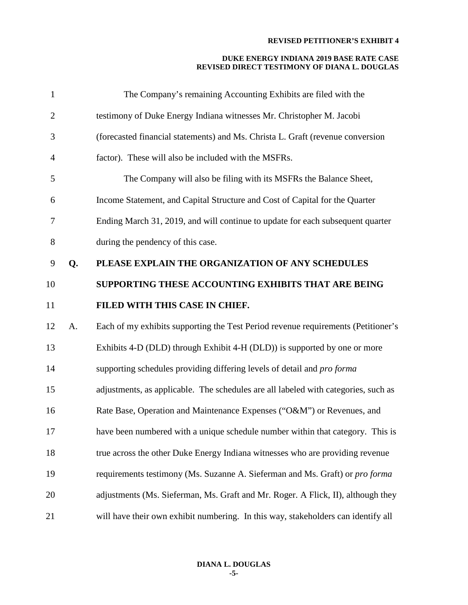| $\mathbf{1}$   |    | The Company's remaining Accounting Exhibits are filed with the                      |
|----------------|----|-------------------------------------------------------------------------------------|
| $\overline{c}$ |    | testimony of Duke Energy Indiana witnesses Mr. Christopher M. Jacobi                |
| 3              |    | (forecasted financial statements) and Ms. Christa L. Graft (revenue conversion      |
| 4              |    | factor). These will also be included with the MSFRs.                                |
| 5              |    | The Company will also be filing with its MSFRs the Balance Sheet,                   |
| 6              |    | Income Statement, and Capital Structure and Cost of Capital for the Quarter         |
| 7              |    | Ending March 31, 2019, and will continue to update for each subsequent quarter      |
| 8              |    | during the pendency of this case.                                                   |
| 9              | Q. | PLEASE EXPLAIN THE ORGANIZATION OF ANY SCHEDULES                                    |
| 10             |    | SUPPORTING THESE ACCOUNTING EXHIBITS THAT ARE BEING                                 |
| 11             |    | FILED WITH THIS CASE IN CHIEF.                                                      |
| 12             | A. | Each of my exhibits supporting the Test Period revenue requirements (Petitioner's   |
| 13             |    | Exhibits 4-D (DLD) through Exhibit 4-H (DLD)) is supported by one or more           |
| 14             |    | supporting schedules providing differing levels of detail and <i>pro forma</i>      |
| 15             |    | adjustments, as applicable. The schedules are all labeled with categories, such as  |
| 16             |    | Rate Base, Operation and Maintenance Expenses ("O&M") or Revenues, and              |
| 17             |    | have been numbered with a unique schedule number within that category. This is      |
| 18             |    | true across the other Duke Energy Indiana witnesses who are providing revenue       |
| 19             |    | requirements testimony (Ms. Suzanne A. Sieferman and Ms. Graft) or <i>pro forma</i> |
| 20             |    | adjustments (Ms. Sieferman, Ms. Graft and Mr. Roger. A Flick, II), although they    |
| 21             |    | will have their own exhibit numbering. In this way, stakeholders can identify all   |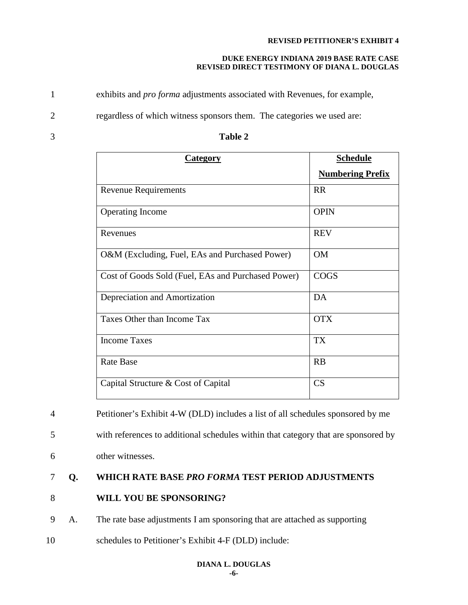## **DUKE ENERGY INDIANA 2019 BASE RATE CASE REVISED DIRECT TESTIMONY OF DIANA L. DOUGLAS**

1 exhibits and *pro forma* adjustments associated with Revenues, for example,

2 regardless of which witness sponsors them. The categories we used are:

| <b>Category</b>                                    | <b>Schedule</b>         |
|----------------------------------------------------|-------------------------|
|                                                    | <b>Numbering Prefix</b> |
| <b>Revenue Requirements</b>                        | <b>RR</b>               |
| <b>Operating Income</b>                            | <b>OPIN</b>             |
| Revenues                                           | <b>REV</b>              |
| O&M (Excluding, Fuel, EAs and Purchased Power)     | OM                      |
| Cost of Goods Sold (Fuel, EAs and Purchased Power) | <b>COGS</b>             |
| Depreciation and Amortization                      | DA                      |
| Taxes Other than Income Tax                        | <b>OTX</b>              |
| <b>Income Taxes</b>                                | <b>TX</b>               |
| <b>Rate Base</b>                                   | RB                      |
| Capital Structure & Cost of Capital                | CS                      |

## 3 **Table 2**

4 Petitioner's Exhibit 4-W (DLD) includes a list of all schedules sponsored by me

5 with references to additional schedules within that category that are sponsored by

6 other witnesses.

# 7 **Q. WHICH RATE BASE** *PRO FORMA* **TEST PERIOD ADJUSTMENTS**

# 8 **WILL YOU BE SPONSORING?**

9 A. The rate base adjustments I am sponsoring that are attached as supporting

10 schedules to Petitioner's Exhibit 4-F (DLD) include: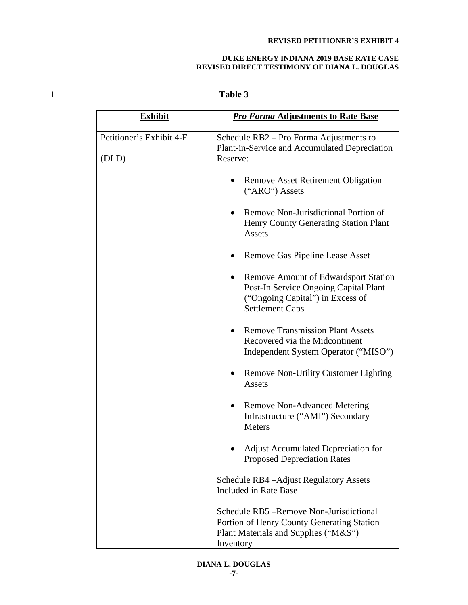## **DUKE ENERGY INDIANA 2019 BASE RATE CASE REVISED DIRECT TESTIMONY OF DIANA L. DOUGLAS**

# 1 **Table 3**

| <b>Exhibit</b>                    | <b>Pro Forma Adjustments to Rate Base</b>                                                                                                                       |  |
|-----------------------------------|-----------------------------------------------------------------------------------------------------------------------------------------------------------------|--|
| Petitioner's Exhibit 4-F<br>(DLD) | Schedule RB2 – Pro Forma Adjustments to<br>Plant-in-Service and Accumulated Depreciation<br>Reserve:                                                            |  |
|                                   | <b>Remove Asset Retirement Obligation</b><br>("ARO") Assets                                                                                                     |  |
|                                   | Remove Non-Jurisdictional Portion of<br>$\bullet$<br>Henry County Generating Station Plant<br>Assets                                                            |  |
|                                   | Remove Gas Pipeline Lease Asset                                                                                                                                 |  |
|                                   | <b>Remove Amount of Edwardsport Station</b><br>$\bullet$<br>Post-In Service Ongoing Capital Plant<br>("Ongoing Capital") in Excess of<br><b>Settlement Caps</b> |  |
|                                   | <b>Remove Transmission Plant Assets</b><br>$\bullet$<br>Recovered via the Midcontinent<br>Independent System Operator ("MISO")                                  |  |
|                                   | <b>Remove Non-Utility Customer Lighting</b><br>Assets                                                                                                           |  |
|                                   | <b>Remove Non-Advanced Metering</b><br>$\bullet$<br>Infrastructure ("AMI") Secondary<br>Meters                                                                  |  |
|                                   | <b>Adjust Accumulated Depreciation for</b><br><b>Proposed Depreciation Rates</b>                                                                                |  |
|                                   | Schedule RB4-Adjust Regulatory Assets<br><b>Included in Rate Base</b>                                                                                           |  |
|                                   | Schedule RB5 – Remove Non-Jurisdictional<br>Portion of Henry County Generating Station<br>Plant Materials and Supplies ("M&S")<br>Inventory                     |  |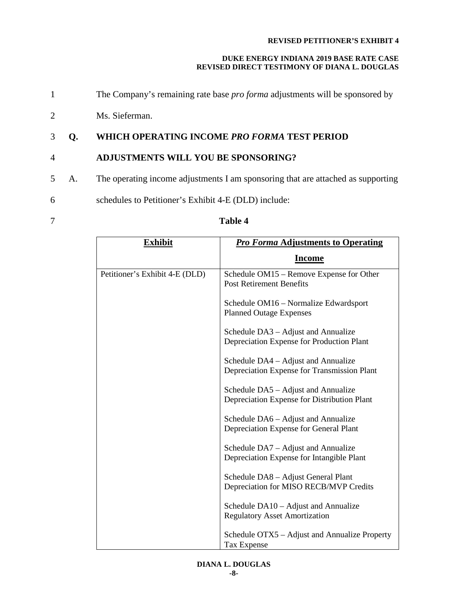# **DUKE ENERGY INDIANA 2019 BASE RATE CASE REVISED DIRECT TESTIMONY OF DIANA L. DOUGLAS**

- 1 The Company's remaining rate base *pro forma* adjustments will be sponsored by
- 2 Ms. Sieferman.

# 3 **Q. WHICH OPERATING INCOME** *PRO FORMA* **TEST PERIOD**

# 4 **ADJUSTMENTS WILL YOU BE SPONSORING?**

- 5 A. The operating income adjustments I am sponsoring that are attached as supporting
- 6 schedules to Petitioner's Exhibit 4-E (DLD) include:
- 

# 7 **Table 4**

| <b>Exhibit</b>                 | <b>Pro Forma Adjustments to Operating</b>                                          |
|--------------------------------|------------------------------------------------------------------------------------|
|                                | <b>Income</b>                                                                      |
| Petitioner's Exhibit 4-E (DLD) | Schedule OM15 – Remove Expense for Other<br><b>Post Retirement Benefits</b>        |
|                                | Schedule OM16 – Normalize Edwardsport<br><b>Planned Outage Expenses</b>            |
|                                | Schedule DA3 – Adjust and Annualize<br>Depreciation Expense for Production Plant   |
|                                | Schedule DA4 – Adjust and Annualize<br>Depreciation Expense for Transmission Plant |
|                                | Schedule DA5 – Adjust and Annualize<br>Depreciation Expense for Distribution Plant |
|                                | Schedule DA6 - Adjust and Annualize<br>Depreciation Expense for General Plant      |
|                                | Schedule DA7 - Adjust and Annualize<br>Depreciation Expense for Intangible Plant   |
|                                | Schedule DA8 - Adjust General Plant<br>Depreciation for MISO RECB/MVP Credits      |
|                                | Schedule DA10 – Adjust and Annualize<br><b>Regulatory Asset Amortization</b>       |
|                                | Schedule OTX5 – Adjust and Annualize Property<br><b>Tax Expense</b>                |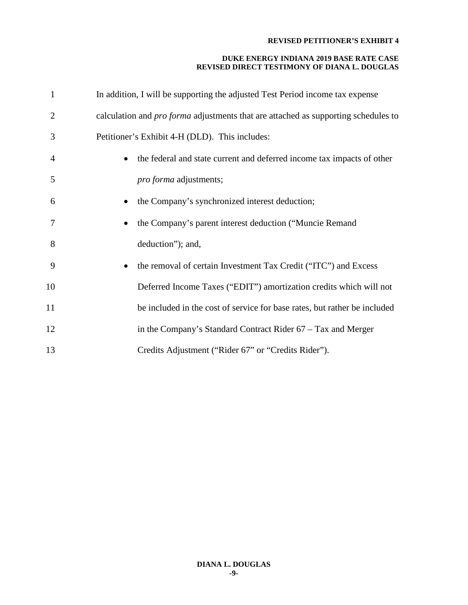| $\mathbf{1}$   | In addition, I will be supporting the adjusted Test Period income tax expense             |
|----------------|-------------------------------------------------------------------------------------------|
| $\overline{2}$ | calculation and <i>pro forma</i> adjustments that are attached as supporting schedules to |
| 3              | Petitioner's Exhibit 4-H (DLD). This includes:                                            |
| $\overline{4}$ | the federal and state current and deferred income tax impacts of other                    |
| 5              | <i>pro forma</i> adjustments;                                                             |
| 6              | the Company's synchronized interest deduction;                                            |
| 7              | the Company's parent interest deduction ("Muncie Remand                                   |
| 8              | deduction"); and,                                                                         |
| 9              | the removal of certain Investment Tax Credit ("ITC") and Excess<br>$\bullet$              |
| 10             | Deferred Income Taxes ("EDIT") amortization credits which will not                        |
| 11             | be included in the cost of service for base rates, but rather be included                 |
| 12             | in the Company's Standard Contract Rider 67 - Tax and Merger                              |
| 13             | Credits Adjustment ("Rider 67" or "Credits Rider").                                       |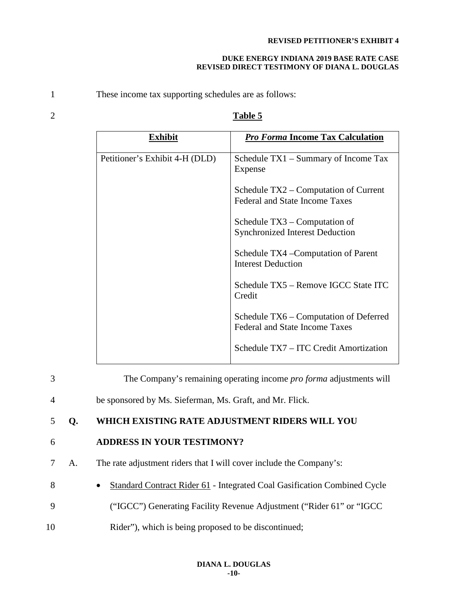### **DUKE ENERGY INDIANA 2019 BASE RATE CASE REVISED DIRECT TESTIMONY OF DIANA L. DOUGLAS**

1 These income tax supporting schedules are as follows:

# 2 **Table 5**

| Exhibit                        | <b>Pro Forma Income Tax Calculation</b>                                         |
|--------------------------------|---------------------------------------------------------------------------------|
| Petitioner's Exhibit 4-H (DLD) | Schedule TX1 – Summary of Income Tax<br>Expense                                 |
|                                | Schedule TX2 – Computation of Current<br><b>Federal and State Income Taxes</b>  |
|                                | Schedule $TX3$ – Computation of<br><b>Synchronized Interest Deduction</b>       |
|                                | Schedule TX4 – Computation of Parent<br><b>Interest Deduction</b>               |
|                                | Schedule TX5 – Remove IGCC State ITC<br>Credit                                  |
|                                | Schedule TX6 – Computation of Deferred<br><b>Federal and State Income Taxes</b> |
|                                | Schedule TX7 – ITC Credit Amortization                                          |

| 3  |    | The Company's remaining operating income pro forma adjustments will                   |
|----|----|---------------------------------------------------------------------------------------|
| 4  |    | be sponsored by Ms. Sieferman, Ms. Graft, and Mr. Flick.                              |
|    | Q. | WHICH EXISTING RATE ADJUSTMENT RIDERS WILL YOU                                        |
| 6  |    | <b>ADDRESS IN YOUR TESTIMONY?</b>                                                     |
|    | A. | The rate adjustment riders that I will cover include the Company's:                   |
| 8  |    | Standard Contract Rider 61 - Integrated Coal Gasification Combined Cycle<br>$\bullet$ |
| 9  |    | "IGCC") Generating Facility Revenue Adjustment ("Rider 61" or "IGCC")                 |
| 10 |    | Rider", which is being proposed to be discontinued;                                   |
|    |    |                                                                                       |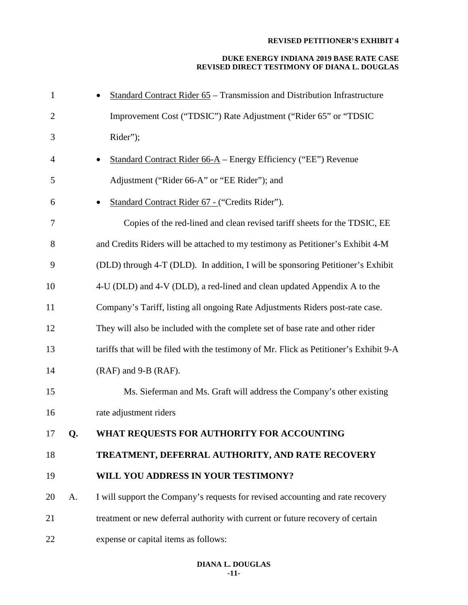| $\mathbf{1}$   |    | <b>Standard Contract Rider 65 – Transmission and Distribution Infrastructure</b>       |
|----------------|----|----------------------------------------------------------------------------------------|
| $\overline{2}$ |    | Improvement Cost ("TDSIC") Rate Adjustment ("Rider 65" or "TDSIC                       |
| 3              |    | Rider");                                                                               |
| 4              |    | Standard Contract Rider 66-A - Energy Efficiency ("EE") Revenue                        |
| 5              |    | Adjustment ("Rider 66-A" or "EE Rider"); and                                           |
| 6              |    | Standard Contract Rider 67 - ("Credits Rider").                                        |
| 7              |    | Copies of the red-lined and clean revised tariff sheets for the TDSIC, EE              |
| $8\,$          |    | and Credits Riders will be attached to my testimony as Petitioner's Exhibit 4-M        |
| 9              |    | (DLD) through 4-T (DLD). In addition, I will be sponsoring Petitioner's Exhibit        |
| 10             |    | 4-U (DLD) and 4-V (DLD), a red-lined and clean updated Appendix A to the               |
| 11             |    | Company's Tariff, listing all ongoing Rate Adjustments Riders post-rate case.          |
| 12             |    | They will also be included with the complete set of base rate and other rider          |
| 13             |    | tariffs that will be filed with the testimony of Mr. Flick as Petitioner's Exhibit 9-A |
| 14             |    | (RAF) and 9-B (RAF).                                                                   |
| 15             |    | Ms. Sieferman and Ms. Graft will address the Company's other existing                  |
| 16             |    | rate adjustment riders                                                                 |
| 17             | Q. | WHAT REQUESTS FOR AUTHORITY FOR ACCOUNTING                                             |
| 18             |    | TREATMENT, DEFERRAL AUTHORITY, AND RATE RECOVERY                                       |
| 19             |    | WILL YOU ADDRESS IN YOUR TESTIMONY?                                                    |
| 20             | A. | I will support the Company's requests for revised accounting and rate recovery         |
| 21             |    | treatment or new deferral authority with current or future recovery of certain         |
| 22             |    | expense or capital items as follows:                                                   |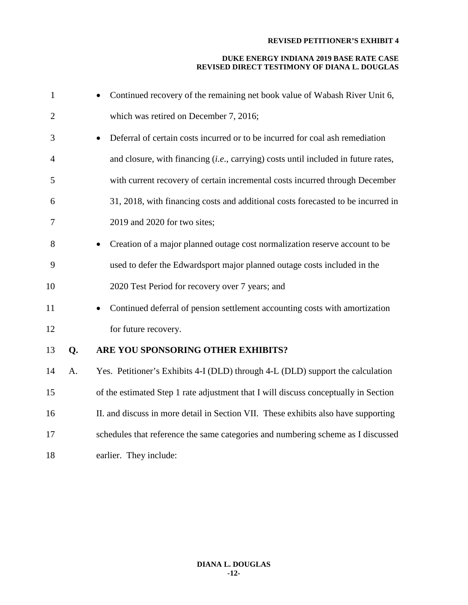| $\mathbf{1}$   |    | Continued recovery of the remaining net book value of Wabash River Unit 6,                |
|----------------|----|-------------------------------------------------------------------------------------------|
| $\overline{2}$ |    | which was retired on December 7, 2016;                                                    |
| 3              |    | Deferral of certain costs incurred or to be incurred for coal ash remediation             |
| $\overline{4}$ |    | and closure, with financing <i>(i.e., carrying)</i> costs until included in future rates, |
| 5              |    | with current recovery of certain incremental costs incurred through December              |
| 6              |    | 31, 2018, with financing costs and additional costs forecasted to be incurred in          |
| 7              |    | 2019 and 2020 for two sites;                                                              |
| 8              |    | Creation of a major planned outage cost normalization reserve account to be               |
| 9              |    | used to defer the Edwardsport major planned outage costs included in the                  |
| 10             |    | 2020 Test Period for recovery over 7 years; and                                           |
| 11             |    | Continued deferral of pension settlement accounting costs with amortization               |
| 12             |    | for future recovery.                                                                      |
| 13             | Q. | ARE YOU SPONSORING OTHER EXHIBITS?                                                        |
| 14             | A. | Yes. Petitioner's Exhibits 4-I (DLD) through 4-L (DLD) support the calculation            |
| 15             |    | of the estimated Step 1 rate adjustment that I will discuss conceptually in Section       |
| 16             |    | II. and discuss in more detail in Section VII. These exhibits also have supporting        |
| 17             |    | schedules that reference the same categories and numbering scheme as I discussed          |
| 18             |    | earlier. They include:                                                                    |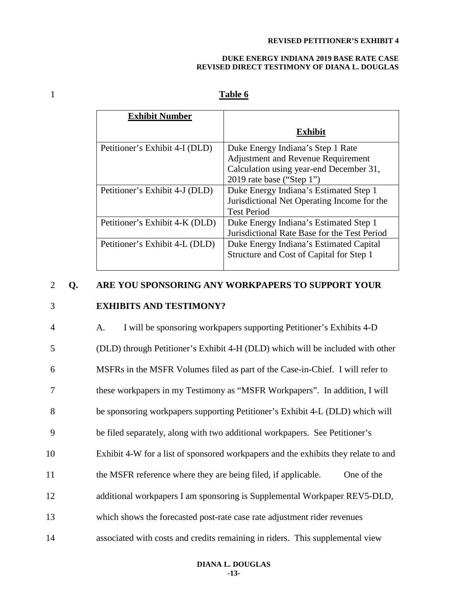#### **DUKE ENERGY INDIANA 2019 BASE RATE CASE REVISED DIRECT TESTIMONY OF DIANA L. DOUGLAS**

# 1 **Table 6**

| <b>Exhibit Number</b>          |                                              |
|--------------------------------|----------------------------------------------|
|                                | Exhibit                                      |
| Petitioner's Exhibit 4-I (DLD) | Duke Energy Indiana's Step 1 Rate            |
|                                | <b>Adjustment and Revenue Requirement</b>    |
|                                | Calculation using year-end December 31,      |
|                                | 2019 rate base ("Step 1")                    |
| Petitioner's Exhibit 4-J (DLD) | Duke Energy Indiana's Estimated Step 1       |
|                                | Jurisdictional Net Operating Income for the  |
|                                | <b>Test Period</b>                           |
| Petitioner's Exhibit 4-K (DLD) | Duke Energy Indiana's Estimated Step 1       |
|                                | Jurisdictional Rate Base for the Test Period |
| Petitioner's Exhibit 4-L (DLD) | Duke Energy Indiana's Estimated Capital      |
|                                | Structure and Cost of Capital for Step 1     |
|                                |                                              |

# 2 **Q. ARE YOU SPONSORING ANY WORKPAPERS TO SUPPORT YOUR**

# 3 **EXHIBITS AND TESTIMONY?**

| $\overline{4}$ | I will be sponsoring workpapers supporting Petitioner's Exhibits 4-D<br>А.         |
|----------------|------------------------------------------------------------------------------------|
| 5              | (DLD) through Petitioner's Exhibit 4-H (DLD) which will be included with other     |
| 6              | MSFRs in the MSFR Volumes filed as part of the Case-in-Chief. I will refer to      |
| 7              | these workpapers in my Testimony as "MSFR Workpapers". In addition, I will         |
| 8              | be sponsoring workpapers supporting Petitioner's Exhibit 4-L (DLD) which will      |
| 9              | be filed separately, along with two additional workpapers. See Petitioner's        |
| 10             | Exhibit 4-W for a list of sponsored workpapers and the exhibits they relate to and |
| 11             | the MSFR reference where they are being filed, if applicable.<br>One of the        |
| 12             | additional workpapers I am sponsoring is Supplemental Workpaper REV5-DLD,          |
| 13             | which shows the forecasted post-rate case rate adjustment rider revenues           |
| 14             | associated with costs and credits remaining in riders. This supplemental view      |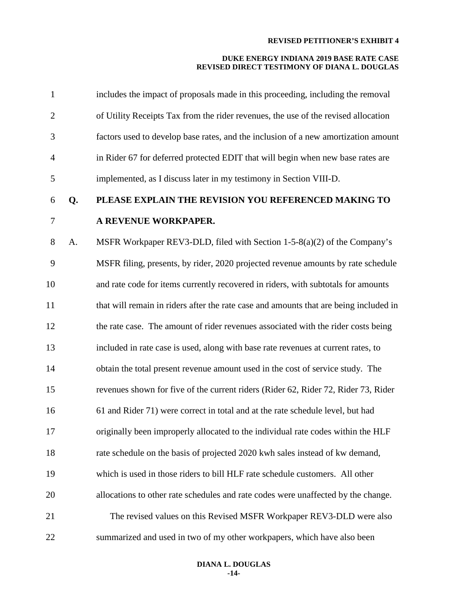| $\mathbf{1}$   |    | includes the impact of proposals made in this proceeding, including the removal       |
|----------------|----|---------------------------------------------------------------------------------------|
| $\overline{2}$ |    | of Utility Receipts Tax from the rider revenues, the use of the revised allocation    |
| 3              |    | factors used to develop base rates, and the inclusion of a new amortization amount    |
| $\overline{4}$ |    | in Rider 67 for deferred protected EDIT that will begin when new base rates are       |
| 5              |    | implemented, as I discuss later in my testimony in Section VIII-D.                    |
| 6              | Q. | PLEASE EXPLAIN THE REVISION YOU REFERENCED MAKING TO                                  |
| 7              |    | A REVENUE WORKPAPER.                                                                  |
| 8              | A. | MSFR Workpaper REV3-DLD, filed with Section 1-5-8(a)(2) of the Company's              |
| 9              |    | MSFR filing, presents, by rider, 2020 projected revenue amounts by rate schedule      |
| 10             |    | and rate code for items currently recovered in riders, with subtotals for amounts     |
| 11             |    | that will remain in riders after the rate case and amounts that are being included in |
| 12             |    | the rate case. The amount of rider revenues associated with the rider costs being     |
| 13             |    | included in rate case is used, along with base rate revenues at current rates, to     |
| 14             |    | obtain the total present revenue amount used in the cost of service study. The        |
| 15             |    | revenues shown for five of the current riders (Rider 62, Rider 72, Rider 73, Rider    |
| 16             |    | 61 and Rider 71) were correct in total and at the rate schedule level, but had        |
| 17             |    | originally been improperly allocated to the individual rate codes within the HLF      |
| 18             |    | rate schedule on the basis of projected 2020 kwh sales instead of kw demand,          |
| 19             |    | which is used in those riders to bill HLF rate schedule customers. All other          |
| 20             |    | allocations to other rate schedules and rate codes were unaffected by the change.     |
| 21             |    | The revised values on this Revised MSFR Workpaper REV3-DLD were also                  |
| 22             |    | summarized and used in two of my other workpapers, which have also been               |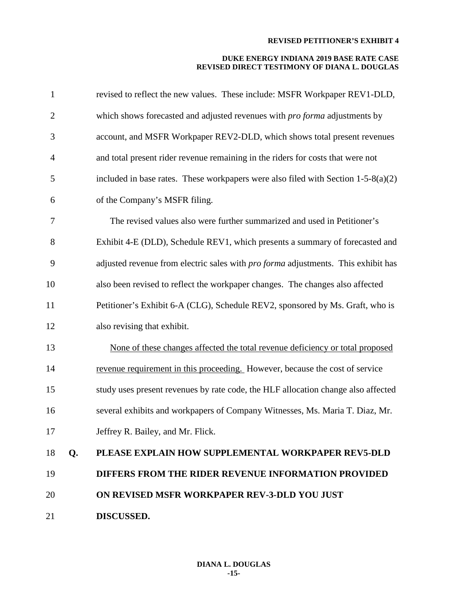| $\mathbf{1}$   |    | revised to reflect the new values. These include: MSFR Workpaper REV1-DLD,          |
|----------------|----|-------------------------------------------------------------------------------------|
| $\mathbf{2}$   |    | which shows forecasted and adjusted revenues with <i>pro forma</i> adjustments by   |
| 3              |    | account, and MSFR Workpaper REV2-DLD, which shows total present revenues            |
| $\overline{4}$ |    | and total present rider revenue remaining in the riders for costs that were not     |
| 5              |    | included in base rates. These workpapers were also filed with Section $1-5-8(a)(2)$ |
| 6              |    | of the Company's MSFR filing.                                                       |
| 7              |    | The revised values also were further summarized and used in Petitioner's            |
| 8              |    | Exhibit 4-E (DLD), Schedule REV1, which presents a summary of forecasted and        |
| 9              |    | adjusted revenue from electric sales with pro forma adjustments. This exhibit has   |
| 10             |    | also been revised to reflect the workpaper changes. The changes also affected       |
| 11             |    | Petitioner's Exhibit 6-A (CLG), Schedule REV2, sponsored by Ms. Graft, who is       |
| 12             |    | also revising that exhibit.                                                         |
| 13             |    | None of these changes affected the total revenue deficiency or total proposed       |
| 14             |    | revenue requirement in this proceeding. However, because the cost of service        |
| 15             |    | study uses present revenues by rate code, the HLF allocation change also affected   |
| 16             |    | several exhibits and workpapers of Company Witnesses, Ms. Maria T. Diaz, Mr.        |
| 17             |    | Jeffrey R. Bailey, and Mr. Flick.                                                   |
| 18             | Q. | PLEASE EXPLAIN HOW SUPPLEMENTAL WORKPAPER REV5-DLD                                  |
| 19             |    | DIFFERS FROM THE RIDER REVENUE INFORMATION PROVIDED                                 |
| 20             |    | ON REVISED MSFR WORKPAPER REV-3-DLD YOU JUST                                        |
| 21             |    | <b>DISCUSSED.</b>                                                                   |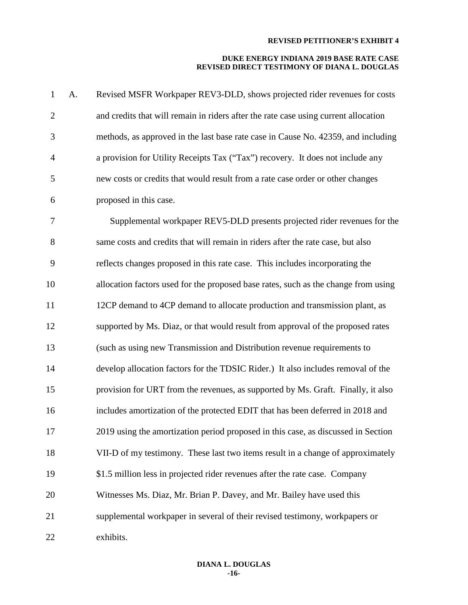| $\mathbf{1}$   | A. | Revised MSFR Workpaper REV3-DLD, shows projected rider revenues for costs           |
|----------------|----|-------------------------------------------------------------------------------------|
| $\overline{2}$ |    | and credits that will remain in riders after the rate case using current allocation |
| 3              |    | methods, as approved in the last base rate case in Cause No. 42359, and including   |
| $\overline{4}$ |    | a provision for Utility Receipts Tax ("Tax") recovery. It does not include any      |
| 5              |    | new costs or credits that would result from a rate case order or other changes      |
| 6              |    | proposed in this case.                                                              |
| $\tau$         |    | Supplemental workpaper REV5-DLD presents projected rider revenues for the           |
| 8              |    | same costs and credits that will remain in riders after the rate case, but also     |
| 9              |    | reflects changes proposed in this rate case. This includes incorporating the        |
| 10             |    | allocation factors used for the proposed base rates, such as the change from using  |
| 11             |    | 12CP demand to 4CP demand to allocate production and transmission plant, as         |
| 12             |    | supported by Ms. Diaz, or that would result from approval of the proposed rates     |
| 13             |    | (such as using new Transmission and Distribution revenue requirements to            |
| 14             |    | develop allocation factors for the TDSIC Rider.) It also includes removal of the    |
| 15             |    | provision for URT from the revenues, as supported by Ms. Graft. Finally, it also    |
| 16             |    | includes amortization of the protected EDIT that has been deferred in 2018 and      |
| 17             |    | 2019 using the amortization period proposed in this case, as discussed in Section   |
| 18             |    | VII-D of my testimony. These last two items result in a change of approximately     |
| 19             |    | \$1.5 million less in projected rider revenues after the rate case. Company         |
| 20             |    | Witnesses Ms. Diaz, Mr. Brian P. Davey, and Mr. Bailey have used this               |
| 21             |    | supplemental workpaper in several of their revised testimony, workpapers or         |
| 22             |    | exhibits.                                                                           |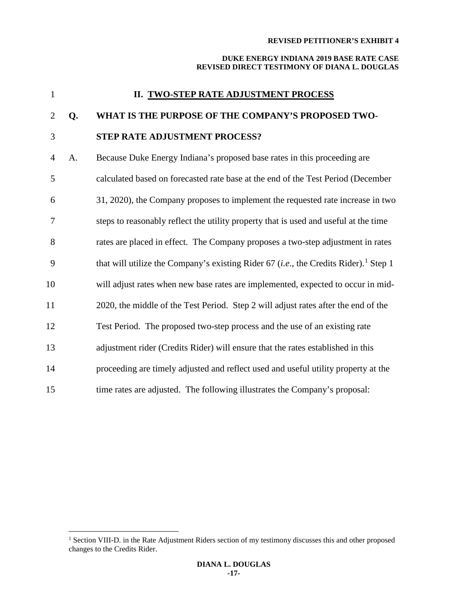| $\mathbf{1}$   |    | II. TWO-STEP RATE ADJUSTMENT PROCESS                                                                      |
|----------------|----|-----------------------------------------------------------------------------------------------------------|
| $\overline{2}$ | Q. | WHAT IS THE PURPOSE OF THE COMPANY'S PROPOSED TWO-                                                        |
| 3              |    | STEP RATE ADJUSTMENT PROCESS?                                                                             |
| $\overline{4}$ | A. | Because Duke Energy Indiana's proposed base rates in this proceeding are                                  |
| 5              |    | calculated based on forecasted rate base at the end of the Test Period (December                          |
| 6              |    | 31, 2020), the Company proposes to implement the requested rate increase in two                           |
| 7              |    | steps to reasonably reflect the utility property that is used and useful at the time                      |
| 8              |    | rates are placed in effect. The Company proposes a two-step adjustment in rates                           |
| 9              |    | that will utilize the Company's existing Rider 67 ( <i>i.e.</i> , the Credits Rider). <sup>1</sup> Step 1 |
| 10             |    | will adjust rates when new base rates are implemented, expected to occur in mid-                          |
| 11             |    | 2020, the middle of the Test Period. Step 2 will adjust rates after the end of the                        |
| 12             |    | Test Period. The proposed two-step process and the use of an existing rate                                |
| 13             |    | adjustment rider (Credits Rider) will ensure that the rates established in this                           |
| 14             |    | proceeding are timely adjusted and reflect used and useful utility property at the                        |
| 15             |    | time rates are adjusted. The following illustrates the Company's proposal:                                |

<span id="page-17-0"></span><sup>&</sup>lt;sup>1</sup> Section VIII-D. in the Rate Adjustment Riders section of my testimony discusses this and other proposed changes to the Credits Rider.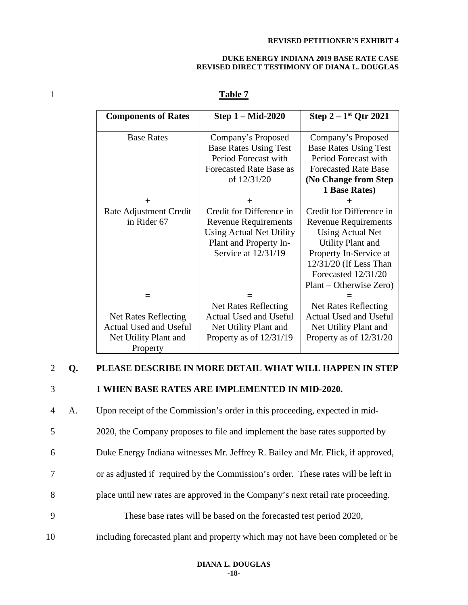#### **DUKE ENERGY INDIANA 2019 BASE RATE CASE REVISED DIRECT TESTIMONY OF DIANA L. DOUGLAS**

# 1 **Table 7**

| <b>Components of Rates</b>  | <b>Step 1 – Mid-2020</b>      | Step $2-1$ <sup>st</sup> Qtr 2021 |
|-----------------------------|-------------------------------|-----------------------------------|
|                             |                               |                                   |
| <b>Base Rates</b>           | Company's Proposed            | Company's Proposed                |
|                             | <b>Base Rates Using Test</b>  | <b>Base Rates Using Test</b>      |
|                             | Period Forecast with          | Period Forecast with              |
|                             | Forecasted Rate Base as       | <b>Forecasted Rate Base</b>       |
|                             | of 12/31/20                   | (No Change from Step)             |
|                             |                               | 1 Base Rates)                     |
|                             |                               |                                   |
| Rate Adjustment Credit      | Credit for Difference in      | Credit for Difference in          |
| in Rider 67                 | <b>Revenue Requirements</b>   | <b>Revenue Requirements</b>       |
|                             | Using Actual Net Utility      | <b>Using Actual Net</b>           |
|                             | Plant and Property In-        | <b>Utility Plant and</b>          |
|                             | Service at 12/31/19           | Property In-Service at            |
|                             |                               | 12/31/20 (If Less Than            |
|                             |                               | Forecasted 12/31/20               |
|                             |                               | Plant – Otherwise Zero)           |
|                             |                               |                                   |
|                             | <b>Net Rates Reflecting</b>   | <b>Net Rates Reflecting</b>       |
| <b>Net Rates Reflecting</b> | <b>Actual Used and Useful</b> | <b>Actual Used and Useful</b>     |
| Actual Used and Useful      | Net Utility Plant and         | Net Utility Plant and             |
| Net Utility Plant and       | Property as of $12/31/19$     | Property as of $12/31/20$         |
| Property                    |                               |                                   |

# 2 **Q. PLEASE DESCRIBE IN MORE DETAIL WHAT WILL HAPPEN IN STEP**

# 3 **1 WHEN BASE RATES ARE IMPLEMENTED IN MID-2020.**

4 A. Upon receipt of the Commission's order in this proceeding, expected in mid-

5 2020, the Company proposes to file and implement the base rates supported by

6 Duke Energy Indiana witnesses Mr. Jeffrey R. Bailey and Mr. Flick, if approved,

- 7 or as adjusted if required by the Commission's order. These rates will be left in
- 8 place until new rates are approved in the Company's next retail rate proceeding.
- 9 These base rates will be based on the forecasted test period 2020,
- 10 including forecasted plant and property which may not have been completed or be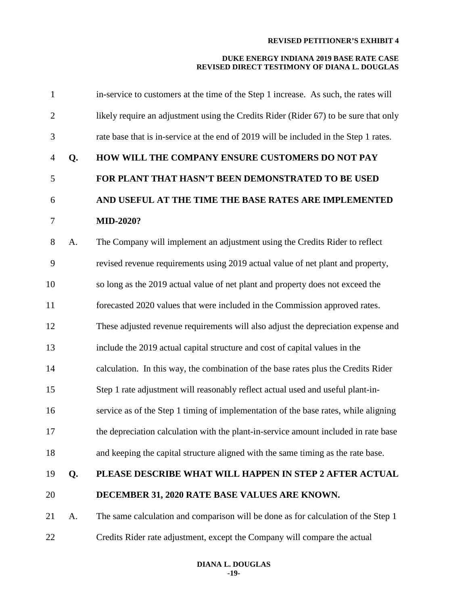| $\mathbf{1}$   |    | in-service to customers at the time of the Step 1 increase. As such, the rates will   |
|----------------|----|---------------------------------------------------------------------------------------|
| $\overline{2}$ |    | likely require an adjustment using the Credits Rider (Rider 67) to be sure that only  |
| 3              |    | rate base that is in-service at the end of 2019 will be included in the Step 1 rates. |
| $\overline{4}$ | Q. | HOW WILL THE COMPANY ENSURE CUSTOMERS DO NOT PAY                                      |
| 5              |    | FOR PLANT THAT HASN'T BEEN DEMONSTRATED TO BE USED                                    |
| 6              |    | AND USEFUL AT THE TIME THE BASE RATES ARE IMPLEMENTED                                 |
| $\tau$         |    | <b>MID-2020?</b>                                                                      |
| 8              | A. | The Company will implement an adjustment using the Credits Rider to reflect           |
| 9              |    | revised revenue requirements using 2019 actual value of net plant and property,       |
| 10             |    | so long as the 2019 actual value of net plant and property does not exceed the        |
| 11             |    | forecasted 2020 values that were included in the Commission approved rates.           |
| 12             |    | These adjusted revenue requirements will also adjust the depreciation expense and     |
| 13             |    | include the 2019 actual capital structure and cost of capital values in the           |
| 14             |    | calculation. In this way, the combination of the base rates plus the Credits Rider    |
| 15             |    | Step 1 rate adjustment will reasonably reflect actual used and useful plant-in-       |
| 16             |    | service as of the Step 1 timing of implementation of the base rates, while aligning   |
| 17             |    | the depreciation calculation with the plant-in-service amount included in rate base   |
| 18             |    | and keeping the capital structure aligned with the same timing as the rate base.      |
| 19             | Q. | PLEASE DESCRIBE WHAT WILL HAPPEN IN STEP 2 AFTER ACTUAL                               |
| 20             |    | DECEMBER 31, 2020 RATE BASE VALUES ARE KNOWN.                                         |
| 21             | A. | The same calculation and comparison will be done as for calculation of the Step 1     |
| 22             |    | Credits Rider rate adjustment, except the Company will compare the actual             |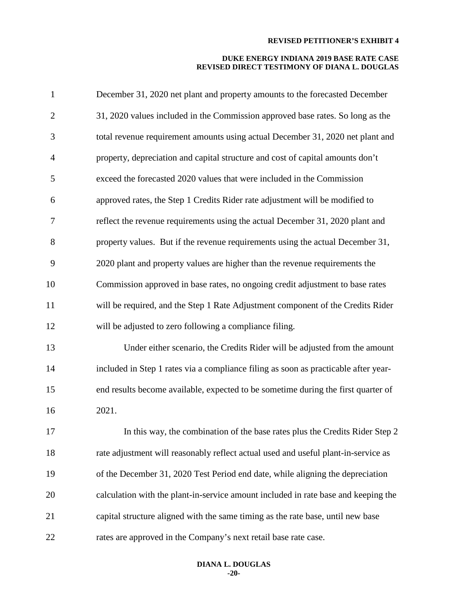| $\mathbf{1}$   | December 31, 2020 net plant and property amounts to the forecasted December         |
|----------------|-------------------------------------------------------------------------------------|
| $\mathbf{2}$   | 31, 2020 values included in the Commission approved base rates. So long as the      |
| 3              | total revenue requirement amounts using actual December 31, 2020 net plant and      |
| $\overline{4}$ | property, depreciation and capital structure and cost of capital amounts don't      |
| 5              | exceed the forecasted 2020 values that were included in the Commission              |
| 6              | approved rates, the Step 1 Credits Rider rate adjustment will be modified to        |
| 7              | reflect the revenue requirements using the actual December 31, 2020 plant and       |
| 8              | property values. But if the revenue requirements using the actual December 31,      |
| 9              | 2020 plant and property values are higher than the revenue requirements the         |
| 10             | Commission approved in base rates, no ongoing credit adjustment to base rates       |
| 11             | will be required, and the Step 1 Rate Adjustment component of the Credits Rider     |
| 12             | will be adjusted to zero following a compliance filing.                             |
| 13             | Under either scenario, the Credits Rider will be adjusted from the amount           |
| 14             | included in Step 1 rates via a compliance filing as soon as practicable after year- |
| 15             | end results become available, expected to be sometime during the first quarter of   |
| 16             | 2021.                                                                               |
| 17             | In this way, the combination of the base rates plus the Credits Rider Step 2        |
| 18             | rate adjustment will reasonably reflect actual used and useful plant-in-service as  |
| 19             | of the December 31, 2020 Test Period end date, while aligning the depreciation      |
| 20             | calculation with the plant-in-service amount included in rate base and keeping the  |
| 21             | capital structure aligned with the same timing as the rate base, until new base     |
| 22             | rates are approved in the Company's next retail base rate case.                     |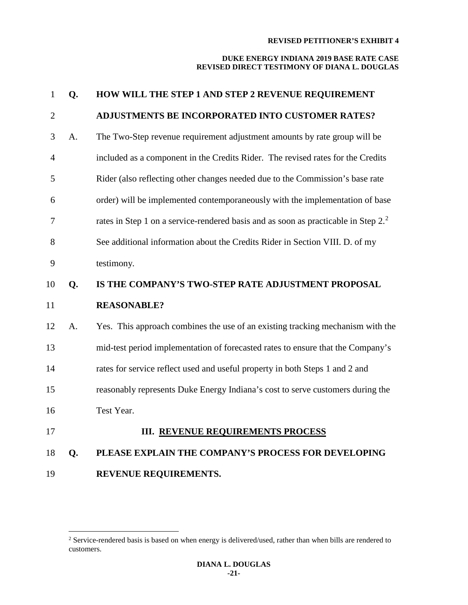| $\mathbf{1}$   | Q. | HOW WILL THE STEP 1 AND STEP 2 REVENUE REQUIREMENT                                             |
|----------------|----|------------------------------------------------------------------------------------------------|
| $\overline{2}$ |    | ADJUSTMENTS BE INCORPORATED INTO CUSTOMER RATES?                                               |
| 3              | A. | The Two-Step revenue requirement adjustment amounts by rate group will be                      |
| $\overline{4}$ |    | included as a component in the Credits Rider. The revised rates for the Credits                |
| 5              |    | Rider (also reflecting other changes needed due to the Commission's base rate                  |
| 6              |    | order) will be implemented contemporaneously with the implementation of base                   |
| 7              |    | rates in Step 1 on a service-rendered basis and as soon as practicable in Step 2. <sup>2</sup> |
| 8              |    | See additional information about the Credits Rider in Section VIII. D. of my                   |
| 9              |    | testimony.                                                                                     |
| 10             | Q. | IS THE COMPANY'S TWO-STEP RATE ADJUSTMENT PROPOSAL                                             |
| 11             |    | <b>REASONABLE?</b>                                                                             |
| 12             | A. | Yes. This approach combines the use of an existing tracking mechanism with the                 |
| 13             |    | mid-test period implementation of forecasted rates to ensure that the Company's                |
| 14             |    | rates for service reflect used and useful property in both Steps 1 and 2 and                   |
| 15             |    | reasonably represents Duke Energy Indiana's cost to serve customers during the                 |
| 16             |    | Test Year.                                                                                     |
| 17             |    | <b>III. REVENUE REQUIREMENTS PROCESS</b>                                                       |
| 18             | Q. | PLEASE EXPLAIN THE COMPANY'S PROCESS FOR DEVELOPING                                            |
| 19             |    | REVENUE REQUIREMENTS.                                                                          |

<span id="page-21-0"></span> Service-rendered basis is based on when energy is delivered/used, rather than when bills are rendered to customers.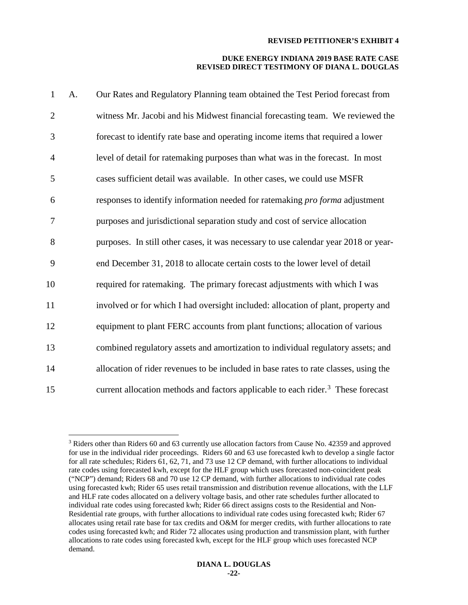| $\mathbf{1}$   | A. | Our Rates and Regulatory Planning team obtained the Test Period forecast from                |
|----------------|----|----------------------------------------------------------------------------------------------|
| $\overline{2}$ |    | witness Mr. Jacobi and his Midwest financial forecasting team. We reviewed the               |
| 3              |    | forecast to identify rate base and operating income items that required a lower              |
| $\overline{4}$ |    | level of detail for ratemaking purposes than what was in the forecast. In most               |
| 5              |    | cases sufficient detail was available. In other cases, we could use MSFR                     |
| 6              |    | responses to identify information needed for ratemaking <i>pro forma</i> adjustment          |
| 7              |    | purposes and jurisdictional separation study and cost of service allocation                  |
| 8              |    | purposes. In still other cases, it was necessary to use calendar year 2018 or year-          |
| 9              |    | end December 31, 2018 to allocate certain costs to the lower level of detail                 |
| 10             |    | required for ratemaking. The primary forecast adjustments with which I was                   |
| 11             |    | involved or for which I had oversight included: allocation of plant, property and            |
| 12             |    | equipment to plant FERC accounts from plant functions; allocation of various                 |
| 13             |    | combined regulatory assets and amortization to individual regulatory assets; and             |
| 14             |    | allocation of rider revenues to be included in base rates to rate classes, using the         |
| 15             |    | current allocation methods and factors applicable to each rider. <sup>3</sup> These forecast |

<span id="page-22-0"></span> $3$  Riders other than Riders 60 and 63 currently use allocation factors from Cause No. 42359 and approved for use in the individual rider proceedings. Riders 60 and 63 use forecasted kwh to develop a single factor for all rate schedules; Riders 61, 62, 71, and 73 use 12 CP demand, with further allocations to individual rate codes using forecasted kwh, except for the HLF group which uses forecasted non-coincident peak ("NCP") demand; Riders 68 and 70 use 12 CP demand, with further allocations to individual rate codes using forecasted kwh; Rider 65 uses retail transmission and distribution revenue allocations, with the LLF and HLF rate codes allocated on a delivery voltage basis, and other rate schedules further allocated to individual rate codes using forecasted kwh; Rider 66 direct assigns costs to the Residential and Non-Residential rate groups, with further allocations to individual rate codes using forecasted kwh; Rider 67 allocates using retail rate base for tax credits and O&M for merger credits, with further allocations to rate codes using forecasted kwh; and Rider 72 allocates using production and transmission plant, with further allocations to rate codes using forecasted kwh, except for the HLF group which uses forecasted NCP demand.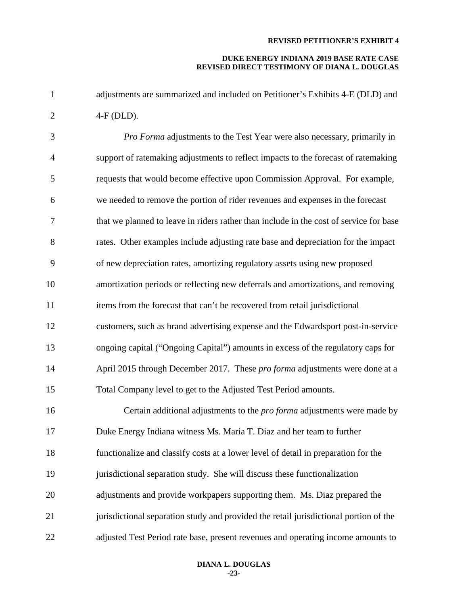#### **DUKE ENERGY INDIANA 2019 BASE RATE CASE REVISED DIRECT TESTIMONY OF DIANA L. DOUGLAS**

 adjustments are summarized and included on Petitioner's Exhibits 4-E (DLD) and 4-F (DLD).

 *Pro Forma* adjustments to the Test Year were also necessary, primarily in support of ratemaking adjustments to reflect impacts to the forecast of ratemaking requests that would become effective upon Commission Approval. For example, we needed to remove the portion of rider revenues and expenses in the forecast that we planned to leave in riders rather than include in the cost of service for base rates. Other examples include adjusting rate base and depreciation for the impact of new depreciation rates, amortizing regulatory assets using new proposed amortization periods or reflecting new deferrals and amortizations, and removing 11 items from the forecast that can't be recovered from retail jurisdictional customers, such as brand advertising expense and the Edwardsport post-in-service ongoing capital ("Ongoing Capital") amounts in excess of the regulatory caps for April 2015 through December 2017. These *pro forma* adjustments were done at a Total Company level to get to the Adjusted Test Period amounts. Certain additional adjustments to the *pro forma* adjustments were made by Duke Energy Indiana witness Ms. Maria T. Diaz and her team to further functionalize and classify costs at a lower level of detail in preparation for the jurisdictional separation study. She will discuss these functionalization adjustments and provide workpapers supporting them. Ms. Diaz prepared the 21 jurisdictional separation study and provided the retail jurisdictional portion of the adjusted Test Period rate base, present revenues and operating income amounts to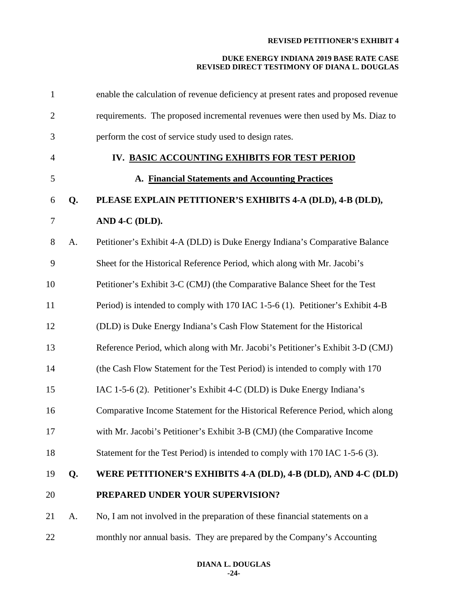| $\mathbf{1}$   |    | enable the calculation of revenue deficiency at present rates and proposed revenue |
|----------------|----|------------------------------------------------------------------------------------|
| $\overline{2}$ |    | requirements. The proposed incremental revenues were then used by Ms. Diaz to      |
| 3              |    | perform the cost of service study used to design rates.                            |
| $\overline{4}$ |    | IV. BASIC ACCOUNTING EXHIBITS FOR TEST PERIOD                                      |
| 5              |    | A. Financial Statements and Accounting Practices                                   |
| 6              | Q. | PLEASE EXPLAIN PETITIONER'S EXHIBITS 4-A (DLD), 4-B (DLD),                         |
| 7              |    | AND 4-C (DLD).                                                                     |
| 8              | A. | Petitioner's Exhibit 4-A (DLD) is Duke Energy Indiana's Comparative Balance        |
| 9              |    | Sheet for the Historical Reference Period, which along with Mr. Jacobi's           |
| 10             |    | Petitioner's Exhibit 3-C (CMJ) (the Comparative Balance Sheet for the Test         |
| 11             |    | Period) is intended to comply with 170 IAC 1-5-6 (1). Petitioner's Exhibit 4-B     |
| 12             |    | (DLD) is Duke Energy Indiana's Cash Flow Statement for the Historical              |
| 13             |    | Reference Period, which along with Mr. Jacobi's Petitioner's Exhibit 3-D (CMJ)     |
| 14             |    | (the Cash Flow Statement for the Test Period) is intended to comply with 170       |
| 15             |    | IAC 1-5-6 (2). Petitioner's Exhibit 4-C (DLD) is Duke Energy Indiana's             |
| 16             |    | Comparative Income Statement for the Historical Reference Period, which along      |
| 17             |    | with Mr. Jacobi's Petitioner's Exhibit 3-B (CMJ) (the Comparative Income           |
| 18             |    | Statement for the Test Period) is intended to comply with 170 IAC 1-5-6 (3).       |
| 19             | Q. | WERE PETITIONER'S EXHIBITS 4-A (DLD), 4-B (DLD), AND 4-C (DLD)                     |
| 20             |    | PREPARED UNDER YOUR SUPERVISION?                                                   |
| 21             | A. | No, I am not involved in the preparation of these financial statements on a        |
| 22             |    | monthly nor annual basis. They are prepared by the Company's Accounting            |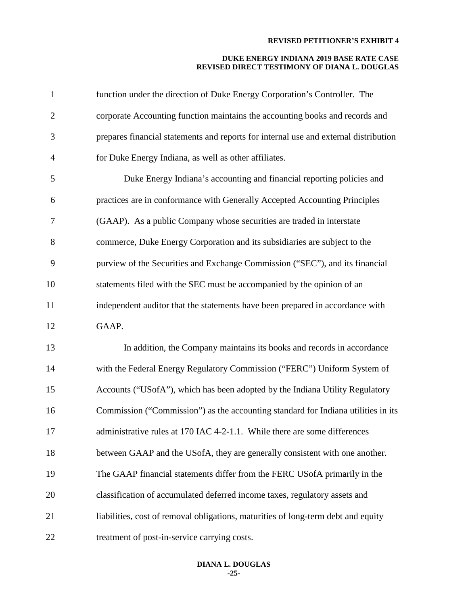| $\mathbf{1}$ | function under the direction of Duke Energy Corporation's Controller. The            |
|--------------|--------------------------------------------------------------------------------------|
| $\mathbf{2}$ | corporate Accounting function maintains the accounting books and records and         |
| 3            | prepares financial statements and reports for internal use and external distribution |
| 4            | for Duke Energy Indiana, as well as other affiliates.                                |
| 5            | Duke Energy Indiana's accounting and financial reporting policies and                |
| 6            | practices are in conformance with Generally Accepted Accounting Principles           |
| 7            | (GAAP). As a public Company whose securities are traded in interstate                |
| 8            | commerce, Duke Energy Corporation and its subsidiaries are subject to the            |
| 9            | purview of the Securities and Exchange Commission ("SEC"), and its financial         |
| 10           | statements filed with the SEC must be accompanied by the opinion of an               |
| 11           | independent auditor that the statements have been prepared in accordance with        |
| 12           | GAAP.                                                                                |
| 13           | In addition, the Company maintains its books and records in accordance               |
| 14           | with the Federal Energy Regulatory Commission ("FERC") Uniform System of             |
| 15           | Accounts ("USofA"), which has been adopted by the Indiana Utility Regulatory         |
| 16           | Commission ("Commission") as the accounting standard for Indiana utilities in its    |
| 17           | administrative rules at 170 IAC 4-2-1.1. While there are some differences            |
| 18           | between GAAP and the USofA, they are generally consistent with one another.          |
| 19           | The GAAP financial statements differ from the FERC USofA primarily in the            |
| 20           | classification of accumulated deferred income taxes, regulatory assets and           |
| 21           | liabilities, cost of removal obligations, maturities of long-term debt and equity    |
| 22           | treatment of post-in-service carrying costs.                                         |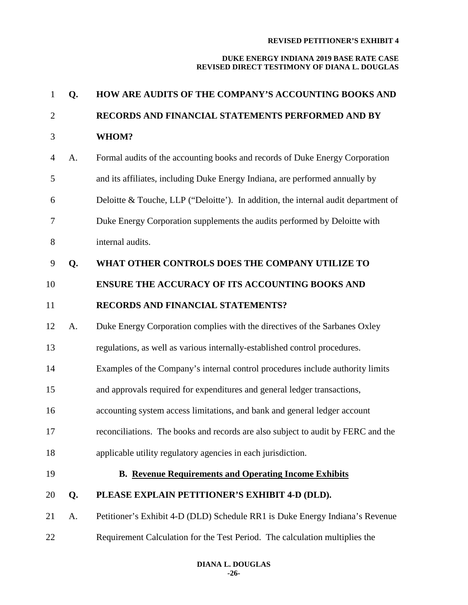| $\mathbf{1}$   | Q. | HOW ARE AUDITS OF THE COMPANY'S ACCOUNTING BOOKS AND                               |
|----------------|----|------------------------------------------------------------------------------------|
| $\overline{2}$ |    | RECORDS AND FINANCIAL STATEMENTS PERFORMED AND BY                                  |
| 3              |    | WHOM?                                                                              |
| $\overline{4}$ | A. | Formal audits of the accounting books and records of Duke Energy Corporation       |
| 5              |    | and its affiliates, including Duke Energy Indiana, are performed annually by       |
| 6              |    | Deloitte & Touche, LLP ("Deloitte'). In addition, the internal audit department of |
| 7              |    | Duke Energy Corporation supplements the audits performed by Deloitte with          |
| 8              |    | internal audits.                                                                   |
| 9              | Q. | WHAT OTHER CONTROLS DOES THE COMPANY UTILIZE TO                                    |
| 10             |    | <b>ENSURE THE ACCURACY OF ITS ACCOUNTING BOOKS AND</b>                             |
| 11             |    | RECORDS AND FINANCIAL STATEMENTS?                                                  |
| 12             | A. | Duke Energy Corporation complies with the directives of the Sarbanes Oxley         |
| 13             |    | regulations, as well as various internally-established control procedures.         |
| 14             |    | Examples of the Company's internal control procedures include authority limits     |
| 15             |    | and approvals required for expenditures and general ledger transactions,           |
| 16             |    | accounting system access limitations, and bank and general ledger account          |
| 17             |    | reconciliations. The books and records are also subject to audit by FERC and the   |
| 18             |    | applicable utility regulatory agencies in each jurisdiction.                       |
| 19             |    | <b>B. Revenue Requirements and Operating Income Exhibits</b>                       |
| 20             | Q. | PLEASE EXPLAIN PETITIONER'S EXHIBIT 4-D (DLD).                                     |
| 21             | A. | Petitioner's Exhibit 4-D (DLD) Schedule RR1 is Duke Energy Indiana's Revenue       |
| 22             |    | Requirement Calculation for the Test Period. The calculation multiplies the        |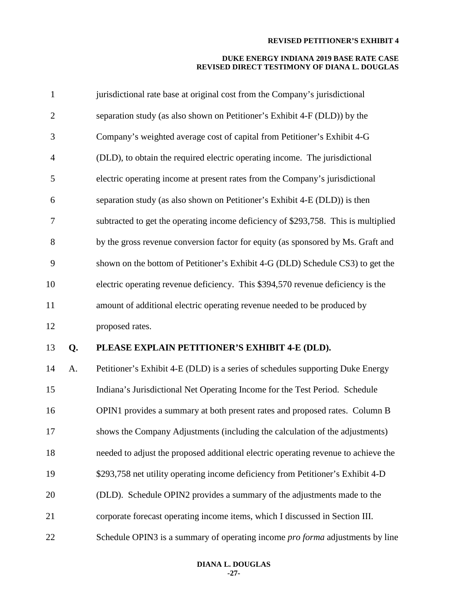| $\mathbf{1}$   |    | jurisdictional rate base at original cost from the Company's jurisdictional        |
|----------------|----|------------------------------------------------------------------------------------|
| $\overline{2}$ |    | separation study (as also shown on Petitioner's Exhibit 4-F (DLD)) by the          |
| 3              |    | Company's weighted average cost of capital from Petitioner's Exhibit 4-G           |
| $\overline{4}$ |    | (DLD), to obtain the required electric operating income. The jurisdictional        |
| 5              |    | electric operating income at present rates from the Company's jurisdictional       |
| 6              |    | separation study (as also shown on Petitioner's Exhibit 4-E (DLD)) is then         |
| $\tau$         |    | subtracted to get the operating income deficiency of \$293,758. This is multiplied |
| 8              |    | by the gross revenue conversion factor for equity (as sponsored by Ms. Graft and   |
| 9              |    | shown on the bottom of Petitioner's Exhibit 4-G (DLD) Schedule CS3) to get the     |
| 10             |    | electric operating revenue deficiency. This \$394,570 revenue deficiency is the    |
| 11             |    | amount of additional electric operating revenue needed to be produced by           |
| 12             |    | proposed rates.                                                                    |
| 13             | Q. | PLEASE EXPLAIN PETITIONER'S EXHIBIT 4-E (DLD).                                     |
| 14             | A. | Petitioner's Exhibit 4-E (DLD) is a series of schedules supporting Duke Energy     |
| 15             |    | Indiana's Jurisdictional Net Operating Income for the Test Period. Schedule        |
| 16             |    | OPIN1 provides a summary at both present rates and proposed rates. Column B        |
| 17             |    | shows the Company Adjustments (including the calculation of the adjustments)       |
| 18             |    | needed to adjust the proposed additional electric operating revenue to achieve the |
| 19             |    | \$293,758 net utility operating income deficiency from Petitioner's Exhibit 4-D    |
| 20             |    | (DLD). Schedule OPIN2 provides a summary of the adjustments made to the            |
| 21             |    | corporate forecast operating income items, which I discussed in Section III.       |
| 22             |    | Schedule OPIN3 is a summary of operating income pro forma adjustments by line      |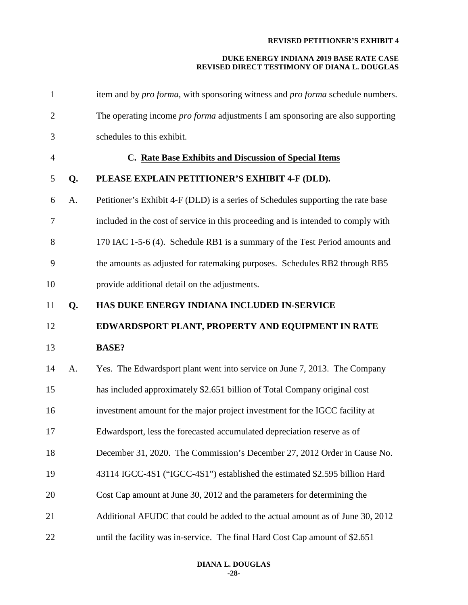| $\mathbf{1}$   |    | item and by <i>pro forma</i> , with sponsoring witness and <i>pro forma</i> schedule numbers. |
|----------------|----|-----------------------------------------------------------------------------------------------|
| $\overline{2}$ |    | The operating income <i>pro forma</i> adjustments I am sponsoring are also supporting         |
| 3              |    | schedules to this exhibit.                                                                    |
| $\overline{4}$ |    | C. Rate Base Exhibits and Discussion of Special Items                                         |
| 5              | Q. | PLEASE EXPLAIN PETITIONER'S EXHIBIT 4-F (DLD).                                                |
| 6              | A. | Petitioner's Exhibit 4-F (DLD) is a series of Schedules supporting the rate base              |
| 7              |    | included in the cost of service in this proceeding and is intended to comply with             |
| 8              |    | 170 IAC 1-5-6 (4). Schedule RB1 is a summary of the Test Period amounts and                   |
| 9              |    | the amounts as adjusted for ratemaking purposes. Schedules RB2 through RB5                    |
| 10             |    | provide additional detail on the adjustments.                                                 |
| 11             | Q. | HAS DUKE ENERGY INDIANA INCLUDED IN-SERVICE                                                   |
| 12             |    | EDWARDSPORT PLANT, PROPERTY AND EQUIPMENT IN RATE                                             |
|                |    |                                                                                               |
| 13             |    | <b>BASE?</b>                                                                                  |
| 14             | А. | Yes. The Edwardsport plant went into service on June 7, 2013. The Company                     |
| 15             |    | has included approximately \$2.651 billion of Total Company original cost                     |
| 16             |    | investment amount for the major project investment for the IGCC facility at                   |
| 17             |    | Edwardsport, less the forecasted accumulated depreciation reserve as of                       |
| 18             |    | December 31, 2020. The Commission's December 27, 2012 Order in Cause No.                      |
| 19             |    | 43114 IGCC-4S1 ("IGCC-4S1") established the estimated \$2.595 billion Hard                    |
| 20             |    | Cost Cap amount at June 30, 2012 and the parameters for determining the                       |
| 21             |    | Additional AFUDC that could be added to the actual amount as of June 30, 2012                 |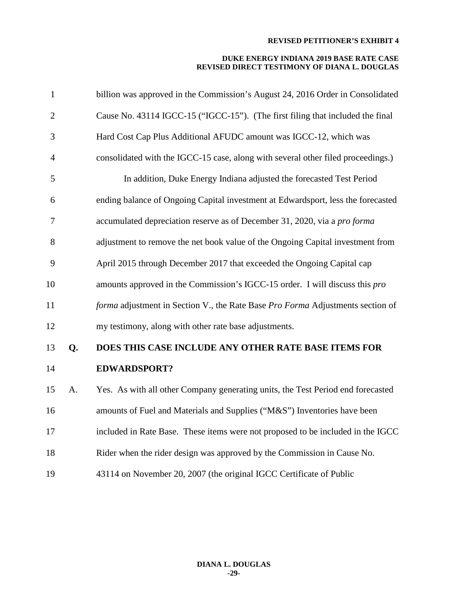| $\mathbf{1}$   |    | billion was approved in the Commission's August 24, 2016 Order in Consolidated   |
|----------------|----|----------------------------------------------------------------------------------|
| $\overline{2}$ |    | Cause No. 43114 IGCC-15 ("IGCC-15"). (The first filing that included the final   |
| 3              |    | Hard Cost Cap Plus Additional AFUDC amount was IGCC-12, which was                |
| $\overline{4}$ |    | consolidated with the IGCC-15 case, along with several other filed proceedings.) |
| 5              |    | In addition, Duke Energy Indiana adjusted the forecasted Test Period             |
| 6              |    | ending balance of Ongoing Capital investment at Edwardsport, less the forecasted |
| $\tau$         |    | accumulated depreciation reserve as of December 31, 2020, via a pro forma        |
| 8              |    | adjustment to remove the net book value of the Ongoing Capital investment from   |
| 9              |    | April 2015 through December 2017 that exceeded the Ongoing Capital cap           |
| 10             |    | amounts approved in the Commission's IGCC-15 order. I will discuss this pro      |
| 11             |    | forma adjustment in Section V., the Rate Base Pro Forma Adjustments section of   |
| 12             |    | my testimony, along with other rate base adjustments.                            |
| 13             | Q. | DOES THIS CASE INCLUDE ANY OTHER RATE BASE ITEMS FOR                             |
| 14             |    | <b>EDWARDSPORT?</b>                                                              |
| 15             | A. | Yes. As with all other Company generating units, the Test Period end forecasted  |
| 16             |    | amounts of Fuel and Materials and Supplies ("M&S") Inventories have been         |
| 17             |    | included in Rate Base. These items were not proposed to be included in the IGCC  |
| 18             |    | Rider when the rider design was approved by the Commission in Cause No.          |
| 19             |    | 43114 on November 20, 2007 (the original IGCC Certificate of Public              |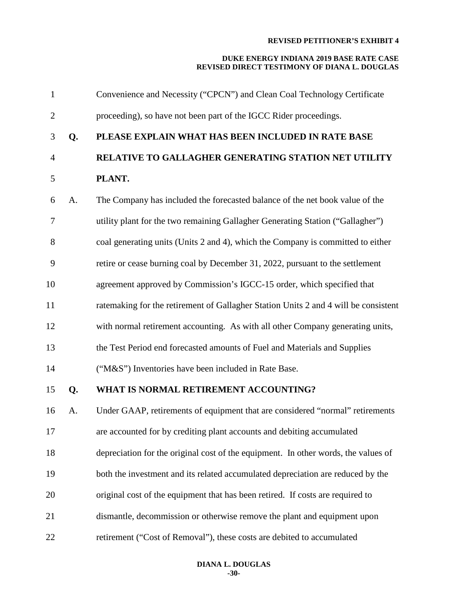| $\mathbf{1}$   |    | Convenience and Necessity ("CPCN") and Clean Coal Technology Certificate            |
|----------------|----|-------------------------------------------------------------------------------------|
| $\overline{2}$ |    | proceeding), so have not been part of the IGCC Rider proceedings.                   |
| 3              | Q. | PLEASE EXPLAIN WHAT HAS BEEN INCLUDED IN RATE BASE                                  |
| $\overline{4}$ |    | RELATIVE TO GALLAGHER GENERATING STATION NET UTILITY                                |
| 5              |    | PLANT.                                                                              |
| 6              | A. | The Company has included the forecasted balance of the net book value of the        |
| $\tau$         |    | utility plant for the two remaining Gallagher Generating Station ("Gallagher")      |
| 8              |    | coal generating units (Units 2 and 4), which the Company is committed to either     |
| 9              |    | retire or cease burning coal by December 31, 2022, pursuant to the settlement       |
| 10             |    | agreement approved by Commission's IGCC-15 order, which specified that              |
| 11             |    | ratemaking for the retirement of Gallagher Station Units 2 and 4 will be consistent |
| 12             |    | with normal retirement accounting. As with all other Company generating units,      |
| 13             |    | the Test Period end forecasted amounts of Fuel and Materials and Supplies           |
| 14             |    | ("M&S") Inventories have been included in Rate Base.                                |
| 15             | Q. | WHAT IS NORMAL RETIREMENT ACCOUNTING?                                               |
| 16             | A. | Under GAAP, retirements of equipment that are considered "normal" retirements       |
| 17             |    | are accounted for by crediting plant accounts and debiting accumulated              |
| 18             |    | depreciation for the original cost of the equipment. In other words, the values of  |
| 19             |    | both the investment and its related accumulated depreciation are reduced by the     |
| 20             |    | original cost of the equipment that has been retired. If costs are required to      |
| 21             |    | dismantle, decommission or otherwise remove the plant and equipment upon            |
| 22             |    | retirement ("Cost of Removal"), these costs are debited to accumulated              |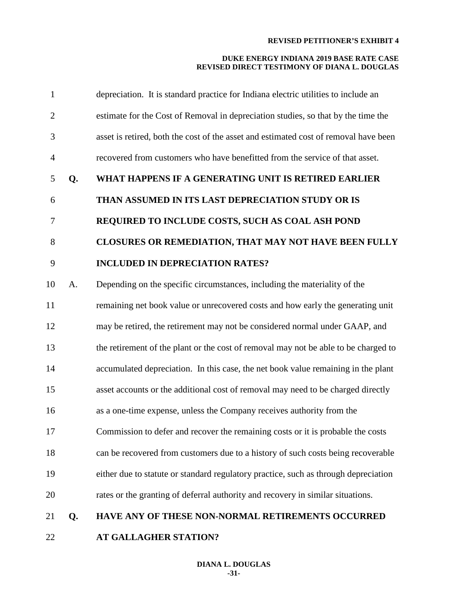| $\mathbf{1}$   |    | depreciation. It is standard practice for Indiana electric utilities to include an   |
|----------------|----|--------------------------------------------------------------------------------------|
| $\overline{2}$ |    | estimate for the Cost of Removal in depreciation studies, so that by the time the    |
| 3              |    | asset is retired, both the cost of the asset and estimated cost of removal have been |
| $\overline{4}$ |    | recovered from customers who have benefitted from the service of that asset.         |
| 5              | Q. | WHAT HAPPENS IF A GENERATING UNIT IS RETIRED EARLIER                                 |
| 6              |    | THAN ASSUMED IN ITS LAST DEPRECIATION STUDY OR IS                                    |
| 7              |    | REQUIRED TO INCLUDE COSTS, SUCH AS COAL ASH POND                                     |
| $8\,$          |    | CLOSURES OR REMEDIATION, THAT MAY NOT HAVE BEEN FULLY                                |
| 9              |    | <b>INCLUDED IN DEPRECIATION RATES?</b>                                               |
| 10             | A. | Depending on the specific circumstances, including the materiality of the            |
| 11             |    | remaining net book value or unrecovered costs and how early the generating unit      |
| 12             |    | may be retired, the retirement may not be considered normal under GAAP, and          |
| 13             |    | the retirement of the plant or the cost of removal may not be able to be charged to  |
| 14             |    | accumulated depreciation. In this case, the net book value remaining in the plant    |
| 15             |    | asset accounts or the additional cost of removal may need to be charged directly     |
| 16             |    | as a one-time expense, unless the Company receives authority from the                |
| 17             |    | Commission to defer and recover the remaining costs or it is probable the costs      |
| 18             |    | can be recovered from customers due to a history of such costs being recoverable     |
| 19             |    | either due to statute or standard regulatory practice, such as through depreciation  |
| 20             |    | rates or the granting of deferral authority and recovery in similar situations.      |
| 21             | Q. | HAVE ANY OF THESE NON-NORMAL RETIREMENTS OCCURRED                                    |
| 22             |    | AT GALLAGHER STATION?                                                                |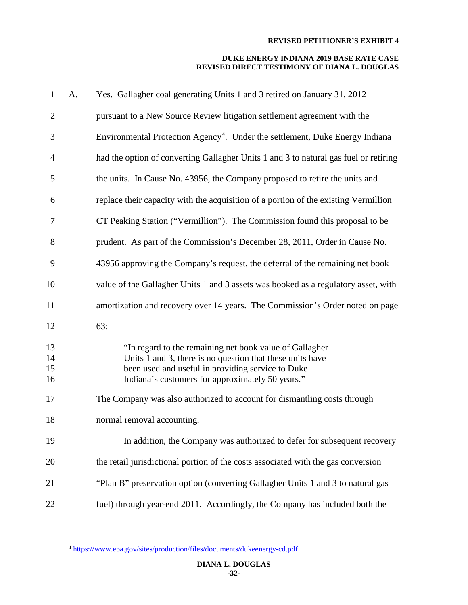| $\mathbf{1}$         | A. | Yes. Gallagher coal generating Units 1 and 3 retired on January 31, 2012                                                                                                                                                      |
|----------------------|----|-------------------------------------------------------------------------------------------------------------------------------------------------------------------------------------------------------------------------------|
| $\overline{2}$       |    | pursuant to a New Source Review litigation settlement agreement with the                                                                                                                                                      |
| 3                    |    | Environmental Protection Agency <sup>4</sup> . Under the settlement, Duke Energy Indiana                                                                                                                                      |
| $\overline{4}$       |    | had the option of converting Gallagher Units 1 and 3 to natural gas fuel or retiring                                                                                                                                          |
| 5                    |    | the units. In Cause No. 43956, the Company proposed to retire the units and                                                                                                                                                   |
| 6                    |    | replace their capacity with the acquisition of a portion of the existing Vermillion                                                                                                                                           |
| 7                    |    | CT Peaking Station ("Vermillion"). The Commission found this proposal to be                                                                                                                                                   |
| 8                    |    | prudent. As part of the Commission's December 28, 2011, Order in Cause No.                                                                                                                                                    |
| 9                    |    | 43956 approving the Company's request, the deferral of the remaining net book                                                                                                                                                 |
| 10                   |    | value of the Gallagher Units 1 and 3 assets was booked as a regulatory asset, with                                                                                                                                            |
| 11                   |    | amortization and recovery over 14 years. The Commission's Order noted on page                                                                                                                                                 |
| 12                   |    | 63:                                                                                                                                                                                                                           |
| 13<br>14<br>15<br>16 |    | "In regard to the remaining net book value of Gallagher<br>Units 1 and 3, there is no question that these units have<br>been used and useful in providing service to Duke<br>Indiana's customers for approximately 50 years." |
| 17                   |    | The Company was also authorized to account for dismantling costs through                                                                                                                                                      |
| 18                   |    | normal removal accounting.                                                                                                                                                                                                    |
| 19                   |    | In addition, the Company was authorized to defer for subsequent recovery                                                                                                                                                      |
| 20                   |    | the retail jurisdictional portion of the costs associated with the gas conversion                                                                                                                                             |
| 21                   |    | "Plan B" preservation option (converting Gallagher Units 1 and 3 to natural gas                                                                                                                                               |
| 22                   |    | fuel) through year-end 2011. Accordingly, the Company has included both the                                                                                                                                                   |

<span id="page-32-0"></span><https://www.epa.gov/sites/production/files/documents/dukeenergy-cd.pdf>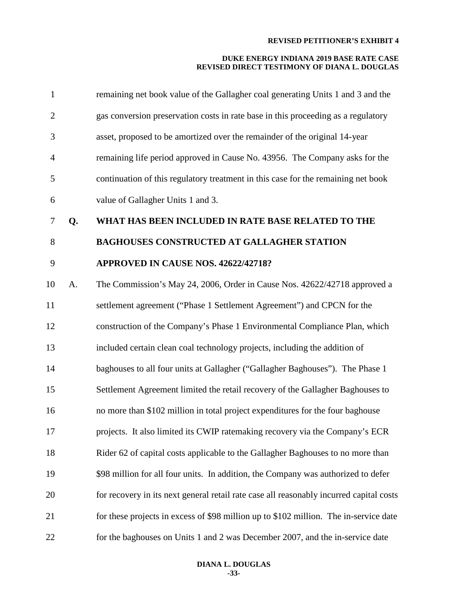| $\mathbf{1}$   |    | remaining net book value of the Gallagher coal generating Units 1 and 3 and the         |
|----------------|----|-----------------------------------------------------------------------------------------|
| $\overline{c}$ |    | gas conversion preservation costs in rate base in this proceeding as a regulatory       |
| 3              |    | asset, proposed to be amortized over the remainder of the original 14-year              |
| 4              |    | remaining life period approved in Cause No. 43956. The Company asks for the             |
| 5              |    | continuation of this regulatory treatment in this case for the remaining net book       |
| 6              |    | value of Gallagher Units 1 and 3.                                                       |
| 7              | Q. | WHAT HAS BEEN INCLUDED IN RATE BASE RELATED TO THE                                      |
| 8              |    | <b>BAGHOUSES CONSTRUCTED AT GALLAGHER STATION</b>                                       |
| 9              |    | APPROVED IN CAUSE NOS. 42622/42718?                                                     |
| 10             | A. | The Commission's May 24, 2006, Order in Cause Nos. 42622/42718 approved a               |
| 11             |    | settlement agreement ("Phase 1 Settlement Agreement") and CPCN for the                  |
| 12             |    | construction of the Company's Phase 1 Environmental Compliance Plan, which              |
| 13             |    | included certain clean coal technology projects, including the addition of              |
| 14             |    | baghouses to all four units at Gallagher ("Gallagher Baghouses"). The Phase 1           |
| 15             |    | Settlement Agreement limited the retail recovery of the Gallagher Baghouses to          |
| 16             |    | no more than \$102 million in total project expenditures for the four baghouse          |
| 17             |    | projects. It also limited its CWIP ratemaking recovery via the Company's ECR            |
| 18             |    | Rider 62 of capital costs applicable to the Gallagher Baghouses to no more than         |
| 19             |    | \$98 million for all four units. In addition, the Company was authorized to defer       |
| 20             |    | for recovery in its next general retail rate case all reasonably incurred capital costs |
| 21             |    | for these projects in excess of \$98 million up to \$102 million. The in-service date   |
| 22             |    | for the baghouses on Units 1 and 2 was December 2007, and the in-service date           |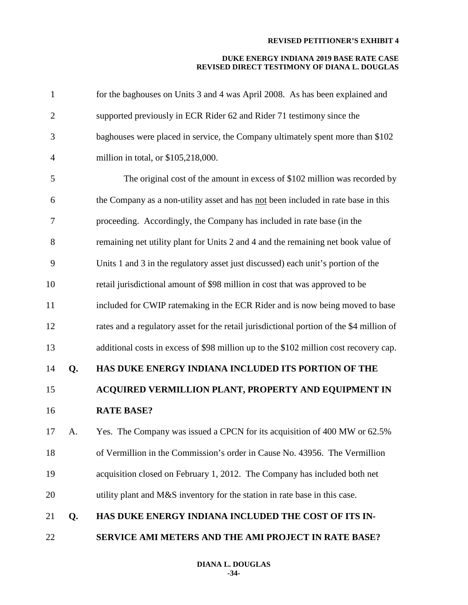| $\mathbf{1}$   |    | for the baghouses on Units 3 and 4 was April 2008. As has been explained and             |
|----------------|----|------------------------------------------------------------------------------------------|
| $\overline{2}$ |    | supported previously in ECR Rider 62 and Rider 71 testimony since the                    |
| 3              |    | baghouses were placed in service, the Company ultimately spent more than \$102           |
| $\overline{4}$ |    | million in total, or \$105,218,000.                                                      |
| 5              |    | The original cost of the amount in excess of \$102 million was recorded by               |
| 6              |    | the Company as a non-utility asset and has not been included in rate base in this        |
| 7              |    | proceeding. Accordingly, the Company has included in rate base (in the                   |
| 8              |    | remaining net utility plant for Units 2 and 4 and the remaining net book value of        |
| 9              |    | Units 1 and 3 in the regulatory asset just discussed) each unit's portion of the         |
| 10             |    | retail jurisdictional amount of \$98 million in cost that was approved to be             |
| 11             |    | included for CWIP ratemaking in the ECR Rider and is now being moved to base             |
| 12             |    | rates and a regulatory asset for the retail jurisdictional portion of the \$4 million of |
| 13             |    | additional costs in excess of \$98 million up to the \$102 million cost recovery cap.    |
| 14             | Q. | HAS DUKE ENERGY INDIANA INCLUDED ITS PORTION OF THE                                      |
| 15             |    | ACQUIRED VERMILLION PLANT, PROPERTY AND EQUIPMENT IN                                     |
| 16             |    | <b>RATE BASE?</b>                                                                        |
| 17             | A. | Yes. The Company was issued a CPCN for its acquisition of 400 MW or 62.5%                |
| 18             |    | of Vermillion in the Commission's order in Cause No. 43956. The Vermillion               |
| 19             |    | acquisition closed on February 1, 2012. The Company has included both net                |
| 20             |    | utility plant and M&S inventory for the station in rate base in this case.               |
| 21             | Q. | HAS DUKE ENERGY INDIANA INCLUDED THE COST OF ITS IN-                                     |
| 22             |    | SERVICE AMI METERS AND THE AMI PROJECT IN RATE BASE?                                     |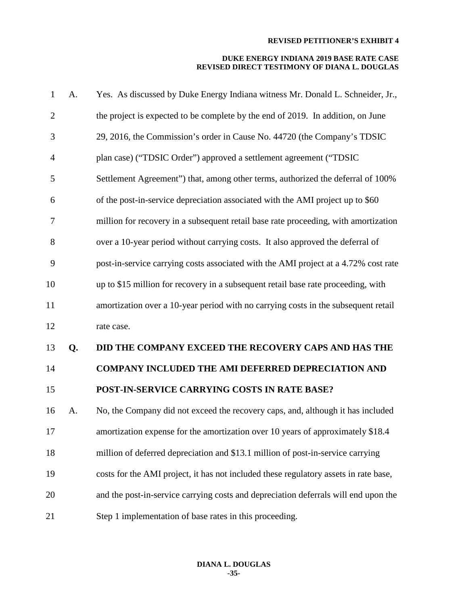| $\mathbf{1}$   | A. | Yes. As discussed by Duke Energy Indiana witness Mr. Donald L. Schneider, Jr.,       |
|----------------|----|--------------------------------------------------------------------------------------|
| $\overline{2}$ |    | the project is expected to be complete by the end of 2019. In addition, on June      |
| 3              |    | 29, 2016, the Commission's order in Cause No. 44720 (the Company's TDSIC             |
| $\overline{4}$ |    | plan case) ("TDSIC Order") approved a settlement agreement ("TDSIC                   |
| 5              |    | Settlement Agreement") that, among other terms, authorized the deferral of 100%      |
| 6              |    | of the post-in-service depreciation associated with the AMI project up to \$60       |
| 7              |    | million for recovery in a subsequent retail base rate proceeding, with amortization  |
| 8              |    | over a 10-year period without carrying costs. It also approved the deferral of       |
| 9              |    | post-in-service carrying costs associated with the AMI project at a 4.72% cost rate  |
| 10             |    | up to \$15 million for recovery in a subsequent retail base rate proceeding, with    |
| 11             |    | amortization over a 10-year period with no carrying costs in the subsequent retail   |
| 12             |    | rate case.                                                                           |
| 13             | Q. | DID THE COMPANY EXCEED THE RECOVERY CAPS AND HAS THE                                 |
| 14             |    | <b>COMPANY INCLUDED THE AMI DEFERRED DEPRECIATION AND</b>                            |
| 15             |    | POST-IN-SERVICE CARRYING COSTS IN RATE BASE?                                         |
| 16             | A. | No, the Company did not exceed the recovery caps, and, although it has included      |
| 17             |    | amortization expense for the amortization over 10 years of approximately \$18.4      |
| 18             |    | million of deferred depreciation and \$13.1 million of post-in-service carrying      |
| 19             |    | costs for the AMI project, it has not included these regulatory assets in rate base, |
| 20             |    | and the post-in-service carrying costs and depreciation deferrals will end upon the  |
| 21             |    | Step 1 implementation of base rates in this proceeding.                              |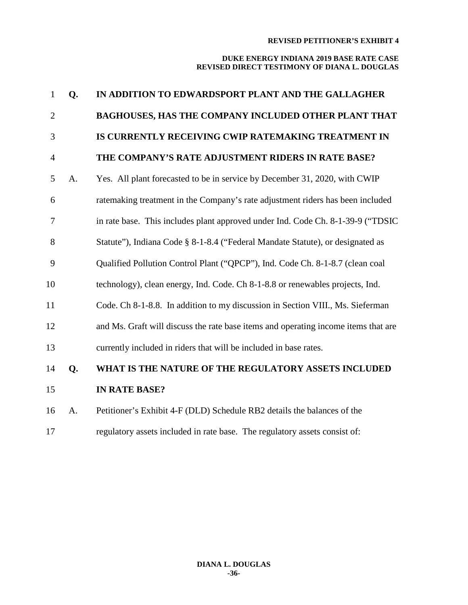| $\mathbf{1}$   | Q. | IN ADDITION TO EDWARDSPORT PLANT AND THE GALLAGHER                                 |
|----------------|----|------------------------------------------------------------------------------------|
| $\overline{2}$ |    | BAGHOUSES, HAS THE COMPANY INCLUDED OTHER PLANT THAT                               |
| 3              |    | IS CURRENTLY RECEIVING CWIP RATEMAKING TREATMENT IN                                |
| $\overline{4}$ |    | THE COMPANY'S RATE ADJUSTMENT RIDERS IN RATE BASE?                                 |
| 5              | A. | Yes. All plant forecasted to be in service by December 31, 2020, with CWIP         |
| 6              |    | ratemaking treatment in the Company's rate adjustment riders has been included     |
| 7              |    | in rate base. This includes plant approved under Ind. Code Ch. 8-1-39-9 ("TDSIC    |
| 8              |    | Statute"), Indiana Code § 8-1-8.4 ("Federal Mandate Statute), or designated as     |
| 9              |    | Qualified Pollution Control Plant ("QPCP"), Ind. Code Ch. 8-1-8.7 (clean coal      |
| 10             |    | technology), clean energy, Ind. Code. Ch 8-1-8.8 or renewables projects, Ind.      |
| 11             |    | Code. Ch 8-1-8.8. In addition to my discussion in Section VIII., Ms. Sieferman     |
| 12             |    | and Ms. Graft will discuss the rate base items and operating income items that are |
| 13             |    | currently included in riders that will be included in base rates.                  |
| 14             | Q. | WHAT IS THE NATURE OF THE REGULATORY ASSETS INCLUDED                               |
| 15             |    | <b>IN RATE BASE?</b>                                                               |
| 16             | A. | Petitioner's Exhibit 4-F (DLD) Schedule RB2 details the balances of the            |
| 17             |    | regulatory assets included in rate base. The regulatory assets consist of:         |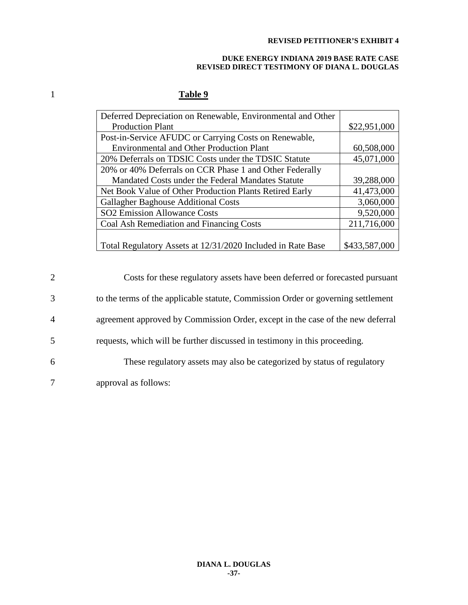#### **DUKE ENERGY INDIANA 2019 BASE RATE CASE REVISED DIRECT TESTIMONY OF DIANA L. DOUGLAS**

# 1 **Table 9**

| Deferred Depreciation on Renewable, Environmental and Other |               |
|-------------------------------------------------------------|---------------|
| <b>Production Plant</b>                                     | \$22,951,000  |
| Post-in-Service AFUDC or Carrying Costs on Renewable,       |               |
| <b>Environmental and Other Production Plant</b>             | 60,508,000    |
| 20% Deferrals on TDSIC Costs under the TDSIC Statute        | 45,071,000    |
| 20% or 40% Deferrals on CCR Phase 1 and Other Federally     |               |
| Mandated Costs under the Federal Mandates Statute           | 39,288,000    |
| Net Book Value of Other Production Plants Retired Early     | 41,473,000    |
| <b>Gallagher Baghouse Additional Costs</b>                  | 3,060,000     |
| <b>SO2</b> Emission Allowance Costs                         | 9,520,000     |
| Coal Ash Remediation and Financing Costs                    | 211,716,000   |
|                                                             |               |
| Total Regulatory Assets at 12/31/2020 Included in Rate Base | \$433,587,000 |

| 2              | Costs for these regulatory assets have been deferred or forecasted pursuant      |
|----------------|----------------------------------------------------------------------------------|
| 3              | to the terms of the applicable statute, Commission Order or governing settlement |
| $\overline{4}$ | agreement approved by Commission Order, except in the case of the new deferral   |
| 5              | requests, which will be further discussed in testimony in this proceeding.       |
| 6              | These regulatory assets may also be categorized by status of regulatory          |
| 7              | approval as follows:                                                             |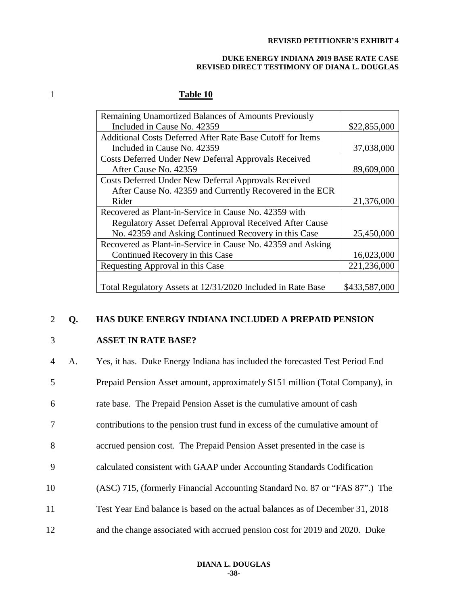#### **DUKE ENERGY INDIANA 2019 BASE RATE CASE REVISED DIRECT TESTIMONY OF DIANA L. DOUGLAS**

# 1 **Table 10**

| Remaining Unamortized Balances of Amounts Previously           |               |
|----------------------------------------------------------------|---------------|
| Included in Cause No. 42359                                    | \$22,855,000  |
| Additional Costs Deferred After Rate Base Cutoff for Items     |               |
| Included in Cause No. 42359                                    | 37,038,000    |
| Costs Deferred Under New Deferral Approvals Received           |               |
| After Cause No. 42359                                          | 89,609,000    |
| Costs Deferred Under New Deferral Approvals Received           |               |
| After Cause No. 42359 and Currently Recovered in the ECR       |               |
| Rider                                                          | 21,376,000    |
| Recovered as Plant-in-Service in Cause No. 42359 with          |               |
| <b>Regulatory Asset Deferral Approval Received After Cause</b> |               |
| No. 42359 and Asking Continued Recovery in this Case           | 25,450,000    |
| Recovered as Plant-in-Service in Cause No. 42359 and Asking    |               |
| Continued Recovery in this Case                                | 16,023,000    |
| Requesting Approval in this Case                               | 221,236,000   |
|                                                                |               |
| Total Regulatory Assets at 12/31/2020 Included in Rate Base    | \$433,587,000 |

## 2 **Q. HAS DUKE ENERGY INDIANA INCLUDED A PREPAID PENSION**

### 3 **ASSET IN RATE BASE?**

| $\overline{4}$ | А. | Yes, it has. Duke Energy Indiana has included the forecasted Test Period End  |
|----------------|----|-------------------------------------------------------------------------------|
| 5              |    | Prepaid Pension Asset amount, approximately \$151 million (Total Company), in |
| 6              |    | rate base. The Prepaid Pension Asset is the cumulative amount of cash         |
| 7              |    | contributions to the pension trust fund in excess of the cumulative amount of |
| 8              |    | accrued pension cost. The Prepaid Pension Asset presented in the case is      |
| 9              |    | calculated consistent with GAAP under Accounting Standards Codification       |
| 10             |    | (ASC) 715, (formerly Financial Accounting Standard No. 87 or "FAS 87".) The   |
| 11             |    | Test Year End balance is based on the actual balances as of December 31, 2018 |
| 12             |    | and the change associated with accrued pension cost for 2019 and 2020. Duke   |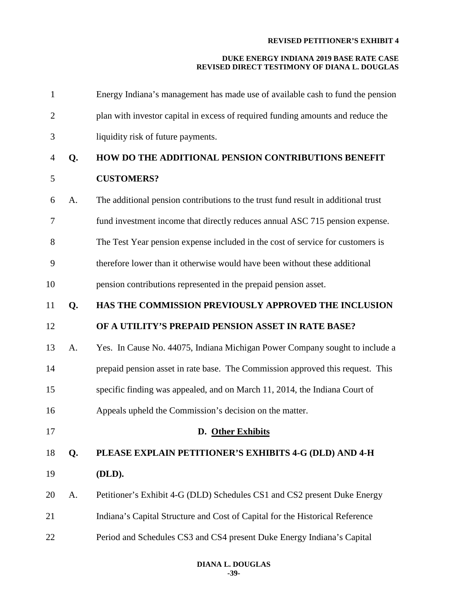| $\mathbf{1}$   |    | Energy Indiana's management has made use of available cash to fund the pension    |
|----------------|----|-----------------------------------------------------------------------------------|
| $\overline{2}$ |    | plan with investor capital in excess of required funding amounts and reduce the   |
| 3              |    | liquidity risk of future payments.                                                |
| 4              | Q. | HOW DO THE ADDITIONAL PENSION CONTRIBUTIONS BENEFIT                               |
| 5              |    | <b>CUSTOMERS?</b>                                                                 |
| 6              | A. | The additional pension contributions to the trust fund result in additional trust |
| 7              |    | fund investment income that directly reduces annual ASC 715 pension expense.      |
| 8              |    | The Test Year pension expense included in the cost of service for customers is    |
| 9              |    | therefore lower than it otherwise would have been without these additional        |
| 10             |    | pension contributions represented in the prepaid pension asset.                   |
| 11             | Q. | HAS THE COMMISSION PREVIOUSLY APPROVED THE INCLUSION                              |
| 12             |    | OF A UTILITY'S PREPAID PENSION ASSET IN RATE BASE?                                |
| 13             | A. | Yes. In Cause No. 44075, Indiana Michigan Power Company sought to include a       |
| 14             |    | prepaid pension asset in rate base. The Commission approved this request. This    |
| 15             |    | specific finding was appealed, and on March 11, 2014, the Indiana Court of        |
| 16             |    | Appeals upheld the Commission's decision on the matter.                           |
| 17             |    | D. Other Exhibits                                                                 |
| 18             | Q. | PLEASE EXPLAIN PETITIONER'S EXHIBITS 4-G (DLD) AND 4-H                            |
| 19             |    | (DLD).                                                                            |
| 20             | A. | Petitioner's Exhibit 4-G (DLD) Schedules CS1 and CS2 present Duke Energy          |
| 21             |    | Indiana's Capital Structure and Cost of Capital for the Historical Reference      |
| 22             |    | Period and Schedules CS3 and CS4 present Duke Energy Indiana's Capital            |
|                |    |                                                                                   |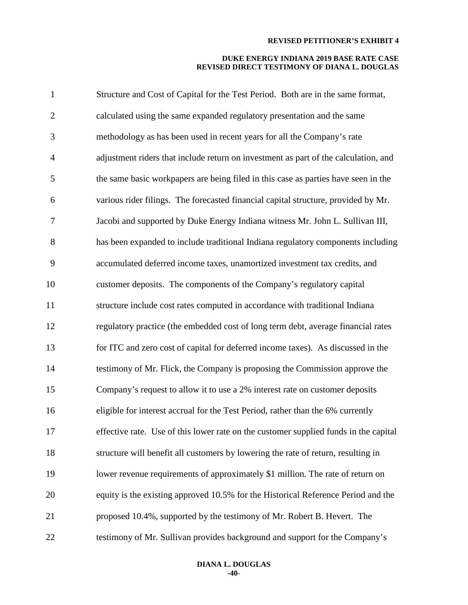| $\mathbf{1}$   | Structure and Cost of Capital for the Test Period. Both are in the same format,      |
|----------------|--------------------------------------------------------------------------------------|
| $\overline{2}$ | calculated using the same expanded regulatory presentation and the same              |
| 3              | methodology as has been used in recent years for all the Company's rate              |
| $\overline{4}$ | adjustment riders that include return on investment as part of the calculation, and  |
| 5              | the same basic workpapers are being filed in this case as parties have seen in the   |
| 6              | various rider filings. The forecasted financial capital structure, provided by Mr.   |
| $\tau$         | Jacobi and supported by Duke Energy Indiana witness Mr. John L. Sullivan III,        |
| 8              | has been expanded to include traditional Indiana regulatory components including     |
| 9              | accumulated deferred income taxes, unamortized investment tax credits, and           |
| 10             | customer deposits. The components of the Company's regulatory capital                |
| 11             | structure include cost rates computed in accordance with traditional Indiana         |
| 12             | regulatory practice (the embedded cost of long term debt, average financial rates    |
| 13             | for ITC and zero cost of capital for deferred income taxes). As discussed in the     |
| 14             | testimony of Mr. Flick, the Company is proposing the Commission approve the          |
| 15             | Company's request to allow it to use a 2% interest rate on customer deposits         |
| 16             | eligible for interest accrual for the Test Period, rather than the 6% currently      |
| 17             | effective rate. Use of this lower rate on the customer supplied funds in the capital |
| 18             | structure will benefit all customers by lowering the rate of return, resulting in    |
| 19             | lower revenue requirements of approximately \$1 million. The rate of return on       |
| 20             | equity is the existing approved 10.5% for the Historical Reference Period and the    |
| 21             | proposed 10.4%, supported by the testimony of Mr. Robert B. Hevert. The              |
| 22             | testimony of Mr. Sullivan provides background and support for the Company's          |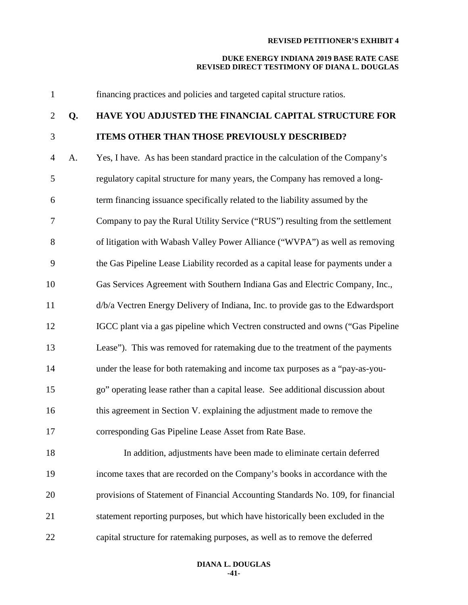| $\mathbf{1}$   |    | financing practices and policies and targeted capital structure ratios.           |
|----------------|----|-----------------------------------------------------------------------------------|
| $\overline{2}$ | Q. | HAVE YOU ADJUSTED THE FINANCIAL CAPITAL STRUCTURE FOR                             |
| $\mathfrak{Z}$ |    | <b>ITEMS OTHER THAN THOSE PREVIOUSLY DESCRIBED?</b>                               |
| $\overline{4}$ | A. | Yes, I have. As has been standard practice in the calculation of the Company's    |
| 5              |    | regulatory capital structure for many years, the Company has removed a long-      |
| 6              |    | term financing issuance specifically related to the liability assumed by the      |
| 7              |    | Company to pay the Rural Utility Service ("RUS") resulting from the settlement    |
| $8\,$          |    | of litigation with Wabash Valley Power Alliance ("WVPA") as well as removing      |
| 9              |    | the Gas Pipeline Lease Liability recorded as a capital lease for payments under a |
| 10             |    | Gas Services Agreement with Southern Indiana Gas and Electric Company, Inc.,      |
| 11             |    | d/b/a Vectren Energy Delivery of Indiana, Inc. to provide gas to the Edwardsport  |
| 12             |    | IGCC plant via a gas pipeline which Vectren constructed and owns ("Gas Pipeline   |
| 13             |    | Lease"). This was removed for ratemaking due to the treatment of the payments     |
| 14             |    | under the lease for both ratemaking and income tax purposes as a "pay-as-you-     |
| 15             |    | go" operating lease rather than a capital lease. See additional discussion about  |
| 16             |    | this agreement in Section V. explaining the adjustment made to remove the         |
| 17             |    | corresponding Gas Pipeline Lease Asset from Rate Base.                            |
| 18             |    | In addition, adjustments have been made to eliminate certain deferred             |
| 19             |    | income taxes that are recorded on the Company's books in accordance with the      |
| 20             |    | provisions of Statement of Financial Accounting Standards No. 109, for financial  |
| 21             |    | statement reporting purposes, but which have historically been excluded in the    |
| 22             |    | capital structure for ratemaking purposes, as well as to remove the deferred      |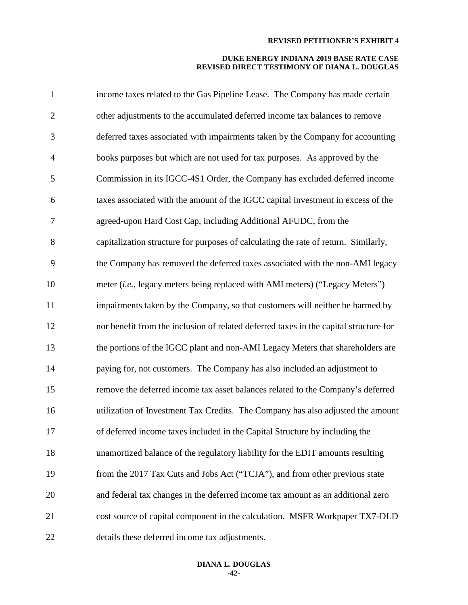#### **DUKE ENERGY INDIANA 2019 BASE RATE CASE REVISED DIRECT TESTIMONY OF DIANA L. DOUGLAS**

| $\mathbf{1}$   | income taxes related to the Gas Pipeline Lease. The Company has made certain          |
|----------------|---------------------------------------------------------------------------------------|
| $\overline{2}$ | other adjustments to the accumulated deferred income tax balances to remove           |
| 3              | deferred taxes associated with impairments taken by the Company for accounting        |
| $\overline{4}$ | books purposes but which are not used for tax purposes. As approved by the            |
| 5              | Commission in its IGCC-4S1 Order, the Company has excluded deferred income            |
| 6              | taxes associated with the amount of the IGCC capital investment in excess of the      |
| $\tau$         | agreed-upon Hard Cost Cap, including Additional AFUDC, from the                       |
| 8              | capitalization structure for purposes of calculating the rate of return. Similarly,   |
| 9              | the Company has removed the deferred taxes associated with the non-AMI legacy         |
| 10             | meter (i.e., legacy meters being replaced with AMI meters) ("Legacy Meters")          |
| 11             | impairments taken by the Company, so that customers will neither be harmed by         |
| 12             | nor benefit from the inclusion of related deferred taxes in the capital structure for |
| 13             | the portions of the IGCC plant and non-AMI Legacy Meters that shareholders are        |
| 14             | paying for, not customers. The Company has also included an adjustment to             |
| 15             | remove the deferred income tax asset balances related to the Company's deferred       |
| 16             | utilization of Investment Tax Credits. The Company has also adjusted the amount       |
| 17             | of deferred income taxes included in the Capital Structure by including the           |
| 18             | unamortized balance of the regulatory liability for the EDIT amounts resulting        |
| 19             | from the 2017 Tax Cuts and Jobs Act ("TCJA"), and from other previous state           |
| 20             | and federal tax changes in the deferred income tax amount as an additional zero       |
| 21             | cost source of capital component in the calculation. MSFR Workpaper TX7-DLD           |
| 22             | details these deferred income tax adjustments.                                        |

#### **DIANA L. DOUGLAS -42-**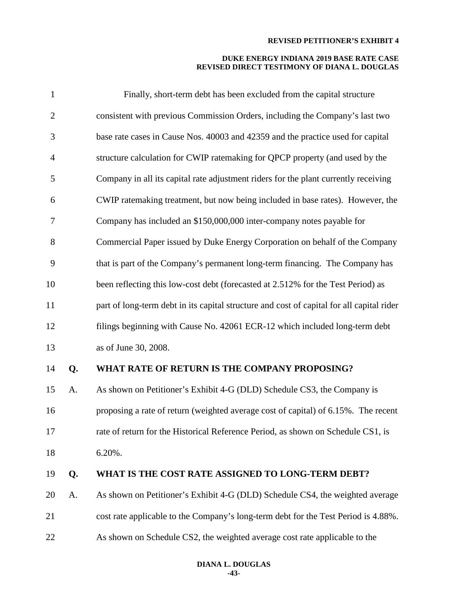| $\mathbf{1}$   |    | Finally, short-term debt has been excluded from the capital structure                     |
|----------------|----|-------------------------------------------------------------------------------------------|
| $\overline{2}$ |    | consistent with previous Commission Orders, including the Company's last two              |
| 3              |    | base rate cases in Cause Nos. 40003 and 42359 and the practice used for capital           |
| $\overline{4}$ |    | structure calculation for CWIP ratemaking for QPCP property (and used by the              |
| 5              |    | Company in all its capital rate adjustment riders for the plant currently receiving       |
| 6              |    | CWIP ratemaking treatment, but now being included in base rates). However, the            |
| 7              |    | Company has included an \$150,000,000 inter-company notes payable for                     |
| 8              |    | Commercial Paper issued by Duke Energy Corporation on behalf of the Company               |
| 9              |    | that is part of the Company's permanent long-term financing. The Company has              |
| 10             |    | been reflecting this low-cost debt (forecasted at 2.512% for the Test Period) as          |
| 11             |    | part of long-term debt in its capital structure and cost of capital for all capital rider |
| 12             |    | filings beginning with Cause No. 42061 ECR-12 which included long-term debt               |
| 13             |    | as of June 30, 2008.                                                                      |
| 14             | Q. | WHAT RATE OF RETURN IS THE COMPANY PROPOSING?                                             |
| 15             | A. | As shown on Petitioner's Exhibit 4-G (DLD) Schedule CS3, the Company is                   |
| 16             |    | proposing a rate of return (weighted average cost of capital) of 6.15%. The recent        |
| 17             |    | rate of return for the Historical Reference Period, as shown on Schedule CS1, is          |
| 18             |    | 6.20%.                                                                                    |
| 19             | Q. | WHAT IS THE COST RATE ASSIGNED TO LONG-TERM DEBT?                                         |
| 20             | A. | As shown on Petitioner's Exhibit 4-G (DLD) Schedule CS4, the weighted average             |
| 21             |    | cost rate applicable to the Company's long-term debt for the Test Period is 4.88%.        |
| 22             |    | As shown on Schedule CS2, the weighted average cost rate applicable to the                |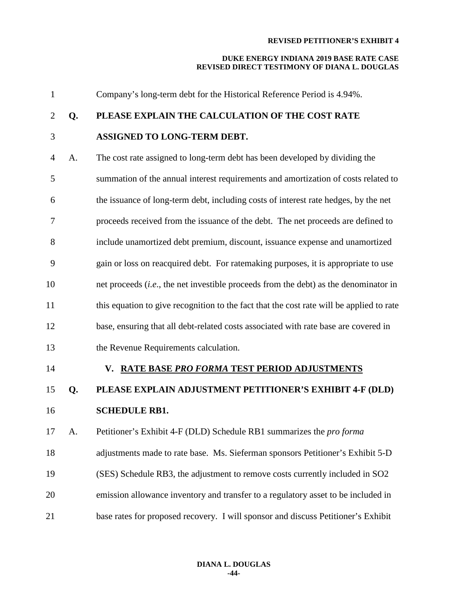#### **DUKE ENERGY INDIANA 2019 BASE RATE CASE REVISED DIRECT TESTIMONY OF DIANA L. DOUGLAS**

 Company's long-term debt for the Historical Reference Period is 4.94%. **Q. PLEASE EXPLAIN THE CALCULATION OF THE COST RATE ASSIGNED TO LONG-TERM DEBT.** A. The cost rate assigned to long-term debt has been developed by dividing the summation of the annual interest requirements and amortization of costs related to the issuance of long-term debt, including costs of interest rate hedges, by the net proceeds received from the issuance of the debt. The net proceeds are defined to include unamortized debt premium, discount, issuance expense and unamortized gain or loss on reacquired debt. For ratemaking purposes, it is appropriate to use net proceeds (*i.e*., the net investible proceeds from the debt) as the denominator in this equation to give recognition to the fact that the cost rate will be applied to rate base, ensuring that all debt-related costs associated with rate base are covered in the Revenue Requirements calculation. **V. RATE BASE** *PRO FORMA* **TEST PERIOD ADJUSTMENTS Q. PLEASE EXPLAIN ADJUSTMENT PETITIONER'S EXHIBIT 4-F (DLD) SCHEDULE RB1.** A. Petitioner's Exhibit 4-F (DLD) Schedule RB1 summarizes the *pro forma* adjustments made to rate base. Ms. Sieferman sponsors Petitioner's Exhibit 5-D (SES) Schedule RB3, the adjustment to remove costs currently included in SO2 emission allowance inventory and transfer to a regulatory asset to be included in base rates for proposed recovery. I will sponsor and discuss Petitioner's Exhibit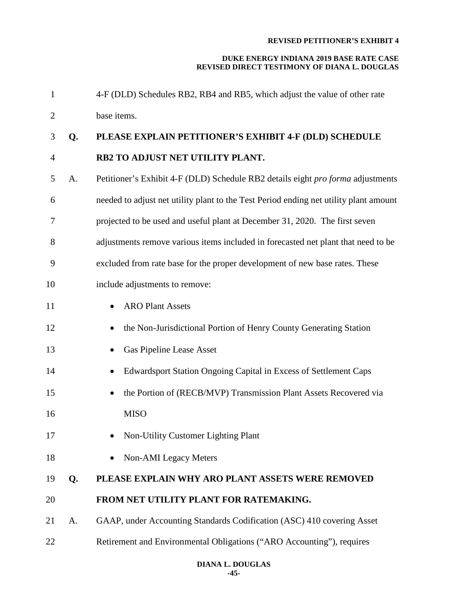| 1              |    | 4-F (DLD) Schedules RB2, RB4 and RB5, which adjust the value of other rate            |
|----------------|----|---------------------------------------------------------------------------------------|
| $\overline{2}$ |    | base items.                                                                           |
| 3              | Q. | PLEASE EXPLAIN PETITIONER'S EXHIBIT 4-F (DLD) SCHEDULE                                |
| $\overline{4}$ |    | RB2 TO ADJUST NET UTILITY PLANT.                                                      |
| 5              | A. | Petitioner's Exhibit 4-F (DLD) Schedule RB2 details eight pro forma adjustments       |
| 6              |    | needed to adjust net utility plant to the Test Period ending net utility plant amount |
| 7              |    | projected to be used and useful plant at December 31, 2020. The first seven           |
| 8              |    | adjustments remove various items included in forecasted net plant that need to be     |
| 9              |    | excluded from rate base for the proper development of new base rates. These           |
| 10             |    | include adjustments to remove:                                                        |
| 11             |    | <b>ARO Plant Assets</b><br>$\bullet$                                                  |
| 12             |    | the Non-Jurisdictional Portion of Henry County Generating Station                     |
| 13             |    | Gas Pipeline Lease Asset                                                              |
| 14             |    | Edwardsport Station Ongoing Capital in Excess of Settlement Caps                      |
| 15             |    | the Portion of (RECB/MVP) Transmission Plant Assets Recovered via<br>$\bullet$        |
| 16             |    | <b>MISO</b>                                                                           |
| 17             |    | <b>Non-Utility Customer Lighting Plant</b>                                            |
| 18             |    | <b>Non-AMI</b> Legacy Meters                                                          |
| 19             | Q. | PLEASE EXPLAIN WHY ARO PLANT ASSETS WERE REMOVED                                      |
| 20             |    | FROM NET UTILITY PLANT FOR RATEMAKING.                                                |
| 21             | A. | GAAP, under Accounting Standards Codification (ASC) 410 covering Asset                |
| 22             |    | Retirement and Environmental Obligations ("ARO Accounting"), requires                 |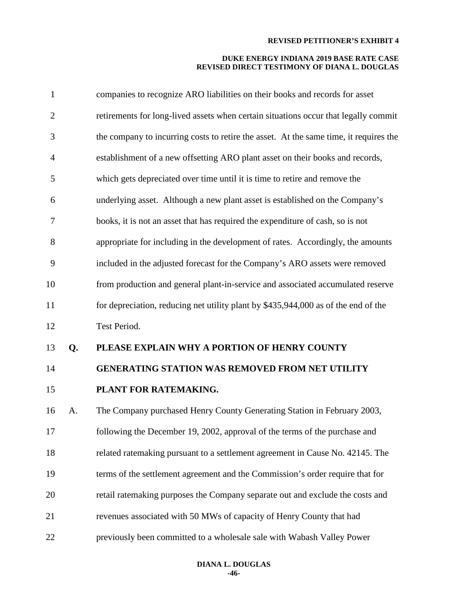| $\mathbf{1}$   |    | companies to recognize ARO liabilities on their books and records for asset           |
|----------------|----|---------------------------------------------------------------------------------------|
| $\overline{2}$ |    | retirements for long-lived assets when certain situations occur that legally commit   |
| 3              |    | the company to incurring costs to retire the asset. At the same time, it requires the |
| $\overline{4}$ |    | establishment of a new offsetting ARO plant asset on their books and records,         |
| 5              |    | which gets depreciated over time until it is time to retire and remove the            |
| 6              |    | underlying asset. Although a new plant asset is established on the Company's          |
| 7              |    | books, it is not an asset that has required the expenditure of cash, so is not        |
| $8\,$          |    | appropriate for including in the development of rates. Accordingly, the amounts       |
| 9              |    | included in the adjusted forecast for the Company's ARO assets were removed           |
| 10             |    | from production and general plant-in-service and associated accumulated reserve       |
| 11             |    | for depreciation, reducing net utility plant by \$435,944,000 as of the end of the    |
| 12             |    | Test Period.                                                                          |
| 13             | Q. | PLEASE EXPLAIN WHY A PORTION OF HENRY COUNTY                                          |
| 14             |    | <b>GENERATING STATION WAS REMOVED FROM NET UTILITY</b>                                |
| 15             |    | PLANT FOR RATEMAKING.                                                                 |
| 16             | A. | The Company purchased Henry County Generating Station in February 2003,               |
| 17             |    | following the December 19, 2002, approval of the terms of the purchase and            |
| 18             |    | related ratemaking pursuant to a settlement agreement in Cause No. 42145. The         |
| 19             |    | terms of the settlement agreement and the Commission's order require that for         |
| 20             |    | retail ratemaking purposes the Company separate out and exclude the costs and         |
| 21             |    | revenues associated with 50 MWs of capacity of Henry County that had                  |
| 22             |    | previously been committed to a wholesale sale with Wabash Valley Power                |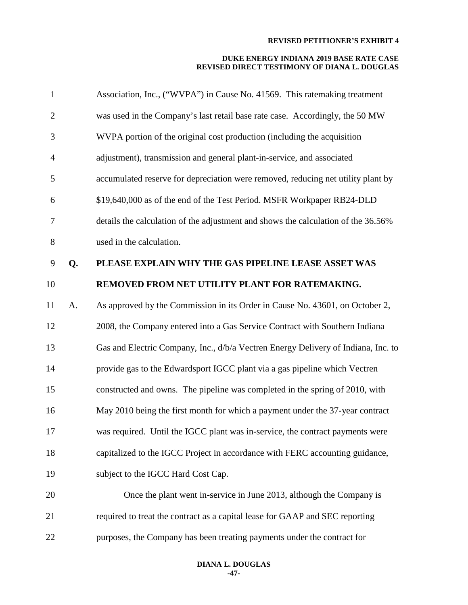| $\mathbf{1}$   |    | Association, Inc., ("WVPA") in Cause No. 41569. This ratemaking treatment         |
|----------------|----|-----------------------------------------------------------------------------------|
| $\overline{2}$ |    | was used in the Company's last retail base rate case. Accordingly, the 50 MW      |
| 3              |    | WVPA portion of the original cost production (including the acquisition           |
| $\overline{4}$ |    | adjustment), transmission and general plant-in-service, and associated            |
| 5              |    | accumulated reserve for depreciation were removed, reducing net utility plant by  |
| 6              |    | \$19,640,000 as of the end of the Test Period. MSFR Workpaper RB24-DLD            |
| 7              |    | details the calculation of the adjustment and shows the calculation of the 36.56% |
| $8\,$          |    | used in the calculation.                                                          |
| 9              | Q. | PLEASE EXPLAIN WHY THE GAS PIPELINE LEASE ASSET WAS                               |
| 10             |    | REMOVED FROM NET UTILITY PLANT FOR RATEMAKING.                                    |
| 11             | A. | As approved by the Commission in its Order in Cause No. 43601, on October 2,      |
| 12             |    | 2008, the Company entered into a Gas Service Contract with Southern Indiana       |
| 13             |    | Gas and Electric Company, Inc., d/b/a Vectren Energy Delivery of Indiana, Inc. to |
| 14             |    | provide gas to the Edwardsport IGCC plant via a gas pipeline which Vectren        |
| 15             |    | constructed and owns. The pipeline was completed in the spring of 2010, with      |
| 16             |    | May 2010 being the first month for which a payment under the 37-year contract     |
| 17             |    | was required. Until the IGCC plant was in-service, the contract payments were     |
| 18             |    | capitalized to the IGCC Project in accordance with FERC accounting guidance,      |
| 19             |    | subject to the IGCC Hard Cost Cap.                                                |
| 20             |    | Once the plant went in-service in June 2013, although the Company is              |
| 21             |    | required to treat the contract as a capital lease for GAAP and SEC reporting      |
| 22             |    | purposes, the Company has been treating payments under the contract for           |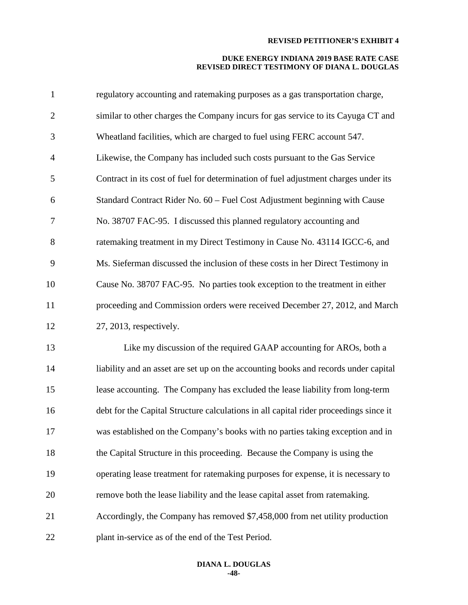| $\mathbf{1}$   | regulatory accounting and ratemaking purposes as a gas transportation charge,         |
|----------------|---------------------------------------------------------------------------------------|
| $\overline{c}$ | similar to other charges the Company incurs for gas service to its Cayuga CT and      |
| 3              | Wheatland facilities, which are charged to fuel using FERC account 547.               |
| 4              | Likewise, the Company has included such costs pursuant to the Gas Service             |
| 5              | Contract in its cost of fuel for determination of fuel adjustment charges under its   |
| 6              | Standard Contract Rider No. 60 – Fuel Cost Adjustment beginning with Cause            |
| 7              | No. 38707 FAC-95. I discussed this planned regulatory accounting and                  |
| 8              | ratemaking treatment in my Direct Testimony in Cause No. 43114 IGCC-6, and            |
| 9              | Ms. Sieferman discussed the inclusion of these costs in her Direct Testimony in       |
| 10             | Cause No. 38707 FAC-95. No parties took exception to the treatment in either          |
| 11             | proceeding and Commission orders were received December 27, 2012, and March           |
| 12             | 27, 2013, respectively.                                                               |
| 13             | Like my discussion of the required GAAP accounting for AROs, both a                   |
| 14             | liability and an asset are set up on the accounting books and records under capital   |
| 15             | lease accounting. The Company has excluded the lease liability from long-term         |
| 16             | debt for the Capital Structure calculations in all capital rider proceedings since it |
| 17             | was established on the Company's books with no parties taking exception and in        |
| 18             |                                                                                       |
|                | the Capital Structure in this proceeding. Because the Company is using the            |
| 19             | operating lease treatment for ratemaking purposes for expense, it is necessary to     |
| 20             | remove both the lease liability and the lease capital asset from ratemaking.          |
| 21             | Accordingly, the Company has removed \$7,458,000 from net utility production          |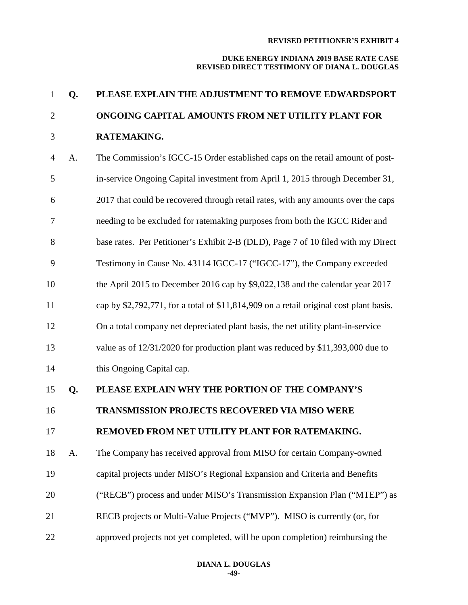| $\mathbf{1}$   | Q. | PLEASE EXPLAIN THE ADJUSTMENT TO REMOVE EDWARDSPORT                                    |
|----------------|----|----------------------------------------------------------------------------------------|
| $\overline{2}$ |    | ONGOING CAPITAL AMOUNTS FROM NET UTILITY PLANT FOR                                     |
| 3              |    | RATEMAKING.                                                                            |
| $\overline{4}$ | A. | The Commission's IGCC-15 Order established caps on the retail amount of post-          |
| 5              |    | in-service Ongoing Capital investment from April 1, 2015 through December 31,          |
| 6              |    | 2017 that could be recovered through retail rates, with any amounts over the caps      |
| 7              |    | needing to be excluded for ratemaking purposes from both the IGCC Rider and            |
| 8              |    | base rates. Per Petitioner's Exhibit 2-B (DLD), Page 7 of 10 filed with my Direct      |
| 9              |    | Testimony in Cause No. 43114 IGCC-17 ("IGCC-17"), the Company exceeded                 |
| 10             |    | the April 2015 to December 2016 cap by \$9,022,138 and the calendar year 2017          |
| 11             |    | cap by \$2,792,771, for a total of \$11,814,909 on a retail original cost plant basis. |
| 12             |    | On a total company net depreciated plant basis, the net utility plant-in-service       |
| 13             |    | value as of 12/31/2020 for production plant was reduced by \$11,393,000 due to         |
| 14             |    | this Ongoing Capital cap.                                                              |
| 15             | Q. | PLEASE EXPLAIN WHY THE PORTION OF THE COMPANY'S                                        |
| 16             |    | <b>TRANSMISSION PROJECTS RECOVERED VIA MISO WERE</b>                                   |
| 17             |    | REMOVED FROM NET UTILITY PLANT FOR RATEMAKING.                                         |
| 18             | A. | The Company has received approval from MISO for certain Company-owned                  |
| 19             |    | capital projects under MISO's Regional Expansion and Criteria and Benefits             |
| 20             |    | ("RECB") process and under MISO's Transmission Expansion Plan ("MTEP") as              |
| 21             |    | RECB projects or Multi-Value Projects ("MVP"). MISO is currently (or, for              |
| 22             |    | approved projects not yet completed, will be upon completion) reimbursing the          |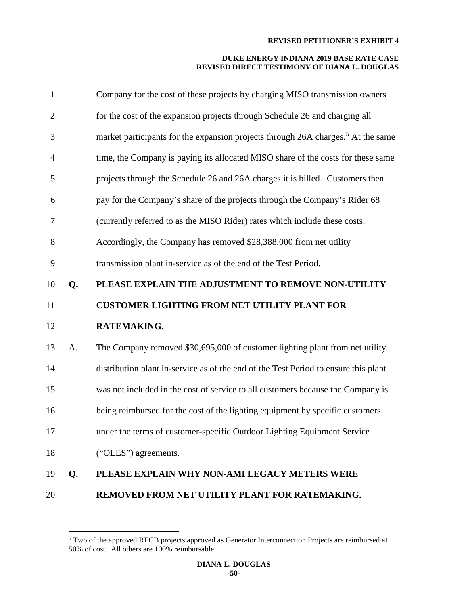| $\mathbf{1}$   |    | Company for the cost of these projects by charging MISO transmission owners                  |
|----------------|----|----------------------------------------------------------------------------------------------|
| $\overline{2}$ |    | for the cost of the expansion projects through Schedule 26 and charging all                  |
| 3              |    | market participants for the expansion projects through 26A charges. <sup>5</sup> At the same |
| $\overline{4}$ |    | time, the Company is paying its allocated MISO share of the costs for these same             |
| 5              |    | projects through the Schedule 26 and 26A charges it is billed. Customers then                |
| 6              |    | pay for the Company's share of the projects through the Company's Rider 68                   |
| 7              |    | (currently referred to as the MISO Rider) rates which include these costs.                   |
| 8              |    | Accordingly, the Company has removed \$28,388,000 from net utility                           |
| 9              |    | transmission plant in-service as of the end of the Test Period.                              |
| 10             | Q. | PLEASE EXPLAIN THE ADJUSTMENT TO REMOVE NON-UTILITY                                          |
| 11             |    | <b>CUSTOMER LIGHTING FROM NET UTILITY PLANT FOR</b>                                          |
| 12             |    | RATEMAKING.                                                                                  |
| 13             | A. | The Company removed \$30,695,000 of customer lighting plant from net utility                 |
| 14             |    | distribution plant in-service as of the end of the Test Period to ensure this plant          |
| 15             |    | was not included in the cost of service to all customers because the Company is              |
| 16             |    | being reimbursed for the cost of the lighting equipment by specific customers                |
| 17             |    | under the terms of customer-specific Outdoor Lighting Equipment Service                      |
| 18             |    | ("OLES") agreements.                                                                         |
| 19             | Q. | PLEASE EXPLAIN WHY NON-AMI LEGACY METERS WERE                                                |
| 20             |    | REMOVED FROM NET UTILITY PLANT FOR RATEMAKING.                                               |

<span id="page-50-0"></span><sup>&</sup>lt;sup>5</sup> Two of the approved RECB projects approved as Generator Interconnection Projects are reimbursed at 50% of cost. All others are 100% reimbursable.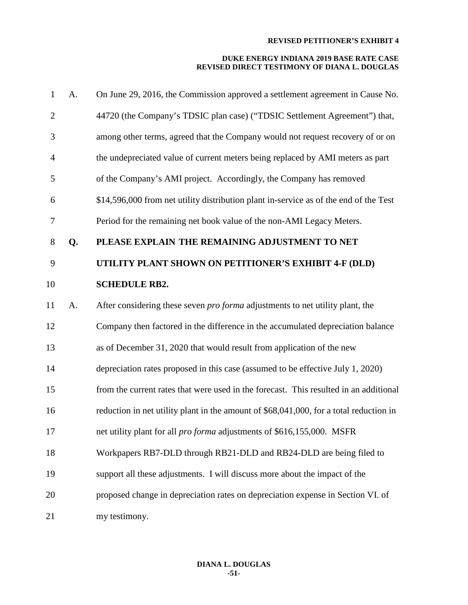| $\mathbf{1}$   | A. | On June 29, 2016, the Commission approved a settlement agreement in Cause No.          |
|----------------|----|----------------------------------------------------------------------------------------|
| $\overline{2}$ |    | 44720 (the Company's TDSIC plan case) ("TDSIC Settlement Agreement") that,             |
| 3              |    | among other terms, agreed that the Company would not request recovery of or on         |
| $\overline{4}$ |    | the undepreciated value of current meters being replaced by AMI meters as part         |
| 5              |    | of the Company's AMI project. Accordingly, the Company has removed                     |
| 6              |    | \$14,596,000 from net utility distribution plant in-service as of the end of the Test  |
| 7              |    | Period for the remaining net book value of the non-AMI Legacy Meters.                  |
| $8\,$          | Q. | PLEASE EXPLAIN THE REMAINING ADJUSTMENT TO NET                                         |
| 9              |    | UTILITY PLANT SHOWN ON PETITIONER'S EXHIBIT 4-F (DLD)                                  |
| 10             |    | <b>SCHEDULE RB2.</b>                                                                   |
| 11             | A. | After considering these seven <i>pro forma</i> adjustments to net utility plant, the   |
| 12             |    | Company then factored in the difference in the accumulated depreciation balance        |
| 13             |    | as of December 31, 2020 that would result from application of the new                  |
| 14             |    | depreciation rates proposed in this case (assumed to be effective July 1, 2020)        |
| 15             |    | from the current rates that were used in the forecast. This resulted in an additional  |
| 16             |    | reduction in net utility plant in the amount of \$68,041,000, for a total reduction in |
| 17             |    | net utility plant for all <i>pro forma</i> adjustments of \$616,155,000. MSFR          |
| 18             |    | Workpapers RB7-DLD through RB21-DLD and RB24-DLD are being filed to                    |
| 19             |    | support all these adjustments. I will discuss more about the impact of the             |
| 20             |    | proposed change in depreciation rates on depreciation expense in Section VI. of        |
| 21             |    | my testimony.                                                                          |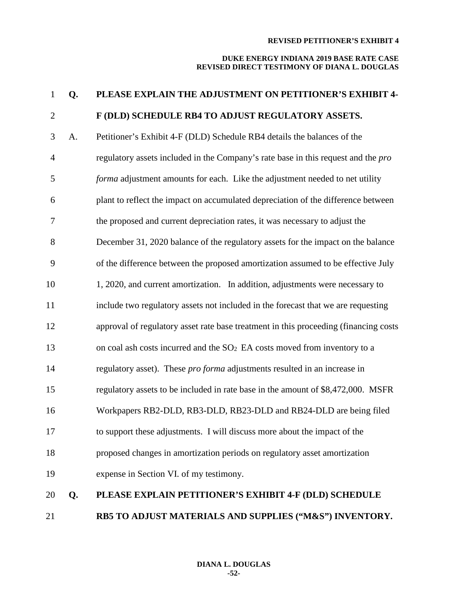| $\mathbf{1}$     | Q. | PLEASE EXPLAIN THE ADJUSTMENT ON PETITIONER'S EXHIBIT 4-                                 |
|------------------|----|------------------------------------------------------------------------------------------|
| $\mathbf{2}$     |    | F (DLD) SCHEDULE RB4 TO ADJUST REGULATORY ASSETS.                                        |
| 3                | A. | Petitioner's Exhibit 4-F (DLD) Schedule RB4 details the balances of the                  |
| $\overline{4}$   |    | regulatory assets included in the Company's rate base in this request and the <i>pro</i> |
| 5                |    | forma adjustment amounts for each. Like the adjustment needed to net utility             |
| 6                |    | plant to reflect the impact on accumulated depreciation of the difference between        |
| $\boldsymbol{7}$ |    | the proposed and current depreciation rates, it was necessary to adjust the              |
| $8\,$            |    | December 31, 2020 balance of the regulatory assets for the impact on the balance         |
| 9                |    | of the difference between the proposed amortization assumed to be effective July         |
| 10               |    | 1, 2020, and current amortization. In addition, adjustments were necessary to            |
| 11               |    | include two regulatory assets not included in the forecast that we are requesting        |
| 12               |    | approval of regulatory asset rate base treatment in this proceeding (financing costs     |
| 13               |    | on coal ash costs incurred and the SO <sub>2</sub> EA costs moved from inventory to a    |
| 14               |    | regulatory asset). These pro forma adjustments resulted in an increase in                |
| 15               |    | regulatory assets to be included in rate base in the amount of \$8,472,000. MSFR         |
| 16               |    | Workpapers RB2-DLD, RB3-DLD, RB23-DLD and RB24-DLD are being filed                       |
| 17               |    | to support these adjustments. I will discuss more about the impact of the                |
| 18               |    | proposed changes in amortization periods on regulatory asset amortization                |
| 19               |    | expense in Section VI. of my testimony.                                                  |
| 20               | Q. | PLEASE EXPLAIN PETITIONER'S EXHIBIT 4-F (DLD) SCHEDULE                                   |
| 21               |    | RB5 TO ADJUST MATERIALS AND SUPPLIES ("M&S") INVENTORY.                                  |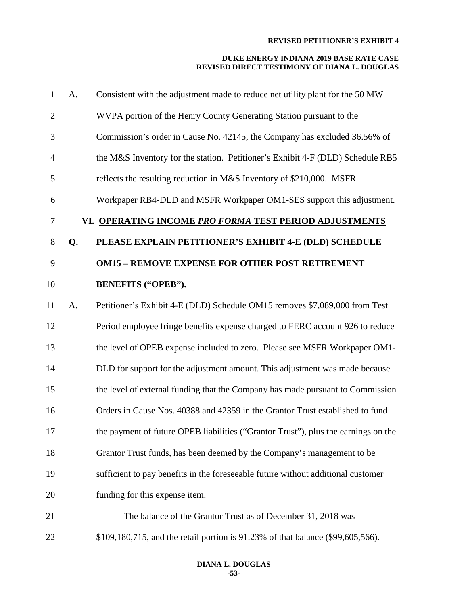| A. | Consistent with the adjustment made to reduce net utility plant for the 50 MW      |
|----|------------------------------------------------------------------------------------|
|    | WVPA portion of the Henry County Generating Station pursuant to the                |
|    | Commission's order in Cause No. 42145, the Company has excluded 36.56% of          |
|    | the M&S Inventory for the station. Petitioner's Exhibit 4-F (DLD) Schedule RB5     |
|    | reflects the resulting reduction in M&S Inventory of \$210,000. MSFR               |
|    | Workpaper RB4-DLD and MSFR Workpaper OM1-SES support this adjustment.              |
|    | VI. OPERATING INCOME PRO FORMA TEST PERIOD ADJUSTMENTS                             |
| Q. | PLEASE EXPLAIN PETITIONER'S EXHIBIT 4-E (DLD) SCHEDULE                             |
|    | <b>OM15 - REMOVE EXPENSE FOR OTHER POST RETIREMENT</b>                             |
|    | <b>BENEFITS ("OPEB").</b>                                                          |
| A. | Petitioner's Exhibit 4-E (DLD) Schedule OM15 removes \$7,089,000 from Test         |
|    | Period employee fringe benefits expense charged to FERC account 926 to reduce      |
|    | the level of OPEB expense included to zero. Please see MSFR Workpaper OM1-         |
|    | DLD for support for the adjustment amount. This adjustment was made because        |
|    | the level of external funding that the Company has made pursuant to Commission     |
|    | Orders in Cause Nos. 40388 and 42359 in the Grantor Trust established to fund      |
|    | the payment of future OPEB liabilities ("Grantor Trust"), plus the earnings on the |
|    | Grantor Trust funds, has been deemed by the Company's management to be             |
|    | sufficient to pay benefits in the foreseeable future without additional customer   |
|    | funding for this expense item.                                                     |
|    | The balance of the Grantor Trust as of December 31, 2018 was                       |
|    | \$109,180,715, and the retail portion is 91.23% of that balance (\$99,605,566).    |
|    |                                                                                    |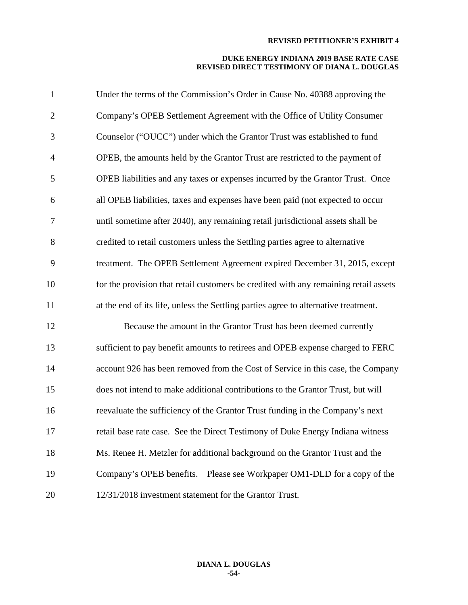| $\mathbf{1}$   | Under the terms of the Commission's Order in Cause No. 40388 approving the           |
|----------------|--------------------------------------------------------------------------------------|
| $\overline{2}$ | Company's OPEB Settlement Agreement with the Office of Utility Consumer              |
| 3              | Counselor ("OUCC") under which the Grantor Trust was established to fund             |
| $\overline{4}$ | OPEB, the amounts held by the Grantor Trust are restricted to the payment of         |
| 5              | OPEB liabilities and any taxes or expenses incurred by the Grantor Trust. Once       |
| 6              | all OPEB liabilities, taxes and expenses have been paid (not expected to occur       |
| 7              | until sometime after 2040), any remaining retail jurisdictional assets shall be      |
| $8\,$          | credited to retail customers unless the Settling parties agree to alternative        |
| 9              | treatment. The OPEB Settlement Agreement expired December 31, 2015, except           |
| 10             | for the provision that retail customers be credited with any remaining retail assets |
| 11             | at the end of its life, unless the Settling parties agree to alternative treatment.  |
| 12             | Because the amount in the Grantor Trust has been deemed currently                    |
| 13             | sufficient to pay benefit amounts to retirees and OPEB expense charged to FERC       |
| 14             | account 926 has been removed from the Cost of Service in this case, the Company      |
| 15             | does not intend to make additional contributions to the Grantor Trust, but will      |
| 16             | reevaluate the sufficiency of the Grantor Trust funding in the Company's next        |
| 17             | retail base rate case. See the Direct Testimony of Duke Energy Indiana witness       |
| 18             | Ms. Renee H. Metzler for additional background on the Grantor Trust and the          |
| 19             | Company's OPEB benefits. Please see Workpaper OM1-DLD for a copy of the              |
| 20             | 12/31/2018 investment statement for the Grantor Trust.                               |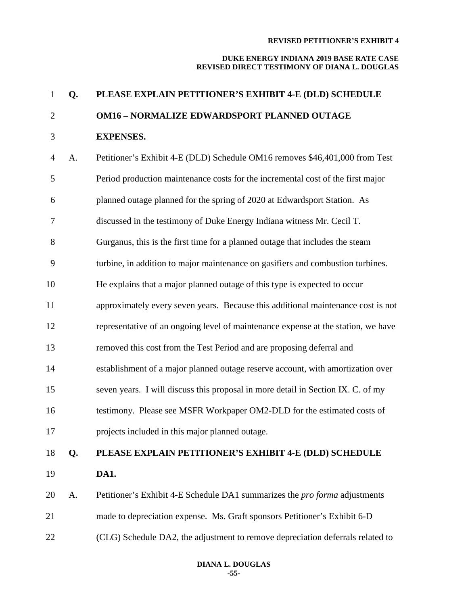| $\mathbf{1}$   | Q. | PLEASE EXPLAIN PETITIONER'S EXHIBIT 4-E (DLD) SCHEDULE                            |
|----------------|----|-----------------------------------------------------------------------------------|
| $\overline{2}$ |    | <b>OM16 - NORMALIZE EDWARDSPORT PLANNED OUTAGE</b>                                |
| 3              |    | <b>EXPENSES.</b>                                                                  |
| $\overline{4}$ | A. | Petitioner's Exhibit 4-E (DLD) Schedule OM16 removes \$46,401,000 from Test       |
| 5              |    | Period production maintenance costs for the incremental cost of the first major   |
| 6              |    | planned outage planned for the spring of 2020 at Edwardsport Station. As          |
| 7              |    | discussed in the testimony of Duke Energy Indiana witness Mr. Cecil T.            |
| 8              |    | Gurganus, this is the first time for a planned outage that includes the steam     |
| 9              |    | turbine, in addition to major maintenance on gasifiers and combustion turbines.   |
| 10             |    | He explains that a major planned outage of this type is expected to occur         |
| 11             |    | approximately every seven years. Because this additional maintenance cost is not  |
| 12             |    | representative of an ongoing level of maintenance expense at the station, we have |
| 13             |    | removed this cost from the Test Period and are proposing deferral and             |
| 14             |    | establishment of a major planned outage reserve account, with amortization over   |
| 15             |    | seven years. I will discuss this proposal in more detail in Section IX. C. of my  |
| 16             |    | testimony. Please see MSFR Workpaper OM2-DLD for the estimated costs of           |
| 17             |    | projects included in this major planned outage.                                   |
| 18             | Q. | PLEASE EXPLAIN PETITIONER'S EXHIBIT 4-E (DLD) SCHEDULE                            |
| 19             |    | DA1.                                                                              |
| 20             | A. | Petitioner's Exhibit 4-E Schedule DA1 summarizes the <i>pro forma</i> adjustments |
| 21             |    | made to depreciation expense. Ms. Graft sponsors Petitioner's Exhibit 6-D         |
| 22             |    | (CLG) Schedule DA2, the adjustment to remove depreciation deferrals related to    |
|                |    |                                                                                   |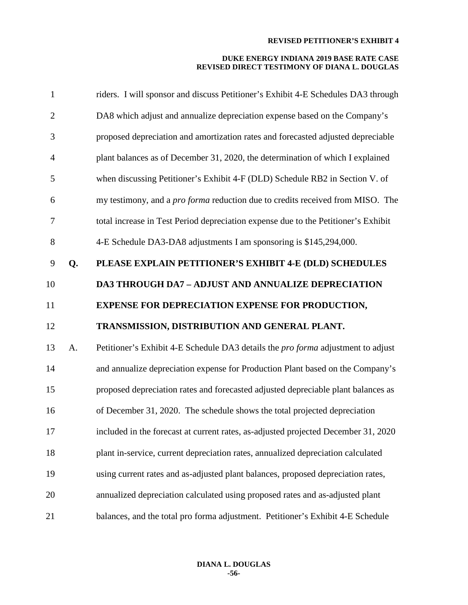| 1              |    | riders. I will sponsor and discuss Petitioner's Exhibit 4-E Schedules DA3 through     |
|----------------|----|---------------------------------------------------------------------------------------|
| $\overline{2}$ |    | DA8 which adjust and annualize depreciation expense based on the Company's            |
| 3              |    | proposed depreciation and amortization rates and forecasted adjusted depreciable      |
| $\overline{4}$ |    | plant balances as of December 31, 2020, the determination of which I explained        |
| 5              |    | when discussing Petitioner's Exhibit 4-F (DLD) Schedule RB2 in Section V. of          |
| 6              |    | my testimony, and a <i>pro forma</i> reduction due to credits received from MISO. The |
| 7              |    | total increase in Test Period depreciation expense due to the Petitioner's Exhibit    |
| $8\,$          |    | 4-E Schedule DA3-DA8 adjustments I am sponsoring is \$145,294,000.                    |
| 9              | Q. | PLEASE EXPLAIN PETITIONER'S EXHIBIT 4-E (DLD) SCHEDULES                               |
| 10             |    | <b>DA3 THROUGH DA7 - ADJUST AND ANNUALIZE DEPRECIATION</b>                            |
| 11             |    | <b>EXPENSE FOR DEPRECIATION EXPENSE FOR PRODUCTION,</b>                               |
| 12             |    | TRANSMISSION, DISTRIBUTION AND GENERAL PLANT.                                         |
| 13             | A. | Petitioner's Exhibit 4-E Schedule DA3 details the pro forma adjustment to adjust      |
| 14             |    | and annualize depreciation expense for Production Plant based on the Company's        |
| 15             |    | proposed depreciation rates and forecasted adjusted depreciable plant balances as     |
| 16             |    | of December 31, 2020. The schedule shows the total projected depreciation             |
| 17             |    | included in the forecast at current rates, as-adjusted projected December 31, 2020    |
| 18             |    | plant in-service, current depreciation rates, annualized depreciation calculated      |
| 19             |    | using current rates and as-adjusted plant balances, proposed depreciation rates,      |
| 20             |    | annualized depreciation calculated using proposed rates and as-adjusted plant         |
| 21             |    | balances, and the total pro forma adjustment. Petitioner's Exhibit 4-E Schedule       |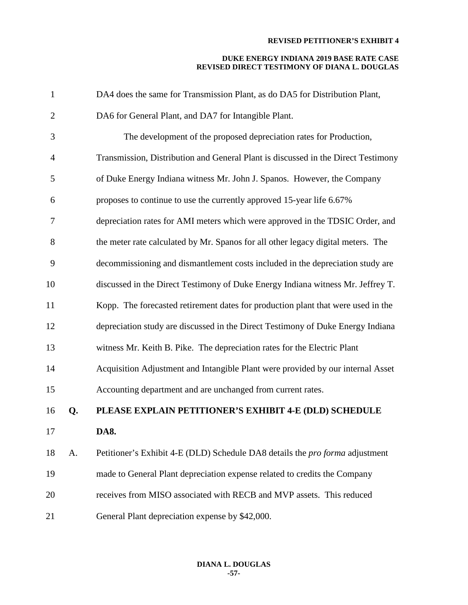| $\mathbf{1}$   |    | DA4 does the same for Transmission Plant, as do DA5 for Distribution Plant,         |
|----------------|----|-------------------------------------------------------------------------------------|
| $\overline{2}$ |    | DA6 for General Plant, and DA7 for Intangible Plant.                                |
| 3              |    | The development of the proposed depreciation rates for Production,                  |
| $\overline{4}$ |    | Transmission, Distribution and General Plant is discussed in the Direct Testimony   |
| 5              |    | of Duke Energy Indiana witness Mr. John J. Spanos. However, the Company             |
| 6              |    | proposes to continue to use the currently approved 15-year life 6.67%               |
| 7              |    | depreciation rates for AMI meters which were approved in the TDSIC Order, and       |
| 8              |    | the meter rate calculated by Mr. Spanos for all other legacy digital meters. The    |
| 9              |    | decommissioning and dismantlement costs included in the depreciation study are      |
| 10             |    | discussed in the Direct Testimony of Duke Energy Indiana witness Mr. Jeffrey T.     |
| 11             |    | Kopp. The forecasted retirement dates for production plant that were used in the    |
| 12             |    | depreciation study are discussed in the Direct Testimony of Duke Energy Indiana     |
| 13             |    | witness Mr. Keith B. Pike. The depreciation rates for the Electric Plant            |
| 14             |    | Acquisition Adjustment and Intangible Plant were provided by our internal Asset     |
| 15             |    | Accounting department and are unchanged from current rates.                         |
| 16             | Q. | PLEASE EXPLAIN PETITIONER'S EXHIBIT 4-E (DLD) SCHEDULE                              |
| 17             |    | DA8.                                                                                |
| 18             | A. | Petitioner's Exhibit 4-E (DLD) Schedule DA8 details the <i>pro forma</i> adjustment |
| 19             |    | made to General Plant depreciation expense related to credits the Company           |
| 20             |    | receives from MISO associated with RECB and MVP assets. This reduced                |
| 21             |    | General Plant depreciation expense by \$42,000.                                     |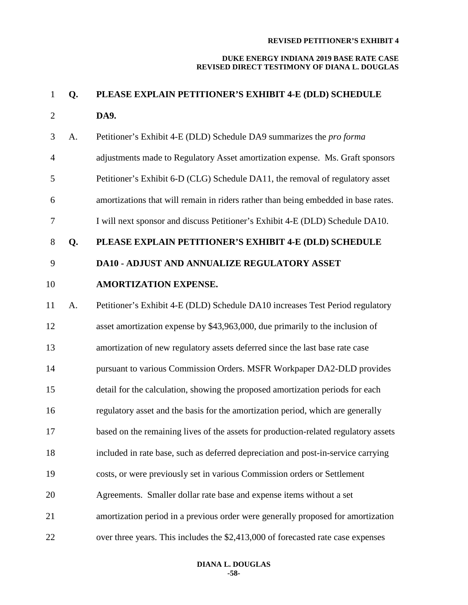| $\mathbf{1}$   | Q. | PLEASE EXPLAIN PETITIONER'S EXHIBIT 4-E (DLD) SCHEDULE                              |
|----------------|----|-------------------------------------------------------------------------------------|
| $\overline{2}$ |    | DA9.                                                                                |
| 3              | A. | Petitioner's Exhibit 4-E (DLD) Schedule DA9 summarizes the pro forma                |
| $\overline{4}$ |    | adjustments made to Regulatory Asset amortization expense. Ms. Graft sponsors       |
| 5              |    | Petitioner's Exhibit 6-D (CLG) Schedule DA11, the removal of regulatory asset       |
| 6              |    | amortizations that will remain in riders rather than being embedded in base rates.  |
| $\overline{7}$ |    | I will next sponsor and discuss Petitioner's Exhibit 4-E (DLD) Schedule DA10.       |
| 8              | Q. | PLEASE EXPLAIN PETITIONER'S EXHIBIT 4-E (DLD) SCHEDULE                              |
| 9              |    | <b>DA10 - ADJUST AND ANNUALIZE REGULATORY ASSET</b>                                 |
| 10             |    | <b>AMORTIZATION EXPENSE.</b>                                                        |
| 11             | A. | Petitioner's Exhibit 4-E (DLD) Schedule DA10 increases Test Period regulatory       |
| 12             |    | asset amortization expense by \$43,963,000, due primarily to the inclusion of       |
| 13             |    | amortization of new regulatory assets deferred since the last base rate case        |
| 14             |    | pursuant to various Commission Orders. MSFR Workpaper DA2-DLD provides              |
| 15             |    | detail for the calculation, showing the proposed amortization periods for each      |
| 16             |    | regulatory asset and the basis for the amortization period, which are generally     |
| 17             |    | based on the remaining lives of the assets for production-related regulatory assets |
| 18             |    | included in rate base, such as deferred depreciation and post-in-service carrying   |
| 19             |    | costs, or were previously set in various Commission orders or Settlement            |
| 20             |    | Agreements. Smaller dollar rate base and expense items without a set                |
| 21             |    | amortization period in a previous order were generally proposed for amortization    |
| 22             |    | over three years. This includes the \$2,413,000 of forecasted rate case expenses    |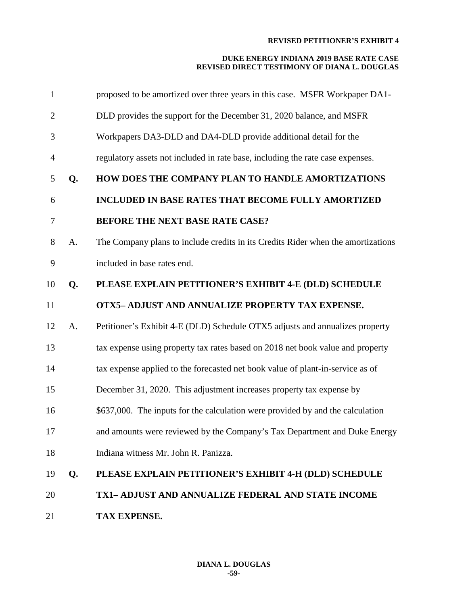| 1              |    | proposed to be amortized over three years in this case. MSFR Workpaper DA1-      |
|----------------|----|----------------------------------------------------------------------------------|
| $\overline{2}$ |    | DLD provides the support for the December 31, 2020 balance, and MSFR             |
| 3              |    | Workpapers DA3-DLD and DA4-DLD provide additional detail for the                 |
| $\overline{4}$ |    | regulatory assets not included in rate base, including the rate case expenses.   |
| 5              | Q. | <b>HOW DOES THE COMPANY PLAN TO HANDLE AMORTIZATIONS</b>                         |
| 6              |    | INCLUDED IN BASE RATES THAT BECOME FULLY AMORTIZED                               |
| 7              |    | BEFORE THE NEXT BASE RATE CASE?                                                  |
| 8              | A. | The Company plans to include credits in its Credits Rider when the amortizations |
| 9              |    | included in base rates end.                                                      |
| 10             | Q. | PLEASE EXPLAIN PETITIONER'S EXHIBIT 4-E (DLD) SCHEDULE                           |
| 11             |    | OTX5- ADJUST AND ANNUALIZE PROPERTY TAX EXPENSE.                                 |
| 12             | A. | Petitioner's Exhibit 4-E (DLD) Schedule OTX5 adjusts and annualizes property     |
| 13             |    | tax expense using property tax rates based on 2018 net book value and property   |
| 14             |    | tax expense applied to the forecasted net book value of plant-in-service as of   |
| 15             |    | December 31, 2020. This adjustment increases property tax expense by             |
| 16             |    | \$637,000. The inputs for the calculation were provided by and the calculation   |
| 17             |    | and amounts were reviewed by the Company's Tax Department and Duke Energy        |
| 18             |    | Indiana witness Mr. John R. Panizza.                                             |
| 19             | Q. | PLEASE EXPLAIN PETITIONER'S EXHIBIT 4-H (DLD) SCHEDULE                           |
| 20             |    | TX1- ADJUST AND ANNUALIZE FEDERAL AND STATE INCOME                               |
| 21             |    | TAX EXPENSE.                                                                     |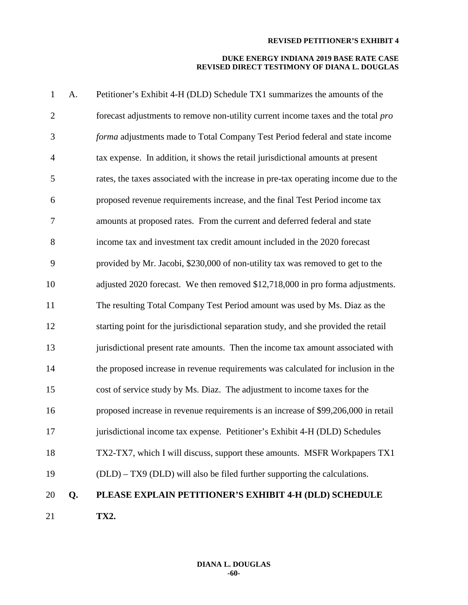| $\mathbf{1}$   | A. | Petitioner's Exhibit 4-H (DLD) Schedule TX1 summarizes the amounts of the            |
|----------------|----|--------------------------------------------------------------------------------------|
| $\overline{2}$ |    | forecast adjustments to remove non-utility current income taxes and the total pro    |
| 3              |    | forma adjustments made to Total Company Test Period federal and state income         |
| $\overline{4}$ |    | tax expense. In addition, it shows the retail jurisdictional amounts at present      |
| 5              |    | rates, the taxes associated with the increase in pre-tax operating income due to the |
| 6              |    | proposed revenue requirements increase, and the final Test Period income tax         |
| $\tau$         |    | amounts at proposed rates. From the current and deferred federal and state           |
| 8              |    | income tax and investment tax credit amount included in the 2020 forecast            |
| 9              |    | provided by Mr. Jacobi, \$230,000 of non-utility tax was removed to get to the       |
| 10             |    | adjusted 2020 forecast. We then removed \$12,718,000 in pro forma adjustments.       |
| 11             |    | The resulting Total Company Test Period amount was used by Ms. Diaz as the           |
| 12             |    | starting point for the jurisdictional separation study, and she provided the retail  |
| 13             |    | jurisdictional present rate amounts. Then the income tax amount associated with      |
| 14             |    | the proposed increase in revenue requirements was calculated for inclusion in the    |
| 15             |    | cost of service study by Ms. Diaz. The adjustment to income taxes for the            |
| 16             |    | proposed increase in revenue requirements is an increase of \$99,206,000 in retail   |
| 17             |    | jurisdictional income tax expense. Petitioner's Exhibit 4-H (DLD) Schedules          |
| 18             |    | TX2-TX7, which I will discuss, support these amounts. MSFR Workpapers TX1            |
| 19             |    | (DLD) – TX9 (DLD) will also be filed further supporting the calculations.            |
| 20             | Q. | PLEASE EXPLAIN PETITIONER'S EXHIBIT 4-H (DLD) SCHEDULE                               |
| 21             |    | TX2.                                                                                 |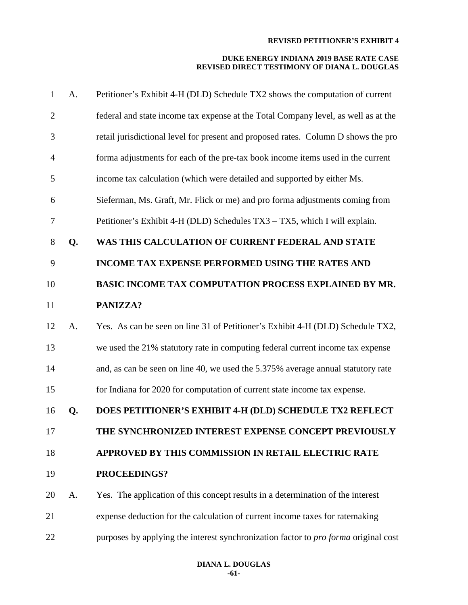| $\mathbf{1}$   | A. | Petitioner's Exhibit 4-H (DLD) Schedule TX2 shows the computation of current        |
|----------------|----|-------------------------------------------------------------------------------------|
| $\overline{2}$ |    | federal and state income tax expense at the Total Company level, as well as at the  |
| 3              |    | retail jurisdictional level for present and proposed rates. Column D shows the pro  |
| $\overline{4}$ |    | forma adjustments for each of the pre-tax book income items used in the current     |
| 5              |    | income tax calculation (which were detailed and supported by either Ms.             |
| 6              |    | Sieferman, Ms. Graft, Mr. Flick or me) and pro forma adjustments coming from        |
| 7              |    | Petitioner's Exhibit 4-H (DLD) Schedules TX3 – TX5, which I will explain.           |
| 8              | Q. | WAS THIS CALCULATION OF CURRENT FEDERAL AND STATE                                   |
| 9              |    | <b>INCOME TAX EXPENSE PERFORMED USING THE RATES AND</b>                             |
| 10             |    | BASIC INCOME TAX COMPUTATION PROCESS EXPLAINED BY MR.                               |
| 11             |    | PANIZZA?                                                                            |
| 12             | A. | Yes. As can be seen on line 31 of Petitioner's Exhibit 4-H (DLD) Schedule TX2,      |
| 13             |    | we used the 21% statutory rate in computing federal current income tax expense      |
| 14             |    | and, as can be seen on line 40, we used the 5.375% average annual statutory rate    |
| 15             |    | for Indiana for 2020 for computation of current state income tax expense.           |
| 16             | Q. | DOES PETITIONER'S EXHIBIT 4-H (DLD) SCHEDULE TX2 REFLECT                            |
| 17             |    | THE SYNCHRONIZED INTEREST EXPENSE CONCEPT PREVIOUSLY                                |
| 18             |    | APPROVED BY THIS COMMISSION IN RETAIL ELECTRIC RATE                                 |
| 19             |    | PROCEEDINGS?                                                                        |
| 20             | A. | Yes. The application of this concept results in a determination of the interest     |
| 21             |    | expense deduction for the calculation of current income taxes for ratemaking        |
| 22             |    | purposes by applying the interest synchronization factor to pro forma original cost |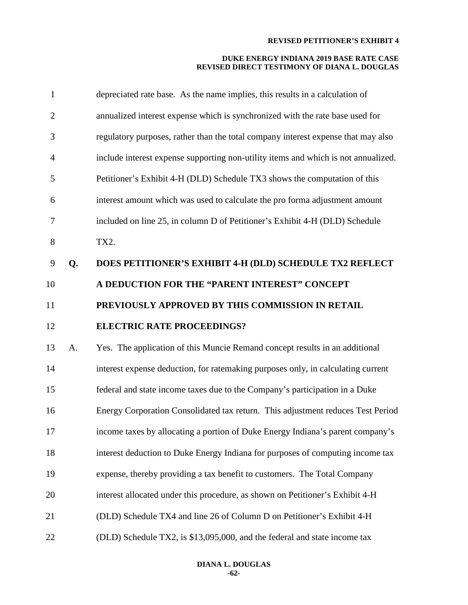| $\mathbf{1}$   |    | depreciated rate base. As the name implies, this results in a calculation of       |
|----------------|----|------------------------------------------------------------------------------------|
| $\overline{2}$ |    | annualized interest expense which is synchronized with the rate base used for      |
| 3              |    | regulatory purposes, rather than the total company interest expense that may also  |
| 4              |    | include interest expense supporting non-utility items and which is not annualized. |
| 5              |    | Petitioner's Exhibit 4-H (DLD) Schedule TX3 shows the computation of this          |
| 6              |    | interest amount which was used to calculate the pro forma adjustment amount        |
| 7              |    | included on line 25, in column D of Petitioner's Exhibit 4-H (DLD) Schedule        |
| $8\,$          |    | TX2.                                                                               |
| 9              | Q. | DOES PETITIONER'S EXHIBIT 4-H (DLD) SCHEDULE TX2 REFLECT                           |
| 10             |    | A DEDUCTION FOR THE "PARENT INTEREST" CONCEPT                                      |
| 11             |    | PREVIOUSLY APPROVED BY THIS COMMISSION IN RETAIL                                   |
| 12             |    | <b>ELECTRIC RATE PROCEEDINGS?</b>                                                  |
| 13             |    |                                                                                    |
|                | A. | Yes. The application of this Muncie Remand concept results in an additional        |
| 14             |    | interest expense deduction, for ratemaking purposes only, in calculating current   |
| 15             |    | federal and state income taxes due to the Company's participation in a Duke        |
| 16             |    | Energy Corporation Consolidated tax return. This adjustment reduces Test Period    |
| 17             |    | income taxes by allocating a portion of Duke Energy Indiana's parent company's     |
| 18             |    | interest deduction to Duke Energy Indiana for purposes of computing income tax     |
| 19             |    | expense, thereby providing a tax benefit to customers. The Total Company           |
| 20             |    | interest allocated under this procedure, as shown on Petitioner's Exhibit 4-H      |
| 21             |    | (DLD) Schedule TX4 and line 26 of Column D on Petitioner's Exhibit 4-H             |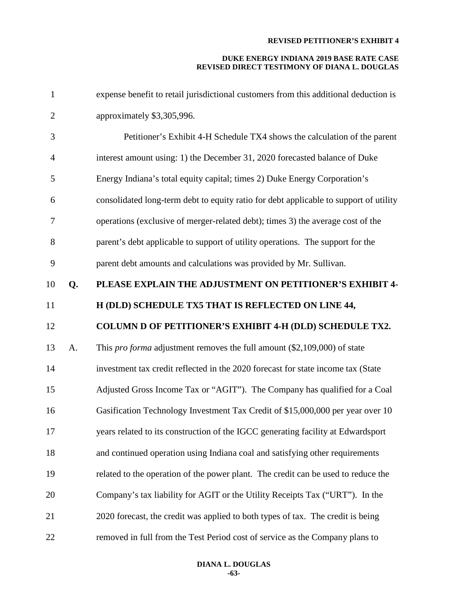| $\mathbf{1}$   |    | expense benefit to retail jurisdictional customers from this additional deduction is  |
|----------------|----|---------------------------------------------------------------------------------------|
| $\overline{2}$ |    | approximately \$3,305,996.                                                            |
| 3              |    | Petitioner's Exhibit 4-H Schedule TX4 shows the calculation of the parent             |
| $\overline{4}$ |    | interest amount using: 1) the December 31, 2020 forecasted balance of Duke            |
| 5              |    | Energy Indiana's total equity capital; times 2) Duke Energy Corporation's             |
| 6              |    | consolidated long-term debt to equity ratio for debt applicable to support of utility |
| $\overline{7}$ |    | operations (exclusive of merger-related debt); times 3) the average cost of the       |
| 8              |    | parent's debt applicable to support of utility operations. The support for the        |
| 9              |    | parent debt amounts and calculations was provided by Mr. Sullivan.                    |
| 10             | Q. | PLEASE EXPLAIN THE ADJUSTMENT ON PETITIONER'S EXHIBIT 4-                              |
| 11             |    | H (DLD) SCHEDULE TX5 THAT IS REFLECTED ON LINE 44,                                    |
|                |    |                                                                                       |
| 12             |    | COLUMN D OF PETITIONER'S EXHIBIT 4-H (DLD) SCHEDULE TX2.                              |
| 13             | A. | This <i>pro forma</i> adjustment removes the full amount $(\$2,109,000)$ of state     |
| 14             |    | investment tax credit reflected in the 2020 forecast for state income tax (State      |
| 15             |    | Adjusted Gross Income Tax or "AGIT"). The Company has qualified for a Coal            |
| 16             |    | Gasification Technology Investment Tax Credit of \$15,000,000 per year over 10        |
| 17             |    | years related to its construction of the IGCC generating facility at Edwardsport      |
| 18             |    | and continued operation using Indiana coal and satisfying other requirements          |
| 19             |    | related to the operation of the power plant. The credit can be used to reduce the     |
| 20             |    | Company's tax liability for AGIT or the Utility Receipts Tax ("URT"). In the          |
| 21             |    | 2020 forecast, the credit was applied to both types of tax. The credit is being       |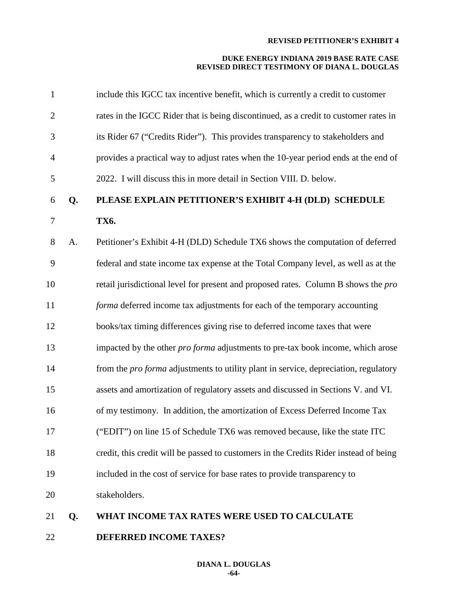#### **DUKE ENERGY INDIANA 2019 BASE RATE CASE REVISED DIRECT TESTIMONY OF DIANA L. DOUGLAS**

| $\mathbf{1}$   |    | include this IGCC tax incentive benefit, which is currently a credit to customer       |
|----------------|----|----------------------------------------------------------------------------------------|
| $\overline{2}$ |    | rates in the IGCC Rider that is being discontinued, as a credit to customer rates in   |
| 3              |    | its Rider 67 ("Credits Rider"). This provides transparency to stakeholders and         |
| $\overline{4}$ |    | provides a practical way to adjust rates when the 10-year period ends at the end of    |
| 5              |    | 2022. I will discuss this in more detail in Section VIII. D. below.                    |
| 6              | Q. | PLEASE EXPLAIN PETITIONER'S EXHIBIT 4-H (DLD) SCHEDULE                                 |
| $\tau$         |    | TX6.                                                                                   |
| 8              | A. | Petitioner's Exhibit 4-H (DLD) Schedule TX6 shows the computation of deferred          |
| 9              |    | federal and state income tax expense at the Total Company level, as well as at the     |
| 10             |    | retail jurisdictional level for present and proposed rates. Column B shows the pro     |
| 11             |    | forma deferred income tax adjustments for each of the temporary accounting             |
| 12             |    | books/tax timing differences giving rise to deferred income taxes that were            |
| 13             |    | impacted by the other <i>pro forma</i> adjustments to pre-tax book income, which arose |
| 14             |    | from the pro forma adjustments to utility plant in service, depreciation, regulatory   |
| 15             |    | assets and amortization of regulatory assets and discussed in Sections V. and VI.      |
| 16             |    | of my testimony. In addition, the amortization of Excess Deferred Income Tax           |
| 17             |    | ("EDIT") on line 15 of Schedule TX6 was removed because, like the state ITC            |
| 18             |    | credit, this credit will be passed to customers in the Credits Rider instead of being  |
| 19             |    | included in the cost of service for base rates to provide transparency to              |
| 20             |    | stakeholders.                                                                          |
| 21             | Q. | WHAT INCOME TAX RATES WERE USED TO CALCULATE                                           |

**DEFERRED INCOME TAXES?**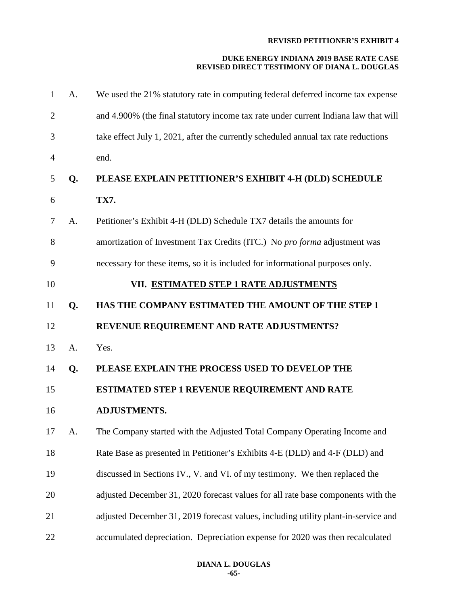| $\mathbf{1}$   | A. | We used the 21% statutory rate in computing federal deferred income tax expense     |
|----------------|----|-------------------------------------------------------------------------------------|
| $\overline{2}$ |    | and 4.900% (the final statutory income tax rate under current Indiana law that will |
| 3              |    | take effect July 1, 2021, after the currently scheduled annual tax rate reductions  |
| 4              |    | end.                                                                                |
| 5              | Q. | PLEASE EXPLAIN PETITIONER'S EXHIBIT 4-H (DLD) SCHEDULE                              |
| 6              |    | <b>TX7.</b>                                                                         |
| 7              | A. | Petitioner's Exhibit 4-H (DLD) Schedule TX7 details the amounts for                 |
| 8              |    | amortization of Investment Tax Credits (ITC.) No pro forma adjustment was           |
| 9              |    | necessary for these items, so it is included for informational purposes only.       |
| 10             |    | VII. ESTIMATED STEP 1 RATE ADJUSTMENTS                                              |
| 11             | Q. | HAS THE COMPANY ESTIMATED THE AMOUNT OF THE STEP 1                                  |
| 12             |    | REVENUE REQUIREMENT AND RATE ADJUSTMENTS?                                           |
| 13             | A. | Yes.                                                                                |
| 14             | Q. | PLEASE EXPLAIN THE PROCESS USED TO DEVELOP THE                                      |
| 15             |    | ESTIMATED STEP 1 REVENUE REQUIREMENT AND RATE                                       |
| 16             |    | <b>ADJUSTMENTS.</b>                                                                 |
| 17             | A. | The Company started with the Adjusted Total Company Operating Income and            |
| 18             |    | Rate Base as presented in Petitioner's Exhibits 4-E (DLD) and 4-F (DLD) and         |
| 19             |    | discussed in Sections IV., V. and VI. of my testimony. We then replaced the         |
| 20             |    | adjusted December 31, 2020 forecast values for all rate base components with the    |
| 21             |    | adjusted December 31, 2019 forecast values, including utility plant-in-service and  |
| 22             |    | accumulated depreciation. Depreciation expense for 2020 was then recalculated       |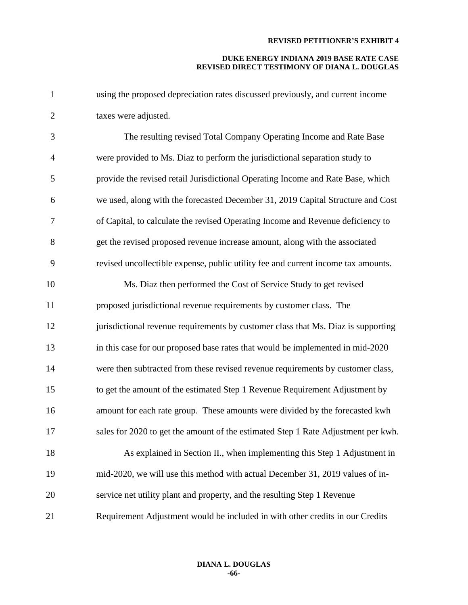| 1              | using the proposed depreciation rates discussed previously, and current income    |
|----------------|-----------------------------------------------------------------------------------|
| $\mathbf{2}$   | taxes were adjusted.                                                              |
| 3              | The resulting revised Total Company Operating Income and Rate Base                |
| $\overline{4}$ | were provided to Ms. Diaz to perform the jurisdictional separation study to       |
| 5              | provide the revised retail Jurisdictional Operating Income and Rate Base, which   |
| 6              | we used, along with the forecasted December 31, 2019 Capital Structure and Cost   |
| 7              | of Capital, to calculate the revised Operating Income and Revenue deficiency to   |
| $8\,$          | get the revised proposed revenue increase amount, along with the associated       |
| 9              | revised uncollectible expense, public utility fee and current income tax amounts. |
| 10             | Ms. Diaz then performed the Cost of Service Study to get revised                  |
| 11             | proposed jurisdictional revenue requirements by customer class. The               |
| 12             | jurisdictional revenue requirements by customer class that Ms. Diaz is supporting |
| 13             | in this case for our proposed base rates that would be implemented in mid-2020    |
| 14             | were then subtracted from these revised revenue requirements by customer class,   |
| 15             | to get the amount of the estimated Step 1 Revenue Requirement Adjustment by       |
| 16             | amount for each rate group. These amounts were divided by the forecasted kwh      |
| 17             | sales for 2020 to get the amount of the estimated Step 1 Rate Adjustment per kwh. |
| 18             | As explained in Section II., when implementing this Step 1 Adjustment in          |
| 19             | mid-2020, we will use this method with actual December 31, 2019 values of in-     |
| 20             | service net utility plant and property, and the resulting Step 1 Revenue          |
| 21             | Requirement Adjustment would be included in with other credits in our Credits     |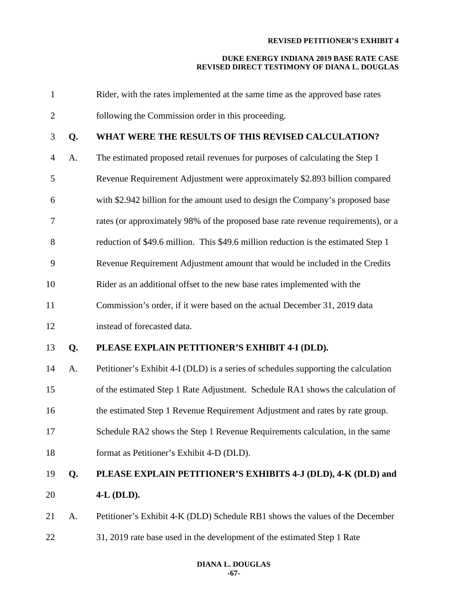| $\mathbf{1}$   |    | Rider, with the rates implemented at the same time as the approved base rates      |
|----------------|----|------------------------------------------------------------------------------------|
| $\overline{2}$ |    | following the Commission order in this proceeding.                                 |
| 3              | Q. | WHAT WERE THE RESULTS OF THIS REVISED CALCULATION?                                 |
| $\overline{4}$ | A. | The estimated proposed retail revenues for purposes of calculating the Step 1      |
| 5              |    | Revenue Requirement Adjustment were approximately \$2.893 billion compared         |
| 6              |    | with \$2.942 billion for the amount used to design the Company's proposed base     |
| 7              |    | rates (or approximately 98% of the proposed base rate revenue requirements), or a  |
| 8              |    | reduction of \$49.6 million. This \$49.6 million reduction is the estimated Step 1 |
| 9              |    | Revenue Requirement Adjustment amount that would be included in the Credits        |
| 10             |    | Rider as an additional offset to the new base rates implemented with the           |
| 11             |    | Commission's order, if it were based on the actual December 31, 2019 data          |
| 12             |    | instead of forecasted data.                                                        |
| 13             | Q. | PLEASE EXPLAIN PETITIONER'S EXHIBIT 4-I (DLD).                                     |
| 14             | A. | Petitioner's Exhibit 4-I (DLD) is a series of schedules supporting the calculation |
| 15             |    | of the estimated Step 1 Rate Adjustment. Schedule RA1 shows the calculation of     |
| 16             |    | the estimated Step 1 Revenue Requirement Adjustment and rates by rate group.       |
| 17             |    | Schedule RA2 shows the Step 1 Revenue Requirements calculation, in the same        |
| 18             |    | format as Petitioner's Exhibit 4-D (DLD).                                          |
| 19             | Q. | PLEASE EXPLAIN PETITIONER'S EXHIBITS 4-J (DLD), 4-K (DLD) and                      |
| 20             |    | 4-L (DLD).                                                                         |
| 21             | A. | Petitioner's Exhibit 4-K (DLD) Schedule RB1 shows the values of the December       |
| 22             |    | 31, 2019 rate base used in the development of the estimated Step 1 Rate            |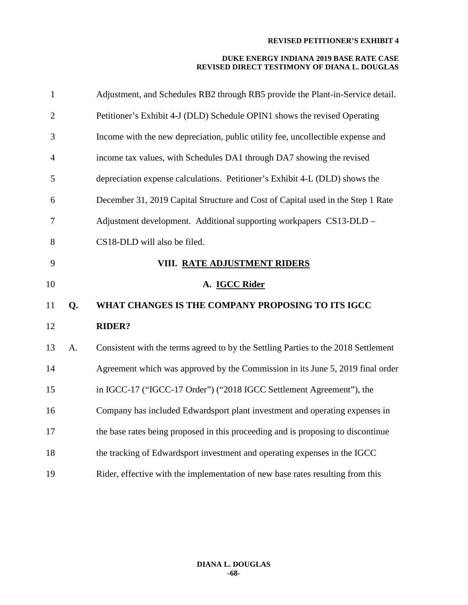| $\mathbf{1}$   |    | Adjustment, and Schedules RB2 through RB5 provide the Plant-in-Service detail.     |
|----------------|----|------------------------------------------------------------------------------------|
| $\overline{2}$ |    | Petitioner's Exhibit 4-J (DLD) Schedule OPIN1 shows the revised Operating          |
| 3              |    | Income with the new depreciation, public utility fee, uncollectible expense and    |
| $\overline{4}$ |    | income tax values, with Schedules DA1 through DA7 showing the revised              |
| 5              |    | depreciation expense calculations. Petitioner's Exhibit 4-L (DLD) shows the        |
| 6              |    | December 31, 2019 Capital Structure and Cost of Capital used in the Step 1 Rate    |
| $\tau$         |    | Adjustment development. Additional supporting workpapers CS13-DLD -                |
| 8              |    | CS18-DLD will also be filed.                                                       |
| 9              |    | VIII. RATE ADJUSTMENT RIDERS                                                       |
| 10             |    | A. IGCC Rider                                                                      |
| 11             | Q. | WHAT CHANGES IS THE COMPANY PROPOSING TO ITS IGCC                                  |
| 12             |    | <b>RIDER?</b>                                                                      |
| 13             | A. | Consistent with the terms agreed to by the Settling Parties to the 2018 Settlement |
| 14             |    | Agreement which was approved by the Commission in its June 5, 2019 final order     |
| 15             |    | in IGCC-17 ("IGCC-17 Order") ("2018 IGCC Settlement Agreement"), the               |
| 16             |    | Company has included Edwardsport plant investment and operating expenses in        |
| 17             |    | the base rates being proposed in this proceeding and is proposing to discontinue   |
| 18             |    | the tracking of Edwardsport investment and operating expenses in the IGCC          |
| 19             |    | Rider, effective with the implementation of new base rates resulting from this     |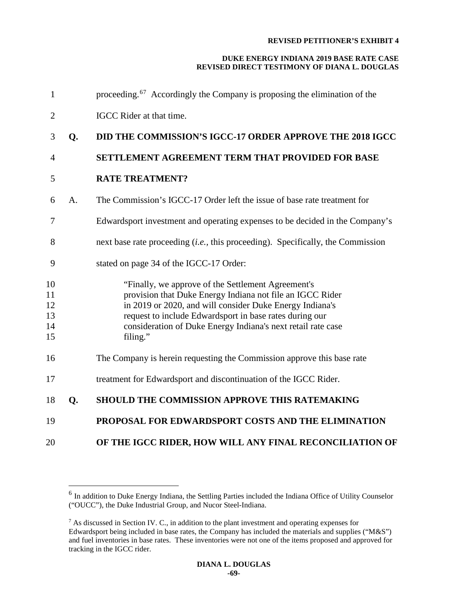| $\mathbf{1}$                     |    | proceeding. <sup>67</sup> Accordingly the Company is proposing the elimination of the                                                                                                                                                                                                                              |
|----------------------------------|----|--------------------------------------------------------------------------------------------------------------------------------------------------------------------------------------------------------------------------------------------------------------------------------------------------------------------|
| $\overline{2}$                   |    | IGCC Rider at that time.                                                                                                                                                                                                                                                                                           |
| 3                                | Q. | <b>DID THE COMMISSION'S IGCC-17 ORDER APPROVE THE 2018 IGCC</b>                                                                                                                                                                                                                                                    |
| $\overline{4}$                   |    | SETTLEMENT AGREEMENT TERM THAT PROVIDED FOR BASE                                                                                                                                                                                                                                                                   |
| 5                                |    | <b>RATE TREATMENT?</b>                                                                                                                                                                                                                                                                                             |
| 6                                | A. | The Commission's IGCC-17 Order left the issue of base rate treatment for                                                                                                                                                                                                                                           |
| 7                                |    | Edwardsport investment and operating expenses to be decided in the Company's                                                                                                                                                                                                                                       |
| 8                                |    | next base rate proceeding <i>(i.e., this proceeding)</i> . Specifically, the Commission                                                                                                                                                                                                                            |
| 9                                |    | stated on page 34 of the IGCC-17 Order:                                                                                                                                                                                                                                                                            |
| 10<br>11<br>12<br>13<br>14<br>15 |    | "Finally, we approve of the Settlement Agreement's<br>provision that Duke Energy Indiana not file an IGCC Rider<br>in 2019 or 2020, and will consider Duke Energy Indiana's<br>request to include Edwardsport in base rates during our<br>consideration of Duke Energy Indiana's next retail rate case<br>filing." |
| 16                               |    | The Company is herein requesting the Commission approve this base rate                                                                                                                                                                                                                                             |
| 17                               |    | treatment for Edwardsport and discontinuation of the IGCC Rider.                                                                                                                                                                                                                                                   |
| 18                               | Q. | <b>SHOULD THE COMMISSION APPROVE THIS RATEMAKING</b>                                                                                                                                                                                                                                                               |
| 19                               |    | PROPOSAL FOR EDWARDSPORT COSTS AND THE ELIMINATION                                                                                                                                                                                                                                                                 |
| 20                               |    | OF THE IGCC RIDER, HOW WILL ANY FINAL RECONCILIATION OF                                                                                                                                                                                                                                                            |

<span id="page-69-0"></span> In addition to Duke Energy Indiana, the Settling Parties included the Indiana Office of Utility Counselor ("OUCC"), the Duke Industrial Group, and Nucor Steel-Indiana.

<span id="page-69-1"></span> As discussed in Section IV. C., in addition to the plant investment and operating expenses for Edwardsport being included in base rates, the Company has included the materials and supplies ("M&S") and fuel inventories in base rates. These inventories were not one of the items proposed and approved for tracking in the IGCC rider.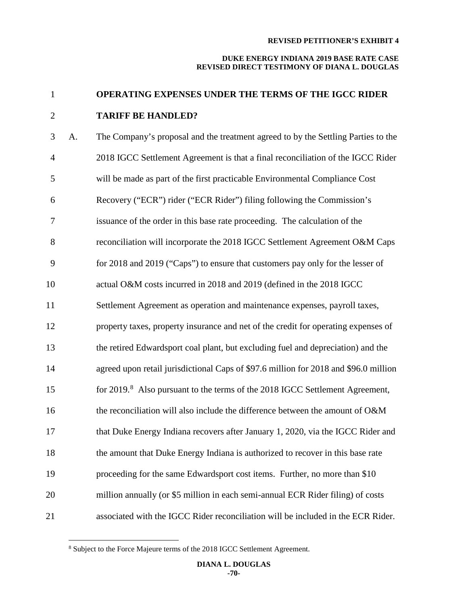#### **DUKE ENERGY INDIANA 2019 BASE RATE CASE REVISED DIRECT TESTIMONY OF DIANA L. DOUGLAS**

# **OPERATING EXPENSES UNDER THE TERMS OF THE IGCC RIDER TARIFF BE HANDLED?**

 A. The Company's proposal and the treatment agreed to by the Settling Parties to the 2018 IGCC Settlement Agreement is that a final reconciliation of the IGCC Rider will be made as part of the first practicable Environmental Compliance Cost Recovery ("ECR") rider ("ECR Rider") filing following the Commission's issuance of the order in this base rate proceeding. The calculation of the reconciliation will incorporate the 2018 IGCC Settlement Agreement O&M Caps for 2018 and 2019 ("Caps") to ensure that customers pay only for the lesser of actual O&M costs incurred in 2018 and 2019 (defined in the 2018 IGCC Settlement Agreement as operation and maintenance expenses, payroll taxes, property taxes, property insurance and net of the credit for operating expenses of the retired Edwardsport coal plant, but excluding fuel and depreciation) and the agreed upon retail jurisdictional Caps of \$97.6 million for 2018 and \$96.0 million for 2019.<sup>8</sup> Also pursuant to the terms of the 2018 IGCC Settlement Agreement, the reconciliation will also include the difference between the amount of O&M that Duke Energy Indiana recovers after January 1, 2020, via the IGCC Rider and the amount that Duke Energy Indiana is authorized to recover in this base rate proceeding for the same Edwardsport cost items. Further, no more than \$10 million annually (or \$5 million in each semi-annual ECR Rider filing) of costs associated with the IGCC Rider reconciliation will be included in the ECR Rider.

<span id="page-70-0"></span><sup>&</sup>lt;sup>8</sup> Subject to the Force Majeure terms of the 2018 IGCC Settlement Agreement.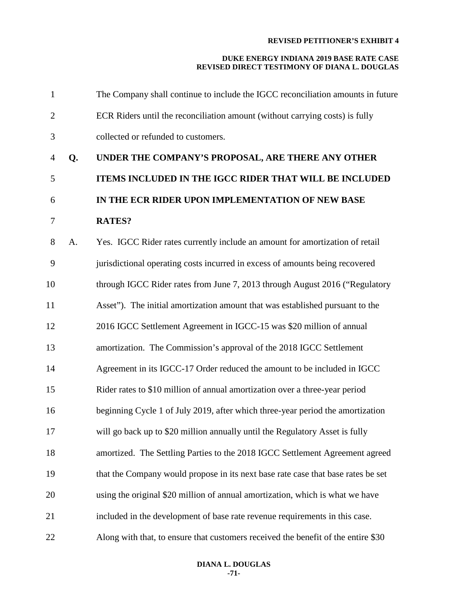| $\mathbf{1}$   |    | The Company shall continue to include the IGCC reconciliation amounts in future   |
|----------------|----|-----------------------------------------------------------------------------------|
| $\overline{2}$ |    | ECR Riders until the reconciliation amount (without carrying costs) is fully      |
| 3              |    | collected or refunded to customers.                                               |
| $\overline{4}$ | Q. | UNDER THE COMPANY'S PROPOSAL, ARE THERE ANY OTHER                                 |
| 5              |    | ITEMS INCLUDED IN THE IGCC RIDER THAT WILL BE INCLUDED                            |
| 6              |    | IN THE ECR RIDER UPON IMPLEMENTATION OF NEW BASE                                  |
| $\overline{7}$ |    | <b>RATES?</b>                                                                     |
| 8              | A. | Yes. IGCC Rider rates currently include an amount for amortization of retail      |
| 9              |    | jurisdictional operating costs incurred in excess of amounts being recovered      |
| 10             |    | through IGCC Rider rates from June 7, 2013 through August 2016 ("Regulatory       |
| 11             |    | Asset"). The initial amortization amount that was established pursuant to the     |
| 12             |    | 2016 IGCC Settlement Agreement in IGCC-15 was \$20 million of annual              |
| 13             |    | amortization. The Commission's approval of the 2018 IGCC Settlement               |
| 14             |    | Agreement in its IGCC-17 Order reduced the amount to be included in IGCC          |
| 15             |    | Rider rates to \$10 million of annual amortization over a three-year period       |
| 16             |    | beginning Cycle 1 of July 2019, after which three-year period the amortization    |
| 17             |    | will go back up to \$20 million annually until the Regulatory Asset is fully      |
| 18             |    | amortized. The Settling Parties to the 2018 IGCC Settlement Agreement agreed      |
| 19             |    | that the Company would propose in its next base rate case that base rates be set  |
| 20             |    | using the original \$20 million of annual amortization, which is what we have     |
| 21             |    | included in the development of base rate revenue requirements in this case.       |
| 22             |    | Along with that, to ensure that customers received the benefit of the entire \$30 |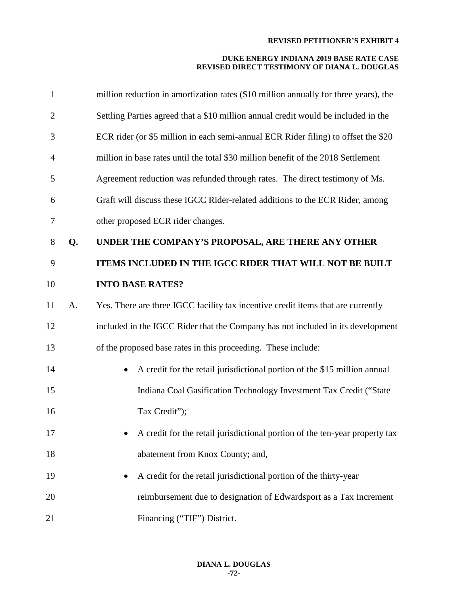| $\mathbf{1}$   |    | million reduction in amortization rates (\$10 million annually for three years), the   |
|----------------|----|----------------------------------------------------------------------------------------|
| $\overline{2}$ |    | Settling Parties agreed that a \$10 million annual credit would be included in the     |
| 3              |    | ECR rider (or \$5 million in each semi-annual ECR Rider filing) to offset the \$20     |
| $\overline{4}$ |    | million in base rates until the total \$30 million benefit of the 2018 Settlement      |
| 5              |    | Agreement reduction was refunded through rates. The direct testimony of Ms.            |
| 6              |    | Graft will discuss these IGCC Rider-related additions to the ECR Rider, among          |
| 7              |    | other proposed ECR rider changes.                                                      |
| $8\,$          | Q. | UNDER THE COMPANY'S PROPOSAL, ARE THERE ANY OTHER                                      |
| 9              |    | ITEMS INCLUDED IN THE IGCC RIDER THAT WILL NOT BE BUILT                                |
| 10             |    | <b>INTO BASE RATES?</b>                                                                |
| 11             | A. | Yes. There are three IGCC facility tax incentive credit items that are currently       |
| 12             |    | included in the IGCC Rider that the Company has not included in its development        |
| 13             |    | of the proposed base rates in this proceeding. These include:                          |
| 14             |    | A credit for the retail jurisdictional portion of the \$15 million annual<br>$\bullet$ |
| 15             |    | Indiana Coal Gasification Technology Investment Tax Credit ("State                     |
| 16             |    | Tax Credit");                                                                          |
| 17             |    | A credit for the retail jurisdictional portion of the ten-year property tax            |
| 18             |    | abatement from Knox County; and,                                                       |
| 19             |    | A credit for the retail jurisdictional portion of the thirty-year                      |
| 20             |    | reimbursement due to designation of Edwardsport as a Tax Increment                     |
| 21             |    | Financing ("TIF") District.                                                            |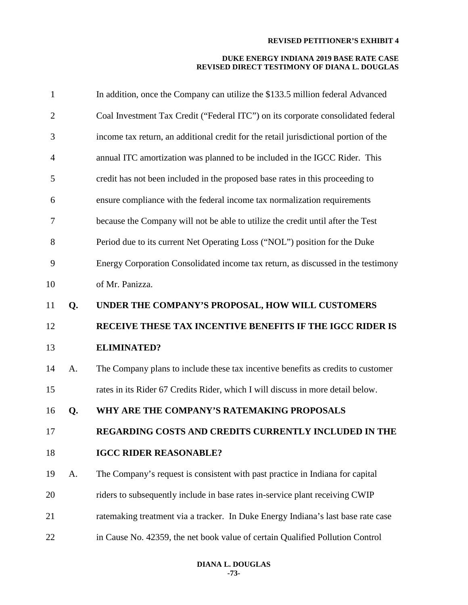| $\mathbf{1}$   |    | In addition, once the Company can utilize the \$133.5 million federal Advanced       |
|----------------|----|--------------------------------------------------------------------------------------|
| $\overline{c}$ |    | Coal Investment Tax Credit ("Federal ITC") on its corporate consolidated federal     |
| 3              |    | income tax return, an additional credit for the retail jurisdictional portion of the |
| 4              |    | annual ITC amortization was planned to be included in the IGCC Rider. This           |
| 5              |    | credit has not been included in the proposed base rates in this proceeding to        |
| 6              |    | ensure compliance with the federal income tax normalization requirements             |
| 7              |    | because the Company will not be able to utilize the credit until after the Test      |
| 8              |    | Period due to its current Net Operating Loss ("NOL") position for the Duke           |
| 9              |    | Energy Corporation Consolidated income tax return, as discussed in the testimony     |
| 10             |    | of Mr. Panizza.                                                                      |
| 11             | Q. | UNDER THE COMPANY'S PROPOSAL, HOW WILL CUSTOMERS                                     |
|                |    |                                                                                      |
| 12             |    | RECEIVE THESE TAX INCENTIVE BENEFITS IF THE IGCC RIDER IS                            |
| 13             |    | <b>ELIMINATED?</b>                                                                   |
| 14             | A. | The Company plans to include these tax incentive benefits as credits to customer     |
| 15             |    | rates in its Rider 67 Credits Rider, which I will discuss in more detail below.      |
| 16             | Q. | WHY ARE THE COMPANY'S RATEMAKING PROPOSALS                                           |
| 17             |    | REGARDING COSTS AND CREDITS CURRENTLY INCLUDED IN THE                                |
| 18             |    | <b>IGCC RIDER REASONABLE?</b>                                                        |
| 19             | A. | The Company's request is consistent with past practice in Indiana for capital        |
| 20             |    | riders to subsequently include in base rates in-service plant receiving CWIP         |
| 21             |    | ratemaking treatment via a tracker. In Duke Energy Indiana's last base rate case     |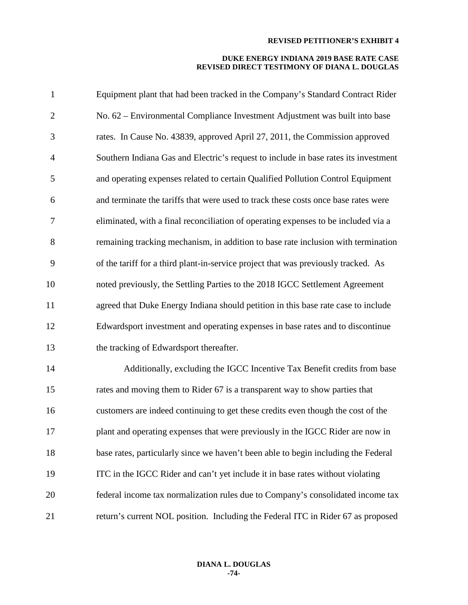| $\mathbf{1}$   | Equipment plant that had been tracked in the Company's Standard Contract Rider      |
|----------------|-------------------------------------------------------------------------------------|
| $\overline{2}$ | No. 62 - Environmental Compliance Investment Adjustment was built into base         |
| 3              | rates. In Cause No. 43839, approved April 27, 2011, the Commission approved         |
| $\overline{4}$ | Southern Indiana Gas and Electric's request to include in base rates its investment |
| 5              | and operating expenses related to certain Qualified Pollution Control Equipment     |
| 6              | and terminate the tariffs that were used to track these costs once base rates were  |
| 7              | eliminated, with a final reconciliation of operating expenses to be included via a  |
| 8              | remaining tracking mechanism, in addition to base rate inclusion with termination   |
| 9              | of the tariff for a third plant-in-service project that was previously tracked. As  |
| 10             | noted previously, the Settling Parties to the 2018 IGCC Settlement Agreement        |
| 11             | agreed that Duke Energy Indiana should petition in this base rate case to include   |
| 12             | Edwardsport investment and operating expenses in base rates and to discontinue      |
| 13             | the tracking of Edwardsport thereafter.                                             |
| 14             | Additionally, excluding the IGCC Incentive Tax Benefit credits from base            |
| 15             | rates and moving them to Rider 67 is a transparent way to show parties that         |
| 16             | customers are indeed continuing to get these credits even though the cost of the    |
| 17             | plant and operating expenses that were previously in the IGCC Rider are now in      |
| 18             | base rates, particularly since we haven't been able to begin including the Federal  |
| 19             | ITC in the IGCC Rider and can't yet include it in base rates without violating      |
| 20             | federal income tax normalization rules due to Company's consolidated income tax     |
| 21             | return's current NOL position. Including the Federal ITC in Rider 67 as proposed    |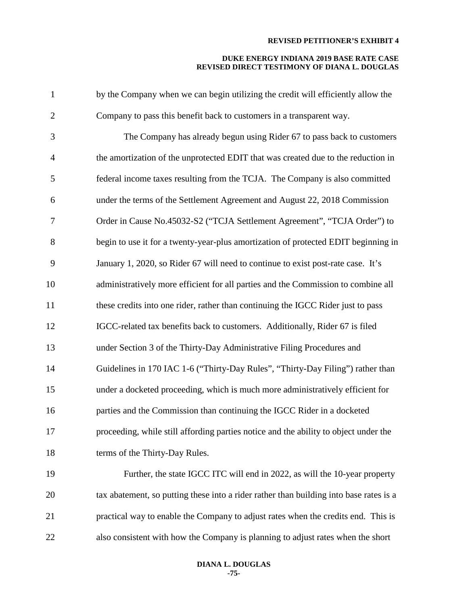| $\mathbf{1}$   | by the Company when we can begin utilizing the credit will efficiently allow the       |
|----------------|----------------------------------------------------------------------------------------|
| $\mathbf{2}$   | Company to pass this benefit back to customers in a transparent way.                   |
| 3              | The Company has already begun using Rider 67 to pass back to customers                 |
| $\overline{4}$ | the amortization of the unprotected EDIT that was created due to the reduction in      |
| 5              | federal income taxes resulting from the TCJA. The Company is also committed            |
| 6              | under the terms of the Settlement Agreement and August 22, 2018 Commission             |
| $\tau$         | Order in Cause No.45032-S2 ("TCJA Settlement Agreement", "TCJA Order") to              |
| 8              | begin to use it for a twenty-year-plus amortization of protected EDIT beginning in     |
| 9              | January 1, 2020, so Rider 67 will need to continue to exist post-rate case. It's       |
| 10             | administratively more efficient for all parties and the Commission to combine all      |
| 11             | these credits into one rider, rather than continuing the IGCC Rider just to pass       |
| 12             | IGCC-related tax benefits back to customers. Additionally, Rider 67 is filed           |
| 13             | under Section 3 of the Thirty-Day Administrative Filing Procedures and                 |
| 14             | Guidelines in 170 IAC 1-6 ("Thirty-Day Rules", "Thirty-Day Filing") rather than        |
| 15             | under a docketed proceeding, which is much more administratively efficient for         |
| 16             | parties and the Commission than continuing the IGCC Rider in a docketed                |
| 17             | proceeding, while still affording parties notice and the ability to object under the   |
| 18             | terms of the Thirty-Day Rules.                                                         |
| 19             | Further, the state IGCC ITC will end in 2022, as will the 10-year property             |
| 20             | tax abatement, so putting these into a rider rather than building into base rates is a |
| 21             | practical way to enable the Company to adjust rates when the credits end. This is      |
| 22             | also consistent with how the Company is planning to adjust rates when the short        |
|                |                                                                                        |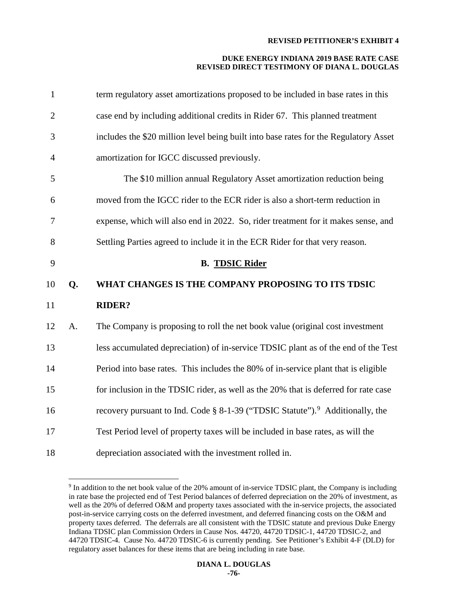| $\mathbf{1}$   |    | term regulatory asset amortizations proposed to be included in base rates in this         |
|----------------|----|-------------------------------------------------------------------------------------------|
| $\overline{2}$ |    | case end by including additional credits in Rider 67. This planned treatment              |
| 3              |    | includes the \$20 million level being built into base rates for the Regulatory Asset      |
| $\overline{4}$ |    | amortization for IGCC discussed previously.                                               |
| 5              |    | The \$10 million annual Regulatory Asset amortization reduction being                     |
| 6              |    | moved from the IGCC rider to the ECR rider is also a short-term reduction in              |
| 7              |    | expense, which will also end in 2022. So, rider treatment for it makes sense, and         |
| 8              |    | Settling Parties agreed to include it in the ECR Rider for that very reason.              |
| 9              |    | <b>B. TDSIC Rider</b>                                                                     |
|                |    |                                                                                           |
| 10             | Q. | WHAT CHANGES IS THE COMPANY PROPOSING TO ITS TDSIC                                        |
| 11             |    | <b>RIDER?</b>                                                                             |
| 12             | A. | The Company is proposing to roll the net book value (original cost investment             |
| 13             |    | less accumulated depreciation) of in-service TDSIC plant as of the end of the Test        |
| 14             |    | Period into base rates. This includes the 80% of in-service plant that is eligible        |
| 15             |    | for inclusion in the TDSIC rider, as well as the 20% that is deferred for rate case       |
| 16             |    | recovery pursuant to Ind. Code § 8-1-39 ("TDSIC Statute"). <sup>9</sup> Additionally, the |
| 17             |    | Test Period level of property taxes will be included in base rates, as will the           |

<span id="page-76-0"></span><sup>&</sup>lt;sup>9</sup> In addition to the net book value of the 20% amount of in-service TDSIC plant, the Company is including in rate base the projected end of Test Period balances of deferred depreciation on the 20% of investment, as well as the 20% of deferred O&M and property taxes associated with the in-service projects, the associated post-in-service carrying costs on the deferred investment, and deferred financing costs on the O&M and property taxes deferred. The deferrals are all consistent with the TDSIC statute and previous Duke Energy Indiana TDSIC plan Commission Orders in Cause Nos. 44720, 44720 TDSIC-1, 44720 TDSIC-2, and 44720 TDSIC-4. Cause No. 44720 TDSIC-6 is currently pending. See Petitioner's Exhibit 4-F (DLD) for regulatory asset balances for these items that are being including in rate base.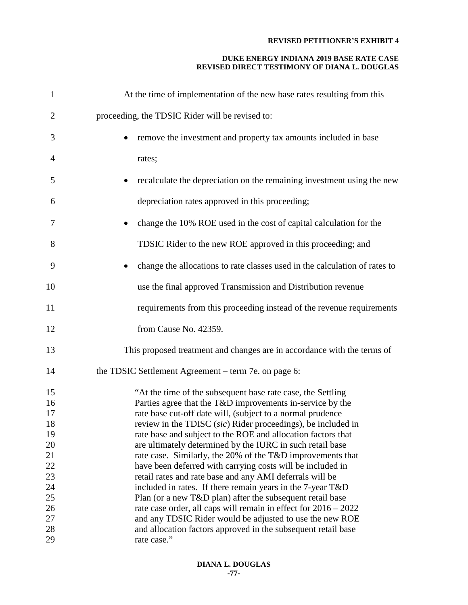| 1              | At the time of implementation of the new base rates resulting from this                                                                                                                |
|----------------|----------------------------------------------------------------------------------------------------------------------------------------------------------------------------------------|
| $\overline{2}$ | proceeding, the TDSIC Rider will be revised to:                                                                                                                                        |
| 3              | remove the investment and property tax amounts included in base                                                                                                                        |
| 4              | rates;                                                                                                                                                                                 |
| 5              | recalculate the depreciation on the remaining investment using the new                                                                                                                 |
| 6              | depreciation rates approved in this proceeding;                                                                                                                                        |
| 7              | change the 10% ROE used in the cost of capital calculation for the                                                                                                                     |
| 8              | TDSIC Rider to the new ROE approved in this proceeding; and                                                                                                                            |
| 9              | change the allocations to rate classes used in the calculation of rates to                                                                                                             |
| 10             | use the final approved Transmission and Distribution revenue                                                                                                                           |
| 11             | requirements from this proceeding instead of the revenue requirements                                                                                                                  |
| 12             | from Cause No. 42359.                                                                                                                                                                  |
| 13             | This proposed treatment and changes are in accordance with the terms of                                                                                                                |
| 14             | the TDSIC Settlement Agreement – term 7e. on page 6:                                                                                                                                   |
| 15<br>16<br>17 | "At the time of the subsequent base rate case, the Settling<br>Parties agree that the T&D improvements in-service by the<br>rate base cut-off date will, (subject to a normal prudence |
| 18             | review in the TDISC (sic) Rider proceedings), be included in                                                                                                                           |
| 19             | rate base and subject to the ROE and allocation factors that                                                                                                                           |
| 20             | are ultimately determined by the IURC in such retail base                                                                                                                              |
| 21<br>22       | rate case. Similarly, the 20% of the T&D improvements that<br>have been deferred with carrying costs will be included in                                                               |
| 23             | retail rates and rate base and any AMI deferrals will be                                                                                                                               |
| 24             | included in rates. If there remain years in the 7-year T&D                                                                                                                             |
| 25             | Plan (or a new T&D plan) after the subsequent retail base                                                                                                                              |
| 26             | rate case order, all caps will remain in effect for $2016 - 2022$                                                                                                                      |
| 27             | and any TDSIC Rider would be adjusted to use the new ROE                                                                                                                               |
| 28             | and allocation factors approved in the subsequent retail base                                                                                                                          |
| 29             | rate case."                                                                                                                                                                            |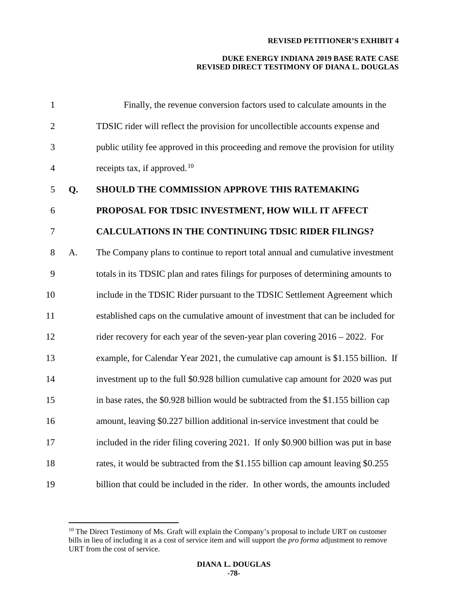| $\mathbf{1}$   |    | Finally, the revenue conversion factors used to calculate amounts in the            |
|----------------|----|-------------------------------------------------------------------------------------|
| $\overline{2}$ |    | TDSIC rider will reflect the provision for uncollectible accounts expense and       |
| 3              |    | public utility fee approved in this proceeding and remove the provision for utility |
| $\overline{4}$ |    | receipts tax, if approved. $10$                                                     |
| 5              | Q. | SHOULD THE COMMISSION APPROVE THIS RATEMAKING                                       |
| 6              |    | PROPOSAL FOR TDSIC INVESTMENT, HOW WILL IT AFFECT                                   |
| 7              |    | <b>CALCULATIONS IN THE CONTINUING TDSIC RIDER FILINGS?</b>                          |
| 8              | A. | The Company plans to continue to report total annual and cumulative investment      |
| 9              |    | totals in its TDSIC plan and rates filings for purposes of determining amounts to   |
| 10             |    | include in the TDSIC Rider pursuant to the TDSIC Settlement Agreement which         |
| 11             |    | established caps on the cumulative amount of investment that can be included for    |
| 12             |    | rider recovery for each year of the seven-year plan covering $2016 - 2022$ . For    |
| 13             |    | example, for Calendar Year 2021, the cumulative cap amount is \$1.155 billion. If   |
| 14             |    | investment up to the full \$0.928 billion cumulative cap amount for 2020 was put    |
| 15             |    | in base rates, the \$0.928 billion would be subtracted from the \$1.155 billion cap |
| 16             |    | amount, leaving \$0.227 billion additional in-service investment that could be      |
| 17             |    | included in the rider filing covering 2021. If only \$0.900 billion was put in base |
| 18             |    | rates, it would be subtracted from the \$1.155 billion cap amount leaving \$0.255   |
| 19             |    | billion that could be included in the rider. In other words, the amounts included   |

<span id="page-78-0"></span><sup>&</sup>lt;sup>10</sup> The Direct Testimony of Ms. Graft will explain the Company's proposal to include URT on customer bills in lieu of including it as a cost of service item and will support the *pro forma* adjustment to remove URT from the cost of service.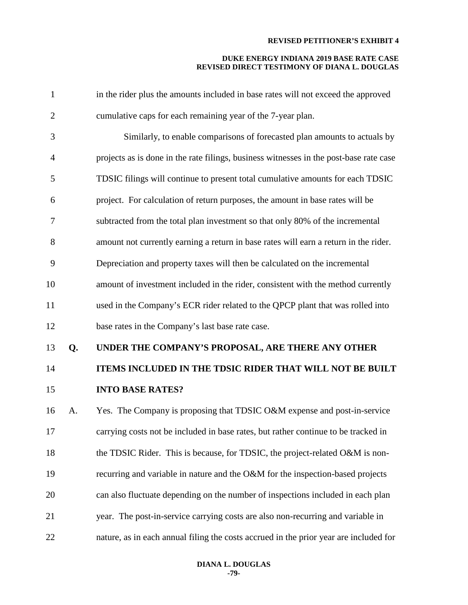| $\mathbf{1}$   |    | in the rider plus the amounts included in base rates will not exceed the approved      |
|----------------|----|----------------------------------------------------------------------------------------|
| $\overline{2}$ |    | cumulative caps for each remaining year of the 7-year plan.                            |
| 3              |    | Similarly, to enable comparisons of forecasted plan amounts to actuals by              |
| $\overline{4}$ |    | projects as is done in the rate filings, business witnesses in the post-base rate case |
| 5              |    | TDSIC filings will continue to present total cumulative amounts for each TDSIC         |
| 6              |    | project. For calculation of return purposes, the amount in base rates will be          |
| $\tau$         |    | subtracted from the total plan investment so that only 80% of the incremental          |
| 8              |    | amount not currently earning a return in base rates will earn a return in the rider.   |
| 9              |    | Depreciation and property taxes will then be calculated on the incremental             |
| 10             |    | amount of investment included in the rider, consistent with the method currently       |
| 11             |    | used in the Company's ECR rider related to the QPCP plant that was rolled into         |
| 12             |    | base rates in the Company's last base rate case.                                       |
| 13             | Q. | UNDER THE COMPANY'S PROPOSAL, ARE THERE ANY OTHER                                      |
| 14             |    | ITEMS INCLUDED IN THE TDSIC RIDER THAT WILL NOT BE BUILT                               |
| 15             |    | <b>INTO BASE RATES?</b>                                                                |
| 16             | A. | Yes. The Company is proposing that TDSIC O&M expense and post-in-service               |
| 17             |    | carrying costs not be included in base rates, but rather continue to be tracked in     |
| 18             |    | the TDSIC Rider. This is because, for TDSIC, the project-related O&M is non-           |
| 19             |    | recurring and variable in nature and the O&M for the inspection-based projects         |
| 20             |    | can also fluctuate depending on the number of inspections included in each plan        |
| 21             |    | year. The post-in-service carrying costs are also non-recurring and variable in        |
|                |    |                                                                                        |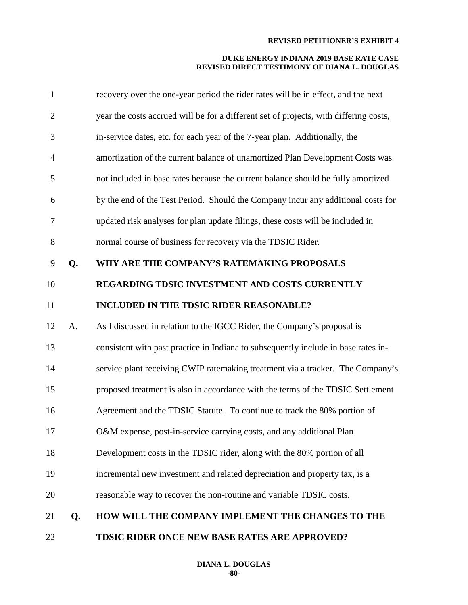| 1              |    | recovery over the one-year period the rider rates will be in effect, and the next     |
|----------------|----|---------------------------------------------------------------------------------------|
| $\overline{2}$ |    | year the costs accrued will be for a different set of projects, with differing costs, |
| 3              |    | in-service dates, etc. for each year of the 7-year plan. Additionally, the            |
| $\overline{4}$ |    | amortization of the current balance of unamortized Plan Development Costs was         |
| 5              |    | not included in base rates because the current balance should be fully amortized      |
| 6              |    | by the end of the Test Period. Should the Company incur any additional costs for      |
| 7              |    | updated risk analyses for plan update filings, these costs will be included in        |
| $8\,$          |    | normal course of business for recovery via the TDSIC Rider.                           |
| 9              | Q. | WHY ARE THE COMPANY'S RATEMAKING PROPOSALS                                            |
| 10             |    | REGARDING TDSIC INVESTMENT AND COSTS CURRENTLY                                        |
| 11             |    | <b>INCLUDED IN THE TDSIC RIDER REASONABLE?</b>                                        |
| 12             | A. | As I discussed in relation to the IGCC Rider, the Company's proposal is               |
| 13             |    | consistent with past practice in Indiana to subsequently include in base rates in-    |
| 14             |    | service plant receiving CWIP ratemaking treatment via a tracker. The Company's        |
| 15             |    | proposed treatment is also in accordance with the terms of the TDSIC Settlement       |
| 16             |    | Agreement and the TDSIC Statute. To continue to track the 80% portion of              |
| 17             |    | O&M expense, post-in-service carrying costs, and any additional Plan                  |
| 18             |    | Development costs in the TDSIC rider, along with the 80% portion of all               |
| 19             |    | incremental new investment and related depreciation and property tax, is a            |
| 20             |    | reasonable way to recover the non-routine and variable TDSIC costs.                   |
| 21             | Q. | HOW WILL THE COMPANY IMPLEMENT THE CHANGES TO THE                                     |
| 22             |    | TDSIC RIDER ONCE NEW BASE RATES ARE APPROVED?                                         |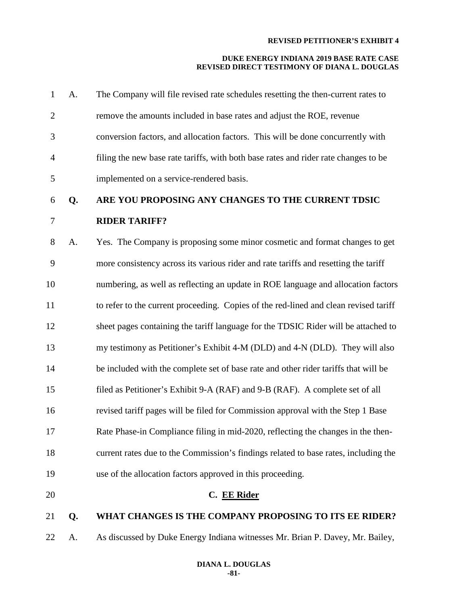| $\mathbf{1}$   | A. | The Company will file revised rate schedules resetting the then-current rates to     |
|----------------|----|--------------------------------------------------------------------------------------|
| $\overline{2}$ |    | remove the amounts included in base rates and adjust the ROE, revenue                |
| 3              |    | conversion factors, and allocation factors. This will be done concurrently with      |
| $\overline{4}$ |    | filing the new base rate tariffs, with both base rates and rider rate changes to be  |
| 5              |    | implemented on a service-rendered basis.                                             |
| 6              | Q. | ARE YOU PROPOSING ANY CHANGES TO THE CURRENT TDSIC                                   |
| $\tau$         |    | <b>RIDER TARIFF?</b>                                                                 |
| $8\,$          | A. | Yes. The Company is proposing some minor cosmetic and format changes to get          |
| 9              |    | more consistency across its various rider and rate tariffs and resetting the tariff  |
| 10             |    | numbering, as well as reflecting an update in ROE language and allocation factors    |
| 11             |    | to refer to the current proceeding. Copies of the red-lined and clean revised tariff |
| 12             |    | sheet pages containing the tariff language for the TDSIC Rider will be attached to   |
| 13             |    | my testimony as Petitioner's Exhibit 4-M (DLD) and 4-N (DLD). They will also         |
| 14             |    | be included with the complete set of base rate and other rider tariffs that will be  |
| 15             |    | filed as Petitioner's Exhibit 9-A (RAF) and 9-B (RAF). A complete set of all         |
| 16             |    | revised tariff pages will be filed for Commission approval with the Step 1 Base      |
| 17             |    | Rate Phase-in Compliance filing in mid-2020, reflecting the changes in the then-     |
| 18             |    | current rates due to the Commission's findings related to base rates, including the  |
| 19             |    | use of the allocation factors approved in this proceeding.                           |
| 20             |    | C. EE Rider                                                                          |
| 21             | Q. | WHAT CHANGES IS THE COMPANY PROPOSING TO ITS EE RIDER?                               |
| 22             | A. | As discussed by Duke Energy Indiana witnesses Mr. Brian P. Davey, Mr. Bailey,        |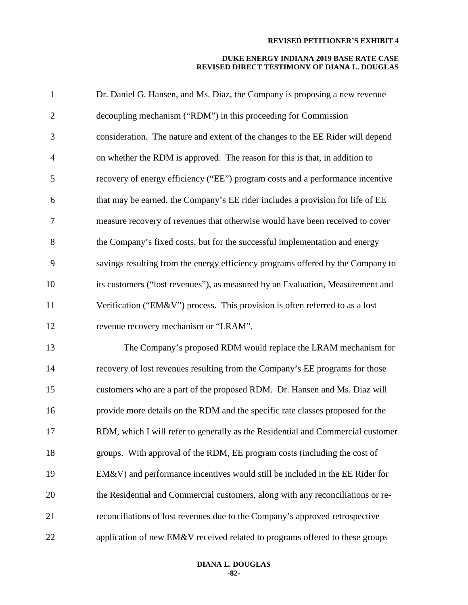| $\mathbf{1}$   | Dr. Daniel G. Hansen, and Ms. Diaz, the Company is proposing a new revenue      |
|----------------|---------------------------------------------------------------------------------|
| $\mathbf{2}$   | decoupling mechanism ("RDM") in this proceeding for Commission                  |
| 3              | consideration. The nature and extent of the changes to the EE Rider will depend |
| $\overline{4}$ | on whether the RDM is approved. The reason for this is that, in addition to     |
| 5              | recovery of energy efficiency ("EE") program costs and a performance incentive  |
| 6              | that may be earned, the Company's EE rider includes a provision for life of EE  |
| $\tau$         | measure recovery of revenues that otherwise would have been received to cover   |
| 8              | the Company's fixed costs, but for the successful implementation and energy     |
| 9              | savings resulting from the energy efficiency programs offered by the Company to |
| 10             | its customers ("lost revenues"), as measured by an Evaluation, Measurement and  |
| 11             | Verification ("EM&V") process. This provision is often referred to as a lost    |
| 12             | revenue recovery mechanism or "LRAM".                                           |
| 13             | The Company's proposed RDM would replace the LRAM mechanism for                 |
| 14             | recovery of lost revenues resulting from the Company's EE programs for those    |
| 15             | customers who are a part of the proposed RDM. Dr. Hansen and Ms. Diaz will      |
| 16             | provide more details on the RDM and the specific rate classes proposed for the  |
| 17             | RDM, which I will refer to generally as the Residential and Commercial customer |
| 18             | groups. With approval of the RDM, EE program costs (including the cost of       |
| 19             | $EM&V$ ) and performance incentives would still be included in the EE Rider for |
| 20             | the Residential and Commercial customers, along with any reconciliations or re- |
| 21             | reconciliations of lost revenues due to the Company's approved retrospective    |
| 22             | application of new EM&V received related to programs offered to these groups    |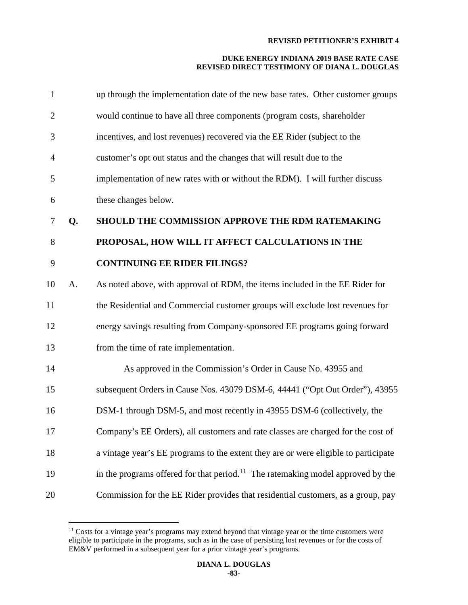| 1              |    | up through the implementation date of the new base rates. Other customer groups             |
|----------------|----|---------------------------------------------------------------------------------------------|
| $\overline{2}$ |    | would continue to have all three components (program costs, shareholder                     |
| 3              |    | incentives, and lost revenues) recovered via the EE Rider (subject to the                   |
| $\overline{4}$ |    | customer's opt out status and the changes that will result due to the                       |
| 5              |    | implementation of new rates with or without the RDM). I will further discuss                |
| 6              |    | these changes below.                                                                        |
| $\tau$         | Q. | SHOULD THE COMMISSION APPROVE THE RDM RATEMAKING                                            |
| 8              |    | PROPOSAL, HOW WILL IT AFFECT CALCULATIONS IN THE                                            |
| 9              |    | <b>CONTINUING EE RIDER FILINGS?</b>                                                         |
| 10             | A. | As noted above, with approval of RDM, the items included in the EE Rider for                |
| 11             |    | the Residential and Commercial customer groups will exclude lost revenues for               |
| 12             |    | energy savings resulting from Company-sponsored EE programs going forward                   |
| 13             |    | from the time of rate implementation.                                                       |
| 14             |    | As approved in the Commission's Order in Cause No. 43955 and                                |
| 15             |    | subsequent Orders in Cause Nos. 43079 DSM-6, 44441 ("Opt Out Order"), 43955                 |
| 16             |    | DSM-1 through DSM-5, and most recently in 43955 DSM-6 (collectively, the                    |
| 17             |    | Company's EE Orders), all customers and rate classes are charged for the cost of            |
| 18             |    | a vintage year's EE programs to the extent they are or were eligible to participate         |
| 19             |    | in the programs offered for that period. <sup>11</sup> The ratemaking model approved by the |
| 20             |    | Commission for the EE Rider provides that residential customers, as a group, pay            |

<span id="page-83-0"></span><sup>&</sup>lt;sup>11</sup> Costs for a vintage year's programs may extend beyond that vintage year or the time customers were eligible to participate in the programs, such as in the case of persisting lost revenues or for the costs of EM&V performed in a subsequent year for a prior vintage year's programs.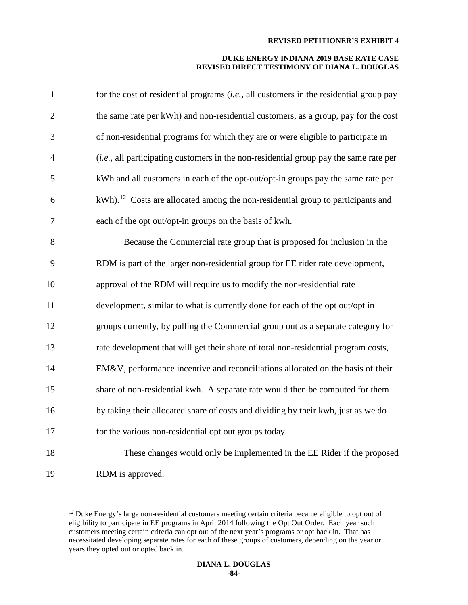| $\mathbf{1}$   | for the cost of residential programs $(i.e.,$ all customers in the residential group pay       |
|----------------|------------------------------------------------------------------------------------------------|
| $\overline{2}$ | the same rate per kWh) and non-residential customers, as a group, pay for the cost             |
| 3              | of non-residential programs for which they are or were eligible to participate in              |
| 4              | (i.e., all participating customers in the non-residential group pay the same rate per          |
| 5              | kWh and all customers in each of the opt-out/opt-in groups pay the same rate per               |
| 6              | $kWh$ ). <sup>12</sup> Costs are allocated among the non-residential group to participants and |
| 7              | each of the opt out/opt-in groups on the basis of kwh.                                         |
| 8              | Because the Commercial rate group that is proposed for inclusion in the                        |
| 9              | RDM is part of the larger non-residential group for EE rider rate development,                 |
| 10             | approval of the RDM will require us to modify the non-residential rate                         |
| 11             | development, similar to what is currently done for each of the opt out/opt in                  |
| 12             | groups currently, by pulling the Commercial group out as a separate category for               |
| 13             | rate development that will get their share of total non-residential program costs,             |
| 14             | EM&V, performance incentive and reconciliations allocated on the basis of their                |
| 15             | share of non-residential kwh. A separate rate would then be computed for them                  |
| 16             | by taking their allocated share of costs and dividing by their kwh, just as we do              |
| 17             | for the various non-residential opt out groups today.                                          |
| 18             | These changes would only be implemented in the EE Rider if the proposed                        |
| 19             | RDM is approved.                                                                               |

<span id="page-84-0"></span><sup>&</sup>lt;sup>12</sup> Duke Energy's large non-residential customers meeting certain criteria became eligible to opt out of eligibility to participate in EE programs in April 2014 following the Opt Out Order. Each year such customers meeting certain criteria can opt out of the next year's programs or opt back in. That has necessitated developing separate rates for each of these groups of customers, depending on the year or years they opted out or opted back in.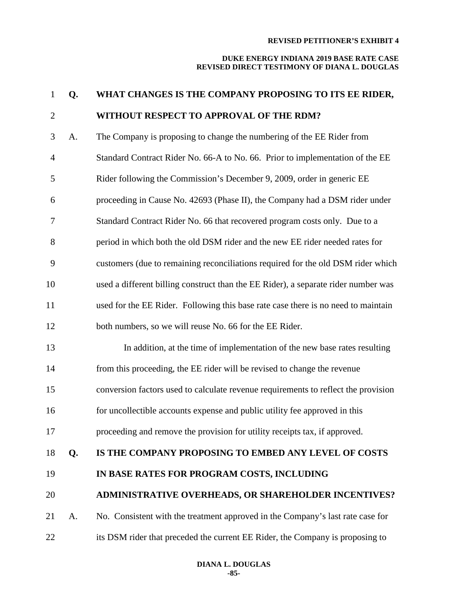| $\mathbf{1}$   | Q. | WHAT CHANGES IS THE COMPANY PROPOSING TO ITS EE RIDER,                             |
|----------------|----|------------------------------------------------------------------------------------|
| $\overline{2}$ |    | WITHOUT RESPECT TO APPROVAL OF THE RDM?                                            |
| 3              | A. | The Company is proposing to change the numbering of the EE Rider from              |
| $\overline{4}$ |    | Standard Contract Rider No. 66-A to No. 66. Prior to implementation of the EE      |
| 5              |    | Rider following the Commission's December 9, 2009, order in generic EE             |
| 6              |    | proceeding in Cause No. 42693 (Phase II), the Company had a DSM rider under        |
| $\tau$         |    | Standard Contract Rider No. 66 that recovered program costs only. Due to a         |
| 8              |    | period in which both the old DSM rider and the new EE rider needed rates for       |
| 9              |    | customers (due to remaining reconciliations required for the old DSM rider which   |
| 10             |    | used a different billing construct than the EE Rider), a separate rider number was |
| 11             |    | used for the EE Rider. Following this base rate case there is no need to maintain  |
| 12             |    | both numbers, so we will reuse No. 66 for the EE Rider.                            |
| 13             |    | In addition, at the time of implementation of the new base rates resulting         |
| 14             |    | from this proceeding, the EE rider will be revised to change the revenue           |
| 15             |    | conversion factors used to calculate revenue requirements to reflect the provision |
| 16             |    | for uncollectible accounts expense and public utility fee approved in this         |
| 17             |    | proceeding and remove the provision for utility receipts tax, if approved.         |
| 18             | Q. | IS THE COMPANY PROPOSING TO EMBED ANY LEVEL OF COSTS                               |
| 19             |    | IN BASE RATES FOR PROGRAM COSTS, INCLUDING                                         |
| 20             |    | ADMINISTRATIVE OVERHEADS, OR SHAREHOLDER INCENTIVES?                               |
| 21             | A. | No. Consistent with the treatment approved in the Company's last rate case for     |
| 22             |    | its DSM rider that preceded the current EE Rider, the Company is proposing to      |
|                |    |                                                                                    |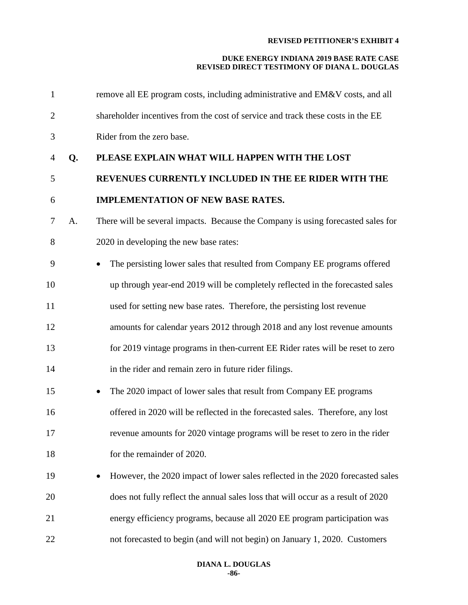| $\mathbf{1}$   |    | remove all EE program costs, including administrative and EM&V costs, and all    |
|----------------|----|----------------------------------------------------------------------------------|
| $\overline{2}$ |    | shareholder incentives from the cost of service and track these costs in the EE  |
| 3              |    | Rider from the zero base.                                                        |
| $\overline{4}$ | Q. | PLEASE EXPLAIN WHAT WILL HAPPEN WITH THE LOST                                    |
| 5              |    | REVENUES CURRENTLY INCLUDED IN THE EE RIDER WITH THE                             |
| 6              |    | <b>IMPLEMENTATION OF NEW BASE RATES.</b>                                         |
| 7              | A. | There will be several impacts. Because the Company is using forecasted sales for |
| 8              |    | 2020 in developing the new base rates:                                           |
| 9              |    | The persisting lower sales that resulted from Company EE programs offered        |
| 10             |    | up through year-end 2019 will be completely reflected in the forecasted sales    |
| 11             |    | used for setting new base rates. Therefore, the persisting lost revenue          |
| 12             |    | amounts for calendar years 2012 through 2018 and any lost revenue amounts        |
| 13             |    | for 2019 vintage programs in then-current EE Rider rates will be reset to zero   |
| 14             |    | in the rider and remain zero in future rider filings.                            |
| 15             |    | The 2020 impact of lower sales that result from Company EE programs<br>٠         |
| 16             |    | offered in 2020 will be reflected in the forecasted sales. Therefore, any lost   |
| 17             |    | revenue amounts for 2020 vintage programs will be reset to zero in the rider     |
| 18             |    | for the remainder of 2020.                                                       |
| 19             |    | However, the 2020 impact of lower sales reflected in the 2020 forecasted sales   |
| 20             |    | does not fully reflect the annual sales loss that will occur as a result of 2020 |
| 21             |    | energy efficiency programs, because all 2020 EE program participation was        |
| 22             |    | not forecasted to begin (and will not begin) on January 1, 2020. Customers       |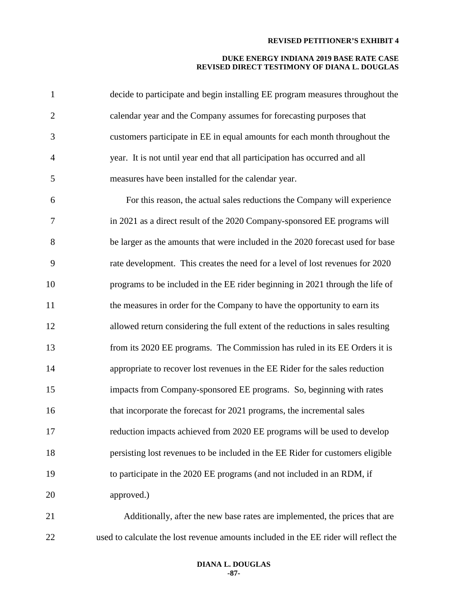| $\mathbf{1}$   | decide to participate and begin installing EE program measures throughout the        |
|----------------|--------------------------------------------------------------------------------------|
| $\overline{2}$ | calendar year and the Company assumes for forecasting purposes that                  |
| 3              | customers participate in EE in equal amounts for each month throughout the           |
| $\overline{4}$ | year. It is not until year end that all participation has occurred and all           |
| 5              | measures have been installed for the calendar year.                                  |
| 6              | For this reason, the actual sales reductions the Company will experience             |
| 7              | in 2021 as a direct result of the 2020 Company-sponsored EE programs will            |
| 8              | be larger as the amounts that were included in the 2020 forecast used for base       |
| 9              | rate development. This creates the need for a level of lost revenues for 2020        |
| 10             | programs to be included in the EE rider beginning in 2021 through the life of        |
| 11             | the measures in order for the Company to have the opportunity to earn its            |
| 12             | allowed return considering the full extent of the reductions in sales resulting      |
| 13             | from its 2020 EE programs. The Commission has ruled in its EE Orders it is           |
| 14             | appropriate to recover lost revenues in the EE Rider for the sales reduction         |
| 15             | impacts from Company-sponsored EE programs. So, beginning with rates                 |
| 16             | that incorporate the forecast for 2021 programs, the incremental sales               |
| 17             | reduction impacts achieved from 2020 EE programs will be used to develop             |
| 18             | persisting lost revenues to be included in the EE Rider for customers eligible       |
| 19             | to participate in the 2020 EE programs (and not included in an RDM, if               |
| 20             | approved.)                                                                           |
| 21             | Additionally, after the new base rates are implemented, the prices that are          |
| 22             | used to calculate the lost revenue amounts included in the EE rider will reflect the |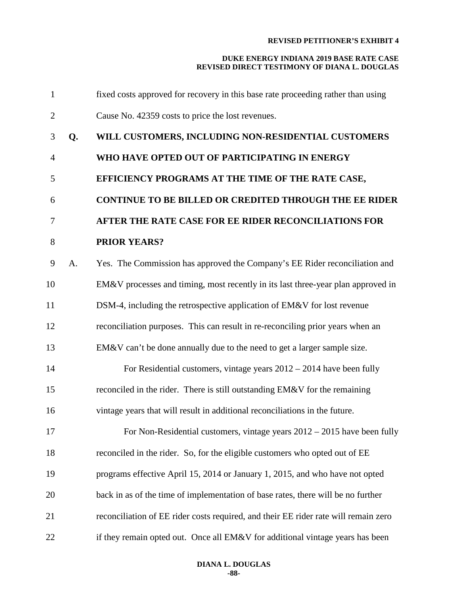| $\mathbf{1}$   |    | fixed costs approved for recovery in this base rate proceeding rather than using    |
|----------------|----|-------------------------------------------------------------------------------------|
| $\overline{2}$ |    | Cause No. 42359 costs to price the lost revenues.                                   |
| 3              | Q. | WILL CUSTOMERS, INCLUDING NON-RESIDENTIAL CUSTOMERS                                 |
| $\overline{4}$ |    | WHO HAVE OPTED OUT OF PARTICIPATING IN ENERGY                                       |
| 5              |    | EFFICIENCY PROGRAMS AT THE TIME OF THE RATE CASE,                                   |
| 6              |    | CONTINUE TO BE BILLED OR CREDITED THROUGH THE EE RIDER                              |
| 7              |    | AFTER THE RATE CASE FOR EE RIDER RECONCILIATIONS FOR                                |
| 8              |    | <b>PRIOR YEARS?</b>                                                                 |
| 9              | А. | Yes. The Commission has approved the Company's EE Rider reconciliation and          |
| 10             |    | EM&V processes and timing, most recently in its last three-year plan approved in    |
| 11             |    | DSM-4, including the retrospective application of EM&V for lost revenue             |
| 12             |    | reconciliation purposes. This can result in re-reconciling prior years when an      |
| 13             |    | EM&V can't be done annually due to the need to get a larger sample size.            |
| 14             |    | For Residential customers, vintage years $2012 - 2014$ have been fully              |
| 15             |    | reconciled in the rider. There is still outstanding EM&V for the remaining          |
| 16             |    | vintage years that will result in additional reconciliations in the future.         |
| 17             |    | For Non-Residential customers, vintage years $2012 - 2015$ have been fully          |
| 18             |    | reconciled in the rider. So, for the eligible customers who opted out of EE         |
| 19             |    | programs effective April 15, 2014 or January 1, 2015, and who have not opted        |
| 20             |    | back in as of the time of implementation of base rates, there will be no further    |
| 21             |    | reconciliation of EE rider costs required, and their EE rider rate will remain zero |
| 22             |    | if they remain opted out. Once all EM&V for additional vintage years has been       |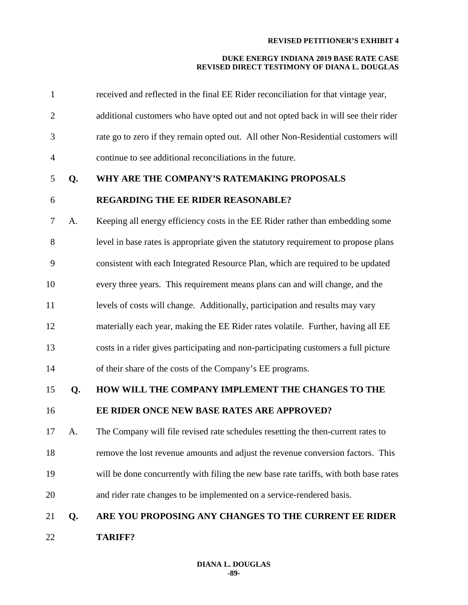| $\mathbf{1}$   |    | received and reflected in the final EE Rider reconciliation for that vintage year,    |
|----------------|----|---------------------------------------------------------------------------------------|
| $\overline{2}$ |    | additional customers who have opted out and not opted back in will see their rider    |
| 3              |    | rate go to zero if they remain opted out. All other Non-Residential customers will    |
| 4              |    | continue to see additional reconciliations in the future.                             |
| 5              | Q. | WHY ARE THE COMPANY'S RATEMAKING PROPOSALS                                            |
| 6              |    | <b>REGARDING THE EE RIDER REASONABLE?</b>                                             |
| 7              | A. | Keeping all energy efficiency costs in the EE Rider rather than embedding some        |
| 8              |    | level in base rates is appropriate given the statutory requirement to propose plans   |
| 9              |    | consistent with each Integrated Resource Plan, which are required to be updated       |
| 10             |    | every three years. This requirement means plans can and will change, and the          |
| 11             |    | levels of costs will change. Additionally, participation and results may vary         |
| 12             |    | materially each year, making the EE Rider rates volatile. Further, having all EE      |
| 13             |    | costs in a rider gives participating and non-participating customers a full picture   |
| 14             |    | of their share of the costs of the Company's EE programs.                             |
| 15             | Q. | HOW WILL THE COMPANY IMPLEMENT THE CHANGES TO THE                                     |
| 16             |    | EE RIDER ONCE NEW BASE RATES ARE APPROVED?                                            |
| 17             | A. | The Company will file revised rate schedules resetting the then-current rates to      |
| 18             |    | remove the lost revenue amounts and adjust the revenue conversion factors. This       |
| 19             |    | will be done concurrently with filing the new base rate tariffs, with both base rates |
| 20             |    | and rider rate changes to be implemented on a service-rendered basis.                 |
| 21             | Q. | ARE YOU PROPOSING ANY CHANGES TO THE CURRENT EE RIDER                                 |
| 22             |    | <b>TARIFF?</b>                                                                        |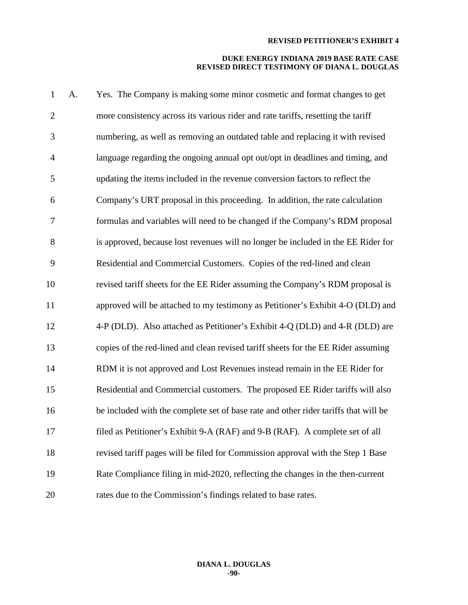| $\mathbf{1}$   | A. | Yes. The Company is making some minor cosmetic and format changes to get            |
|----------------|----|-------------------------------------------------------------------------------------|
| $\overline{2}$ |    | more consistency across its various rider and rate tariffs, resetting the tariff    |
| 3              |    | numbering, as well as removing an outdated table and replacing it with revised      |
| $\overline{4}$ |    | language regarding the ongoing annual opt out/opt in deadlines and timing, and      |
| 5              |    | updating the items included in the revenue conversion factors to reflect the        |
| 6              |    | Company's URT proposal in this proceeding. In addition, the rate calculation        |
| $\tau$         |    | formulas and variables will need to be changed if the Company's RDM proposal        |
| 8              |    | is approved, because lost revenues will no longer be included in the EE Rider for   |
| 9              |    | Residential and Commercial Customers. Copies of the red-lined and clean             |
| 10             |    | revised tariff sheets for the EE Rider assuming the Company's RDM proposal is       |
| 11             |    | approved will be attached to my testimony as Petitioner's Exhibit 4-O (DLD) and     |
| 12             |    | 4-P (DLD). Also attached as Petitioner's Exhibit 4-Q (DLD) and 4-R (DLD) are        |
| 13             |    | copies of the red-lined and clean revised tariff sheets for the EE Rider assuming   |
| 14             |    | RDM it is not approved and Lost Revenues instead remain in the EE Rider for         |
| 15             |    | Residential and Commercial customers. The proposed EE Rider tariffs will also       |
| 16             |    | be included with the complete set of base rate and other rider tariffs that will be |
| 17             |    | filed as Petitioner's Exhibit 9-A (RAF) and 9-B (RAF). A complete set of all        |
| 18             |    | revised tariff pages will be filed for Commission approval with the Step 1 Base     |
| 19             |    | Rate Compliance filing in mid-2020, reflecting the changes in the then-current      |
| 20             |    | rates due to the Commission's findings related to base rates.                       |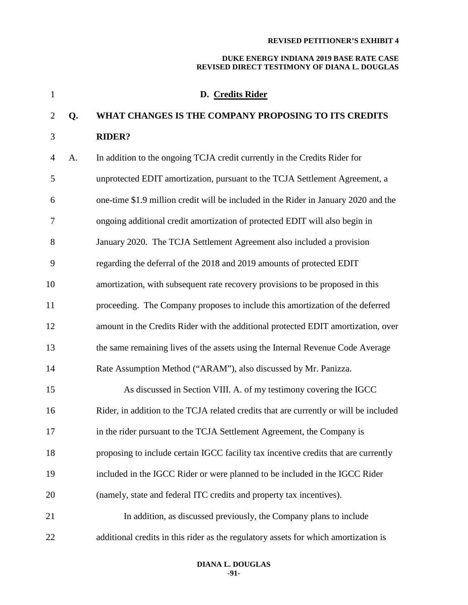| $\mathbf{1}$   |    | D. Credits Rider                                                                      |
|----------------|----|---------------------------------------------------------------------------------------|
| $\overline{2}$ | Q. | WHAT CHANGES IS THE COMPANY PROPOSING TO ITS CREDITS                                  |
| 3              |    | <b>RIDER?</b>                                                                         |
| $\overline{4}$ | A. | In addition to the ongoing TCJA credit currently in the Credits Rider for             |
| 5              |    | unprotected EDIT amortization, pursuant to the TCJA Settlement Agreement, a           |
| 6              |    | one-time \$1.9 million credit will be included in the Rider in January 2020 and the   |
| 7              |    | ongoing additional credit amortization of protected EDIT will also begin in           |
| 8              |    | January 2020. The TCJA Settlement Agreement also included a provision                 |
| 9              |    | regarding the deferral of the 2018 and 2019 amounts of protected EDIT                 |
| 10             |    | amortization, with subsequent rate recovery provisions to be proposed in this         |
| 11             |    | proceeding. The Company proposes to include this amortization of the deferred         |
| 12             |    | amount in the Credits Rider with the additional protected EDIT amortization, over     |
| 13             |    | the same remaining lives of the assets using the Internal Revenue Code Average        |
| 14             |    | Rate Assumption Method ("ARAM"), also discussed by Mr. Panizza.                       |
| 15             |    | As discussed in Section VIII. A. of my testimony covering the IGCC                    |
| 16             |    | Rider, in addition to the TCJA related credits that are currently or will be included |
| 17             |    | in the rider pursuant to the TCJA Settlement Agreement, the Company is                |
| 18             |    | proposing to include certain IGCC facility tax incentive credits that are currently   |
| 19             |    | included in the IGCC Rider or were planned to be included in the IGCC Rider           |
| 20             |    | (namely, state and federal ITC credits and property tax incentives).                  |
| 21             |    | In addition, as discussed previously, the Company plans to include                    |
| 22             |    | additional credits in this rider as the regulatory assets for which amortization is   |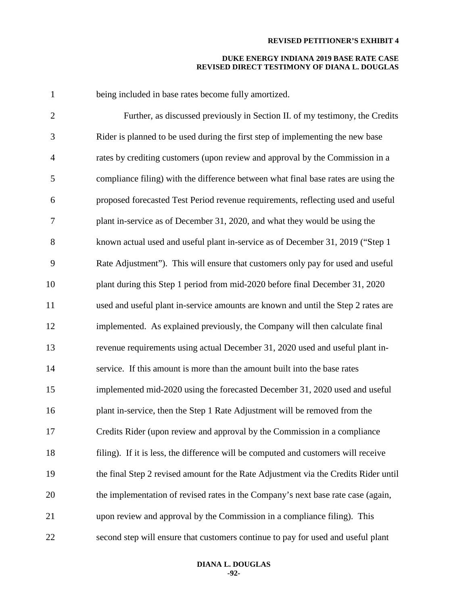| $\mathbf{1}$   | being included in base rates become fully amortized.                                |
|----------------|-------------------------------------------------------------------------------------|
| $\overline{2}$ | Further, as discussed previously in Section II. of my testimony, the Credits        |
| 3              | Rider is planned to be used during the first step of implementing the new base      |
| $\overline{4}$ | rates by crediting customers (upon review and approval by the Commission in a       |
| 5              | compliance filing) with the difference between what final base rates are using the  |
| 6              | proposed forecasted Test Period revenue requirements, reflecting used and useful    |
| $\tau$         | plant in-service as of December 31, 2020, and what they would be using the          |
| 8              | known actual used and useful plant in-service as of December 31, 2019 ("Step 1      |
| 9              | Rate Adjustment"). This will ensure that customers only pay for used and useful     |
| 10             | plant during this Step 1 period from mid-2020 before final December 31, 2020        |
| 11             | used and useful plant in-service amounts are known and until the Step 2 rates are   |
| 12             | implemented. As explained previously, the Company will then calculate final         |
| 13             | revenue requirements using actual December 31, 2020 used and useful plant in-       |
| 14             | service. If this amount is more than the amount built into the base rates           |
| 15             | implemented mid-2020 using the forecasted December 31, 2020 used and useful         |
| 16             | plant in-service, then the Step 1 Rate Adjustment will be removed from the          |
| 17             | Credits Rider (upon review and approval by the Commission in a compliance           |
| 18             | filing). If it is less, the difference will be computed and customers will receive  |
| 19             | the final Step 2 revised amount for the Rate Adjustment via the Credits Rider until |
| 20             | the implementation of revised rates in the Company's next base rate case (again,    |
| 21             | upon review and approval by the Commission in a compliance filing). This            |
| 22             | second step will ensure that customers continue to pay for used and useful plant    |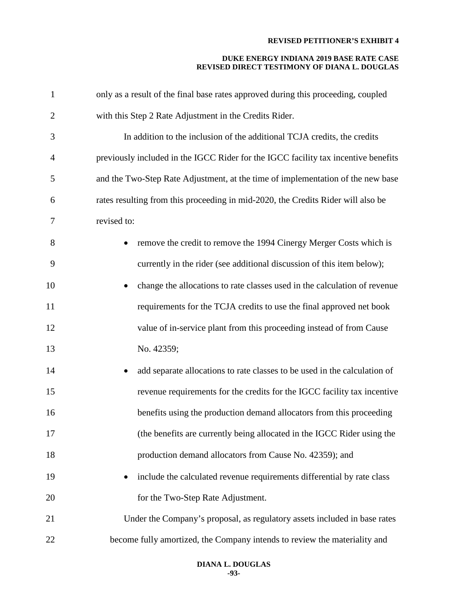| $\mathbf{1}$   | only as a result of the final base rates approved during this proceeding, coupled  |
|----------------|------------------------------------------------------------------------------------|
| $\overline{2}$ | with this Step 2 Rate Adjustment in the Credits Rider.                             |
| 3              | In addition to the inclusion of the additional TCJA credits, the credits           |
| $\overline{4}$ | previously included in the IGCC Rider for the IGCC facility tax incentive benefits |
| 5              | and the Two-Step Rate Adjustment, at the time of implementation of the new base    |
| 6              | rates resulting from this proceeding in mid-2020, the Credits Rider will also be   |
| 7              | revised to:                                                                        |
| 8              | remove the credit to remove the 1994 Cinergy Merger Costs which is                 |
| 9              | currently in the rider (see additional discussion of this item below);             |
| 10             | change the allocations to rate classes used in the calculation of revenue          |
| 11             | requirements for the TCJA credits to use the final approved net book               |
| 12             | value of in-service plant from this proceeding instead of from Cause               |
| 13             | No. 42359;                                                                         |
| 14             | add separate allocations to rate classes to be used in the calculation of          |
| 15             | revenue requirements for the credits for the IGCC facility tax incentive           |
| 16             | benefits using the production demand allocators from this proceeding               |
| 17             | (the benefits are currently being allocated in the IGCC Rider using the            |
| 18             | production demand allocators from Cause No. 42359); and                            |
| 19             | include the calculated revenue requirements differential by rate class             |
| 20             | for the Two-Step Rate Adjustment.                                                  |
| 21             | Under the Company's proposal, as regulatory assets included in base rates          |
| 22             | become fully amortized, the Company intends to review the materiality and          |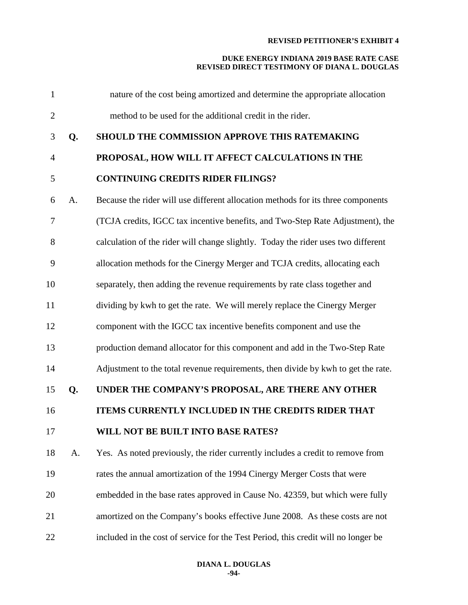| $\mathbf{1}$ |    | nature of the cost being amortized and determine the appropriate allocation        |
|--------------|----|------------------------------------------------------------------------------------|
| $\mathbf{2}$ |    | method to be used for the additional credit in the rider.                          |
| 3            | Q. | SHOULD THE COMMISSION APPROVE THIS RATEMAKING                                      |
| 4            |    | PROPOSAL, HOW WILL IT AFFECT CALCULATIONS IN THE                                   |
| 5            |    | <b>CONTINUING CREDITS RIDER FILINGS?</b>                                           |
| 6            | A. | Because the rider will use different allocation methods for its three components   |
| 7            |    | (TCJA credits, IGCC tax incentive benefits, and Two-Step Rate Adjustment), the     |
| 8            |    | calculation of the rider will change slightly. Today the rider uses two different  |
| 9            |    | allocation methods for the Cinergy Merger and TCJA credits, allocating each        |
| 10           |    | separately, then adding the revenue requirements by rate class together and        |
| 11           |    | dividing by kwh to get the rate. We will merely replace the Cinergy Merger         |
| 12           |    | component with the IGCC tax incentive benefits component and use the               |
| 13           |    | production demand allocator for this component and add in the Two-Step Rate        |
| 14           |    | Adjustment to the total revenue requirements, then divide by kwh to get the rate.  |
| 15           | Q. | UNDER THE COMPANY'S PROPOSAL, ARE THERE ANY OTHER                                  |
| 16           |    | ITEMS CURRENTLY INCLUDED IN THE CREDITS RIDER THAT                                 |
| 17           |    | WILL NOT BE BUILT INTO BASE RATES?                                                 |
| 18           | A. | Yes. As noted previously, the rider currently includes a credit to remove from     |
| 19           |    | rates the annual amortization of the 1994 Cinergy Merger Costs that were           |
| 20           |    | embedded in the base rates approved in Cause No. 42359, but which were fully       |
| 21           |    | amortized on the Company's books effective June 2008. As these costs are not       |
| 22           |    | included in the cost of service for the Test Period, this credit will no longer be |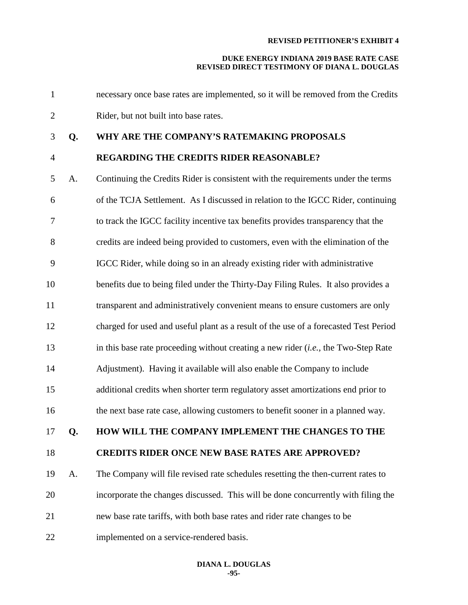# **DUKE ENERGY INDIANA 2019 BASE RATE CASE REVISED DIRECT TESTIMONY OF DIANA L. DOUGLAS**

 necessary once base rates are implemented, so it will be removed from the Credits Rider, but not built into base rates.

# **Q. WHY ARE THE COMPANY'S RATEMAKING PROPOSALS**

# **REGARDING THE CREDITS RIDER REASONABLE?**

 A. Continuing the Credits Rider is consistent with the requirements under the terms of the TCJA Settlement. As I discussed in relation to the IGCC Rider, continuing to track the IGCC facility incentive tax benefits provides transparency that the credits are indeed being provided to customers, even with the elimination of the IGCC Rider, while doing so in an already existing rider with administrative benefits due to being filed under the Thirty-Day Filing Rules. It also provides a transparent and administratively convenient means to ensure customers are only charged for used and useful plant as a result of the use of a forecasted Test Period in this base rate proceeding without creating a new rider (*i.e.,* the Two-Step Rate Adjustment). Having it available will also enable the Company to include additional credits when shorter term regulatory asset amortizations end prior to the next base rate case, allowing customers to benefit sooner in a planned way. **Q. HOW WILL THE COMPANY IMPLEMENT THE CHANGES TO THE CREDITS RIDER ONCE NEW BASE RATES ARE APPROVED?**  A. The Company will file revised rate schedules resetting the then-current rates to incorporate the changes discussed. This will be done concurrently with filing the new base rate tariffs, with both base rates and rider rate changes to be implemented on a service-rendered basis.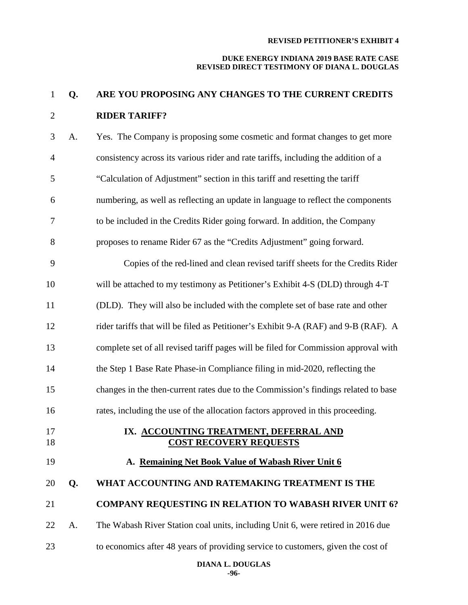# **DUKE ENERGY INDIANA 2019 BASE RATE CASE REVISED DIRECT TESTIMONY OF DIANA L. DOUGLAS**

# **Q. ARE YOU PROPOSING ANY CHANGES TO THE CURRENT CREDITS RIDER TARIFF?**

| 3              | A. | Yes. The Company is proposing some cosmetic and format changes to get more          |
|----------------|----|-------------------------------------------------------------------------------------|
| $\overline{4}$ |    | consistency across its various rider and rate tariffs, including the addition of a  |
| 5              |    | "Calculation of Adjustment" section in this tariff and resetting the tariff         |
| 6              |    | numbering, as well as reflecting an update in language to reflect the components    |
| 7              |    | to be included in the Credits Rider going forward. In addition, the Company         |
| 8              |    | proposes to rename Rider 67 as the "Credits Adjustment" going forward.              |
| 9              |    | Copies of the red-lined and clean revised tariff sheets for the Credits Rider       |
| 10             |    | will be attached to my testimony as Petitioner's Exhibit 4-S (DLD) through 4-T      |
| 11             |    | (DLD). They will also be included with the complete set of base rate and other      |
| 12             |    | rider tariffs that will be filed as Petitioner's Exhibit 9-A (RAF) and 9-B (RAF). A |
| 13             |    | complete set of all revised tariff pages will be filed for Commission approval with |
| 14             |    | the Step 1 Base Rate Phase-in Compliance filing in mid-2020, reflecting the         |
| 15             |    | changes in the then-current rates due to the Commission's findings related to base  |
| 16             |    | rates, including the use of the allocation factors approved in this proceeding.     |
| 17             |    | IX. ACCOUNTING TREATMENT, DEFERRAL AND                                              |
|                |    |                                                                                     |
| 18             |    | <b>COST RECOVERY REQUESTS</b>                                                       |
| 19             |    | A. Remaining Net Book Value of Wabash River Unit 6                                  |
| 20             | Q. | WHAT ACCOUNTING AND RATEMAKING TREATMENT IS THE                                     |
| 21             |    | <b>COMPANY REQUESTING IN RELATION TO WABASH RIVER UNIT 6?</b>                       |
| 22             | A. | The Wabash River Station coal units, including Unit 6, were retired in 2016 due     |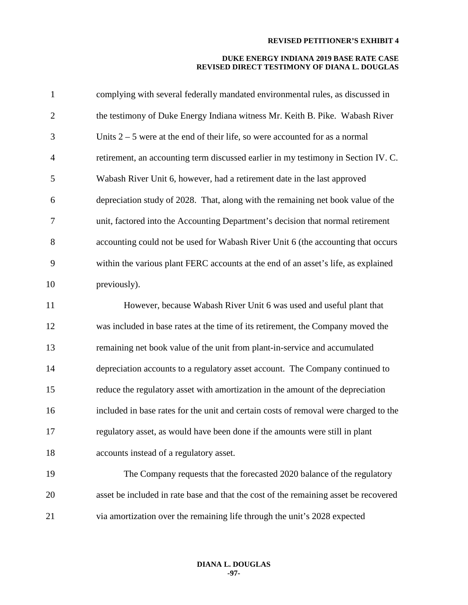| $\mathbf{1}$   | complying with several federally mandated environmental rules, as discussed in       |
|----------------|--------------------------------------------------------------------------------------|
| $\overline{c}$ | the testimony of Duke Energy Indiana witness Mr. Keith B. Pike. Wabash River         |
| 3              | Units $2 - 5$ were at the end of their life, so were accounted for as a normal       |
| 4              | retirement, an accounting term discussed earlier in my testimony in Section IV. C.   |
| 5              | Wabash River Unit 6, however, had a retirement date in the last approved             |
| 6              | depreciation study of 2028. That, along with the remaining net book value of the     |
| 7              | unit, factored into the Accounting Department's decision that normal retirement      |
| 8              | accounting could not be used for Wabash River Unit 6 (the accounting that occurs     |
| 9              | within the various plant FERC accounts at the end of an asset's life, as explained   |
| 10             | previously).                                                                         |
| 11             | However, because Wabash River Unit 6 was used and useful plant that                  |
| 12             | was included in base rates at the time of its retirement, the Company moved the      |
| 13             | remaining net book value of the unit from plant-in-service and accumulated           |
| 14             | depreciation accounts to a regulatory asset account. The Company continued to        |
| 15             | reduce the regulatory asset with amortization in the amount of the depreciation      |
| 16             | included in base rates for the unit and certain costs of removal were charged to the |
| 17             | regulatory asset, as would have been done if the amounts were still in plant         |
| 18             | accounts instead of a regulatory asset.                                              |
| 19             | The Company requests that the forecasted 2020 balance of the regulatory              |
| 20             | asset be included in rate base and that the cost of the remaining asset be recovered |
| 21             | via amortization over the remaining life through the unit's 2028 expected            |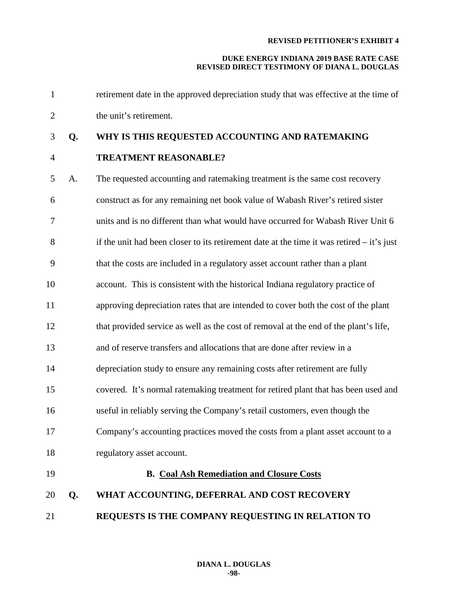| $\mathbf{1}$   |    | retirement date in the approved depreciation study that was effective at the time of        |
|----------------|----|---------------------------------------------------------------------------------------------|
| $\overline{2}$ |    | the unit's retirement.                                                                      |
| 3              | Q. | WHY IS THIS REQUESTED ACCOUNTING AND RATEMAKING                                             |
| $\overline{4}$ |    | <b>TREATMENT REASONABLE?</b>                                                                |
| 5              | A. | The requested accounting and ratemaking treatment is the same cost recovery                 |
| 6              |    | construct as for any remaining net book value of Wabash River's retired sister              |
| 7              |    | units and is no different than what would have occurred for Wabash River Unit 6             |
| 8              |    | if the unit had been closer to its retirement date at the time it was retired $-$ it's just |
| 9              |    | that the costs are included in a regulatory asset account rather than a plant               |
| 10             |    | account. This is consistent with the historical Indiana regulatory practice of              |
| 11             |    | approving depreciation rates that are intended to cover both the cost of the plant          |
| 12             |    | that provided service as well as the cost of removal at the end of the plant's life,        |
| 13             |    | and of reserve transfers and allocations that are done after review in a                    |
| 14             |    | depreciation study to ensure any remaining costs after retirement are fully                 |
| 15             |    | covered. It's normal ratemaking treatment for retired plant that has been used and          |
| 16             |    | useful in reliably serving the Company's retail customers, even though the                  |
| 17             |    | Company's accounting practices moved the costs from a plant asset account to a              |
| 18             |    | regulatory asset account.                                                                   |
| 19             |    | <b>B.</b> Coal Ash Remediation and Closure Costs                                            |
| 20             | Q. | WHAT ACCOUNTING, DEFERRAL AND COST RECOVERY                                                 |
| 21             |    | REQUESTS IS THE COMPANY REQUESTING IN RELATION TO                                           |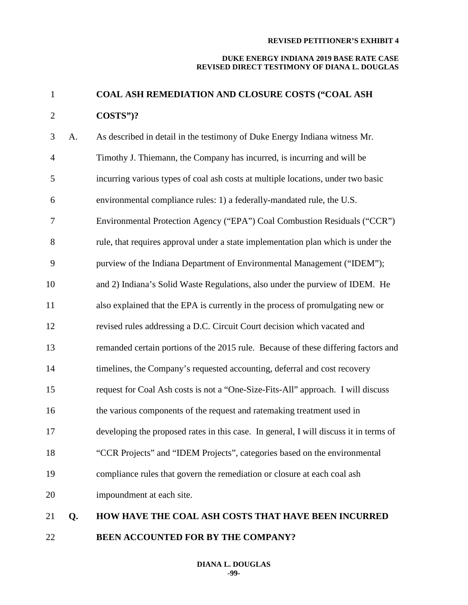# **DUKE ENERGY INDIANA 2019 BASE RATE CASE REVISED DIRECT TESTIMONY OF DIANA L. DOUGLAS**

# **COAL ASH REMEDIATION AND CLOSURE COSTS ("COAL ASH COSTS")?**

| 3              | A. | As described in detail in the testimony of Duke Energy Indiana witness Mr.            |
|----------------|----|---------------------------------------------------------------------------------------|
| $\overline{4}$ |    | Timothy J. Thiemann, the Company has incurred, is incurring and will be               |
| 5              |    | incurring various types of coal ash costs at multiple locations, under two basic      |
| 6              |    | environmental compliance rules: 1) a federally-mandated rule, the U.S.                |
| 7              |    | Environmental Protection Agency ("EPA") Coal Combustion Residuals ("CCR")             |
| 8              |    | rule, that requires approval under a state implementation plan which is under the     |
| 9              |    | purview of the Indiana Department of Environmental Management ("IDEM");               |
| 10             |    | and 2) Indiana's Solid Waste Regulations, also under the purview of IDEM. He          |
| 11             |    | also explained that the EPA is currently in the process of promulgating new or        |
| 12             |    | revised rules addressing a D.C. Circuit Court decision which vacated and              |
| 13             |    | remanded certain portions of the 2015 rule. Because of these differing factors and    |
| 14             |    | timelines, the Company's requested accounting, deferral and cost recovery             |
| 15             |    | request for Coal Ash costs is not a "One-Size-Fits-All" approach. I will discuss      |
| 16             |    | the various components of the request and ratemaking treatment used in                |
| 17             |    | developing the proposed rates in this case. In general, I will discuss it in terms of |
| 18             |    | "CCR Projects" and "IDEM Projects", categories based on the environmental             |
| 19             |    | compliance rules that govern the remediation or closure at each coal ash              |
| 20             |    | impoundment at each site.                                                             |
| 21             | Q. | <b>HOW HAVE THE COAL ASH COSTS THAT HAVE BEEN INCURRED</b>                            |

**BEEN ACCOUNTED FOR BY THE COMPANY?**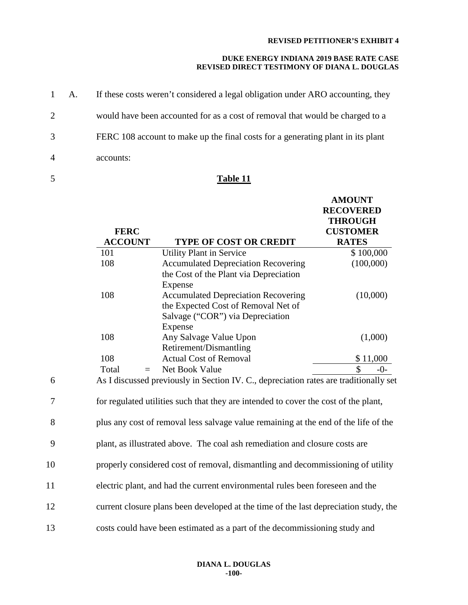# **DUKE ENERGY INDIANA 2019 BASE RATE CASE REVISED DIRECT TESTIMONY OF DIANA L. DOUGLAS**

|                | 1 A. | If these costs weren't considered a legal obligation under ARO accounting, they |
|----------------|------|---------------------------------------------------------------------------------|
| 2              |      | would have been accounted for as a cost of removal that would be charged to a   |
| 3              |      | FERC 108 account to make up the final costs for a generating plant in its plant |
| $\overline{4}$ |      | accounts:                                                                       |

# 5 **Table 11**

|    | <b>FERC</b>           |                                                                                                                                  | <b>AMOUNT</b><br><b>RECOVERED</b><br><b>THROUGH</b><br><b>CUSTOMER</b> |
|----|-----------------------|----------------------------------------------------------------------------------------------------------------------------------|------------------------------------------------------------------------|
|    | <b>ACCOUNT</b><br>101 | <b>TYPE OF COST OR CREDIT</b><br><b>Utility Plant in Service</b>                                                                 | <b>RATES</b><br>\$100,000                                              |
|    | 108                   | <b>Accumulated Depreciation Recovering</b><br>the Cost of the Plant via Depreciation<br>Expense                                  | (100,000)                                                              |
|    | 108                   | <b>Accumulated Depreciation Recovering</b><br>the Expected Cost of Removal Net of<br>Salvage ("COR") via Depreciation<br>Expense | (10,000)                                                               |
|    | 108                   | Any Salvage Value Upon<br>Retirement/Dismantling                                                                                 | (1,000)                                                                |
|    | 108                   | <b>Actual Cost of Removal</b>                                                                                                    | \$11,000                                                               |
|    | Total<br>$=$          | Net Book Value                                                                                                                   | \$<br>$-0-$                                                            |
| 6  |                       | As I discussed previously in Section IV. C., depreciation rates are traditionally set                                            |                                                                        |
| 7  |                       | for regulated utilities such that they are intended to cover the cost of the plant,                                              |                                                                        |
| 8  |                       | plus any cost of removal less salvage value remaining at the end of the life of the                                              |                                                                        |
| 9  |                       | plant, as illustrated above. The coal ash remediation and closure costs are                                                      |                                                                        |
| 10 |                       | properly considered cost of removal, dismantling and decommissioning of utility                                                  |                                                                        |
| 11 |                       | electric plant, and had the current environmental rules been foreseen and the                                                    |                                                                        |
| 12 |                       | current closure plans been developed at the time of the last depreciation study, the                                             |                                                                        |

13 costs could have been estimated as a part of the decommissioning study and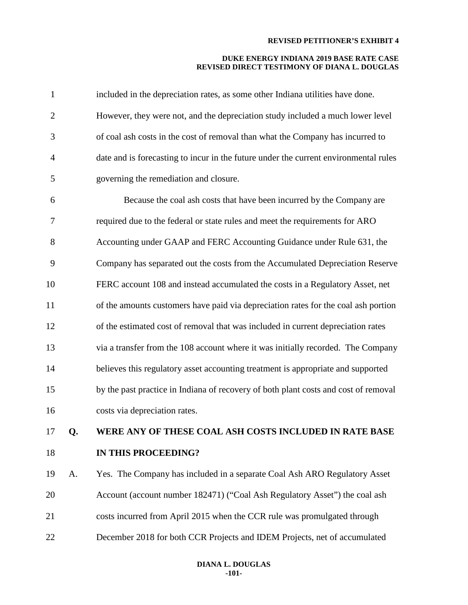| $\mathbf{1}$   |    | included in the depreciation rates, as some other Indiana utilities have done.       |
|----------------|----|--------------------------------------------------------------------------------------|
| $\overline{2}$ |    | However, they were not, and the depreciation study included a much lower level       |
| 3              |    | of coal ash costs in the cost of removal than what the Company has incurred to       |
| $\overline{4}$ |    | date and is forecasting to incur in the future under the current environmental rules |
| 5              |    | governing the remediation and closure.                                               |
| 6              |    | Because the coal ash costs that have been incurred by the Company are                |
| 7              |    | required due to the federal or state rules and meet the requirements for ARO         |
| 8              |    | Accounting under GAAP and FERC Accounting Guidance under Rule 631, the               |
| 9              |    | Company has separated out the costs from the Accumulated Depreciation Reserve        |
| 10             |    | FERC account 108 and instead accumulated the costs in a Regulatory Asset, net        |
| 11             |    | of the amounts customers have paid via depreciation rates for the coal ash portion   |
| 12             |    | of the estimated cost of removal that was included in current depreciation rates     |
| 13             |    | via a transfer from the 108 account where it was initially recorded. The Company     |
| 14             |    | believes this regulatory asset accounting treatment is appropriate and supported     |
| 15             |    | by the past practice in Indiana of recovery of both plant costs and cost of removal  |
| 16             |    | costs via depreciation rates.                                                        |
| 17             | Q. | WERE ANY OF THESE COAL ASH COSTS INCLUDED IN RATE BASE                               |
| 18             |    | IN THIS PROCEEDING?                                                                  |
| 19             | А. | Yes. The Company has included in a separate Coal Ash ARO Regulatory Asset            |
| 20             |    | Account (account number 182471) ("Coal Ash Regulatory Asset") the coal ash           |
| 21             |    | costs incurred from April 2015 when the CCR rule was promulgated through             |
| 22             |    | December 2018 for both CCR Projects and IDEM Projects, net of accumulated            |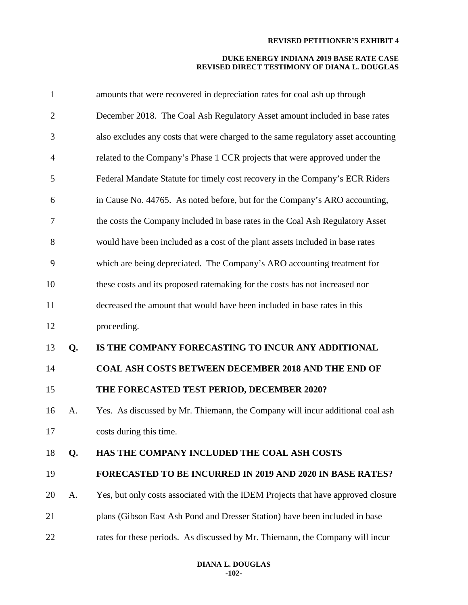| $\mathbf{1}$   |    | amounts that were recovered in depreciation rates for coal ash up through         |
|----------------|----|-----------------------------------------------------------------------------------|
| $\overline{2}$ |    | December 2018. The Coal Ash Regulatory Asset amount included in base rates        |
| 3              |    | also excludes any costs that were charged to the same regulatory asset accounting |
| $\overline{4}$ |    | related to the Company's Phase 1 CCR projects that were approved under the        |
| 5              |    | Federal Mandate Statute for timely cost recovery in the Company's ECR Riders      |
| 6              |    | in Cause No. 44765. As noted before, but for the Company's ARO accounting,        |
| 7              |    | the costs the Company included in base rates in the Coal Ash Regulatory Asset     |
| 8              |    | would have been included as a cost of the plant assets included in base rates     |
| 9              |    | which are being depreciated. The Company's ARO accounting treatment for           |
| 10             |    | these costs and its proposed ratemaking for the costs has not increased nor       |
| 11             |    | decreased the amount that would have been included in base rates in this          |
| 12             |    | proceeding.                                                                       |
| 13             | Q. | IS THE COMPANY FORECASTING TO INCUR ANY ADDITIONAL                                |
| 14             |    | <b>COAL ASH COSTS BETWEEN DECEMBER 2018 AND THE END OF</b>                        |
| 15             |    | THE FORECASTED TEST PERIOD, DECEMBER 2020?                                        |
| 16             | A. | Yes. As discussed by Mr. Thiemann, the Company will incur additional coal ash     |
| 17             |    | costs during this time.                                                           |
| 18             | Q. | HAS THE COMPANY INCLUDED THE COAL ASH COSTS                                       |
| 19             |    | <b>FORECASTED TO BE INCURRED IN 2019 AND 2020 IN BASE RATES?</b>                  |
| 20             | A. | Yes, but only costs associated with the IDEM Projects that have approved closure  |
| 21             |    | plans (Gibson East Ash Pond and Dresser Station) have been included in base       |
| 22             |    | rates for these periods. As discussed by Mr. Thiemann, the Company will incur     |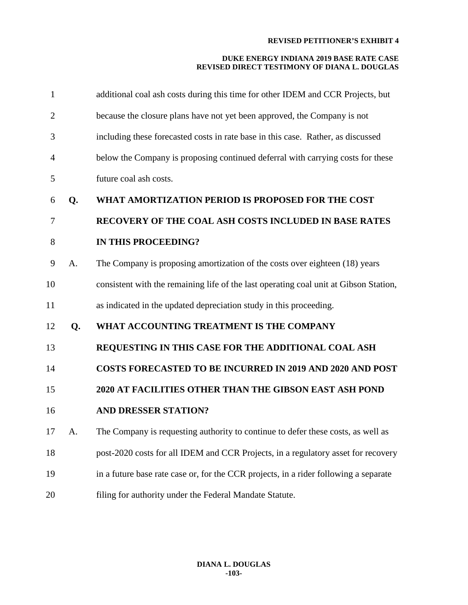| $\mathbf{1}$   |    | additional coal ash costs during this time for other IDEM and CCR Projects, but       |
|----------------|----|---------------------------------------------------------------------------------------|
| $\overline{c}$ |    | because the closure plans have not yet been approved, the Company is not              |
| 3              |    | including these forecasted costs in rate base in this case. Rather, as discussed      |
| 4              |    | below the Company is proposing continued deferral with carrying costs for these       |
| 5              |    | future coal ash costs.                                                                |
| 6              | Q. | WHAT AMORTIZATION PERIOD IS PROPOSED FOR THE COST                                     |
| 7              |    | <b>RECOVERY OF THE COAL ASH COSTS INCLUDED IN BASE RATES</b>                          |
| 8              |    | <b>IN THIS PROCEEDING?</b>                                                            |
| 9              | A. | The Company is proposing amortization of the costs over eighteen (18) years           |
| 10             |    | consistent with the remaining life of the last operating coal unit at Gibson Station, |
| 11             |    | as indicated in the updated depreciation study in this proceeding.                    |
| 12             | Q. | WHAT ACCOUNTING TREATMENT IS THE COMPANY                                              |
| 13             |    | REQUESTING IN THIS CASE FOR THE ADDITIONAL COAL ASH                                   |
| 14             |    | COSTS FORECASTED TO BE INCURRED IN 2019 AND 2020 AND POST                             |
| 15             |    | 2020 AT FACILITIES OTHER THAN THE GIBSON EAST ASH POND                                |
| 16             |    | <b>AND DRESSER STATION?</b>                                                           |
| 17             | A. | The Company is requesting authority to continue to defer these costs, as well as      |
| 18             |    | post-2020 costs for all IDEM and CCR Projects, in a regulatory asset for recovery     |
| 19             |    | in a future base rate case or, for the CCR projects, in a rider following a separate  |
| 20             |    | filing for authority under the Federal Mandate Statute.                               |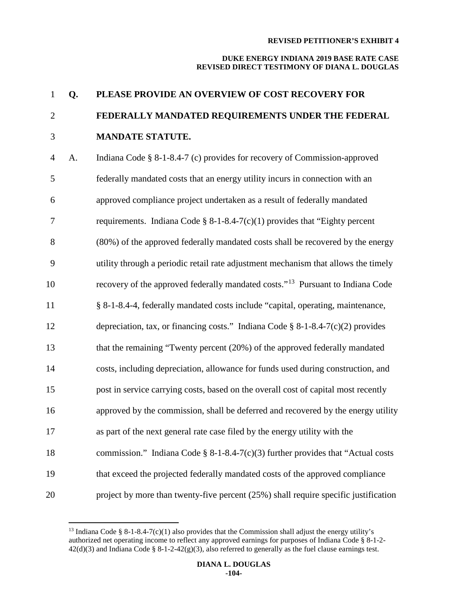# **DUKE ENERGY INDIANA 2019 BASE RATE CASE REVISED DIRECT TESTIMONY OF DIANA L. DOUGLAS**

# **Q. PLEASE PROVIDE AN OVERVIEW OF COST RECOVERY FOR FEDERALLY MANDATED REQUIREMENTS UNDER THE FEDERAL MANDATE STATUTE.**

 A. Indiana Code § 8-1-8.4-7 (c) provides for recovery of Commission-approved federally mandated costs that an energy utility incurs in connection with an approved compliance project undertaken as a result of federally mandated requirements. Indiana Code § 8-1-8.4-7(c)(1) provides that "Eighty percent (80%) of the approved federally mandated costs shall be recovered by the energy utility through a periodic retail rate adjustment mechanism that allows the timely 10 recovery of the approved federally mandated costs."<sup>[13](#page-104-0)</sup> Pursuant to Indiana Code § 8-1-8.4-4, federally mandated costs include "capital, operating, maintenance, depreciation, tax, or financing costs." Indiana Code § 8-1-8.4-7(c)(2) provides that the remaining "Twenty percent (20%) of the approved federally mandated costs, including depreciation, allowance for funds used during construction, and post in service carrying costs, based on the overall cost of capital most recently approved by the commission, shall be deferred and recovered by the energy utility as part of the next general rate case filed by the energy utility with the commission." Indiana Code § 8-1-8.4-7(c)(3) further provides that "Actual costs that exceed the projected federally mandated costs of the approved compliance project by more than twenty-five percent (25%) shall require specific justification

<span id="page-104-0"></span><sup>&</sup>lt;sup>13</sup> Indiana Code § 8-1-8.4-7(c)(1) also provides that the Commission shall adjust the energy utility's authorized net operating income to reflect any approved earnings for purposes of Indiana Code § 8-1-2-  $42(d)(3)$  and Indiana Code § 8-1-2-42(g)(3), also referred to generally as the fuel clause earnings test.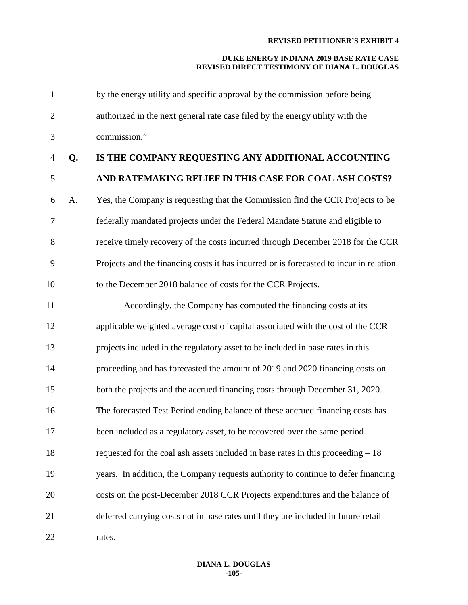# **DUKE ENERGY INDIANA 2019 BASE RATE CASE REVISED DIRECT TESTIMONY OF DIANA L. DOUGLAS**

| $\mathbf{1}$   |    | by the energy utility and specific approval by the commission before being             |
|----------------|----|----------------------------------------------------------------------------------------|
| $\mathbf{2}$   |    | authorized in the next general rate case filed by the energy utility with the          |
| 3              |    | commission."                                                                           |
| $\overline{4}$ | Q. | IS THE COMPANY REQUESTING ANY ADDITIONAL ACCOUNTING                                    |
| $\mathfrak{S}$ |    | AND RATEMAKING RELIEF IN THIS CASE FOR COAL ASH COSTS?                                 |
| 6              | A. | Yes, the Company is requesting that the Commission find the CCR Projects to be         |
| $\tau$         |    | federally mandated projects under the Federal Mandate Statute and eligible to          |
| 8              |    | receive timely recovery of the costs incurred through December 2018 for the CCR        |
| 9              |    | Projects and the financing costs it has incurred or is forecasted to incur in relation |
| 10             |    | to the December 2018 balance of costs for the CCR Projects.                            |
| 11             |    | Accordingly, the Company has computed the financing costs at its                       |
| 12             |    | applicable weighted average cost of capital associated with the cost of the CCR        |
| 13             |    | projects included in the regulatory asset to be included in base rates in this         |
| 14             |    | proceeding and has forecasted the amount of 2019 and 2020 financing costs on           |
| 15             |    | both the projects and the accrued financing costs through December 31, 2020.           |
| 16             |    | The forecasted Test Period ending balance of these accrued financing costs has         |
| 17             |    | been included as a regulatory asset, to be recovered over the same period              |
| 18             |    | requested for the coal ash assets included in base rates in this proceeding $-18$      |
| 19             |    | years. In addition, the Company requests authority to continue to defer financing      |
| 20             |    | costs on the post-December 2018 CCR Projects expenditures and the balance of           |
| 21             |    | deferred carrying costs not in base rates until they are included in future retail     |
| 22             |    | rates.                                                                                 |

# **DIANA L. DOUGLAS -105-**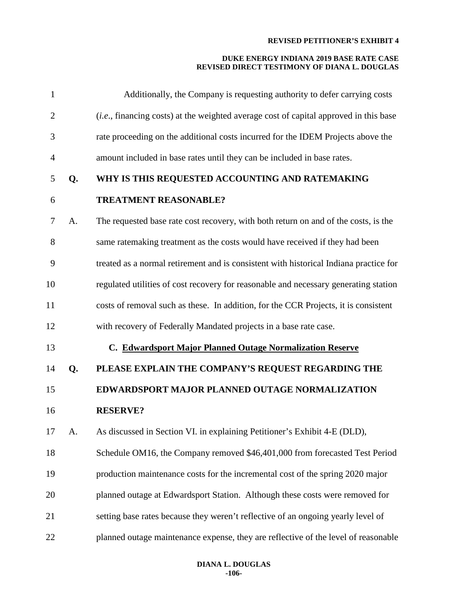| $\mathbf{1}$   |    | Additionally, the Company is requesting authority to defer carrying costs                      |
|----------------|----|------------------------------------------------------------------------------------------------|
| $\overline{2}$ |    | ( <i>i.e.</i> , financing costs) at the weighted average cost of capital approved in this base |
| 3              |    | rate proceeding on the additional costs incurred for the IDEM Projects above the               |
| $\overline{4}$ |    | amount included in base rates until they can be included in base rates.                        |
| 5              | Q. | WHY IS THIS REQUESTED ACCOUNTING AND RATEMAKING                                                |
| 6              |    | <b>TREATMENT REASONABLE?</b>                                                                   |
| 7              | A. | The requested base rate cost recovery, with both return on and of the costs, is the            |
| 8              |    | same ratemaking treatment as the costs would have received if they had been                    |
| 9              |    | treated as a normal retirement and is consistent with historical Indiana practice for          |
| 10             |    | regulated utilities of cost recovery for reasonable and necessary generating station           |
| 11             |    | costs of removal such as these. In addition, for the CCR Projects, it is consistent            |
| 12             |    | with recovery of Federally Mandated projects in a base rate case.                              |
| 13             |    | C. Edwardsport Major Planned Outage Normalization Reserve                                      |
| 14             | Q. | PLEASE EXPLAIN THE COMPANY'S REQUEST REGARDING THE                                             |
| 15             |    | EDWARDSPORT MAJOR PLANNED OUTAGE NORMALIZATION                                                 |
| 16             |    | <b>RESERVE?</b>                                                                                |
| 17             | A. | As discussed in Section VI. in explaining Petitioner's Exhibit 4-E (DLD),                      |
| 18             |    | Schedule OM16, the Company removed \$46,401,000 from forecasted Test Period                    |
| 19             |    | production maintenance costs for the incremental cost of the spring 2020 major                 |
| 20             |    | planned outage at Edwardsport Station. Although these costs were removed for                   |
| 21             |    | setting base rates because they weren't reflective of an ongoing yearly level of               |
| 22             |    | planned outage maintenance expense, they are reflective of the level of reasonable             |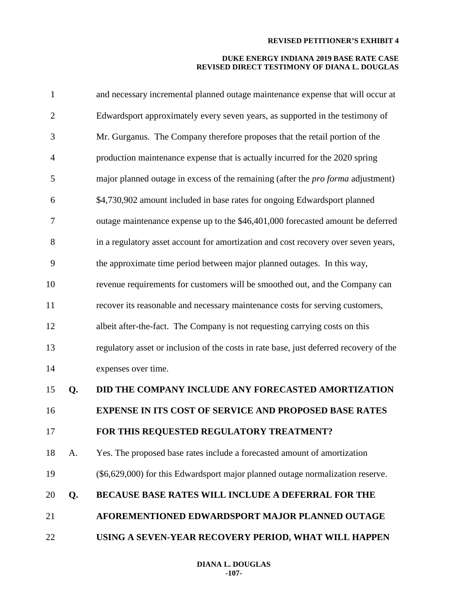| $\mathbf{1}$   |    | and necessary incremental planned outage maintenance expense that will occur at         |
|----------------|----|-----------------------------------------------------------------------------------------|
| $\overline{2}$ |    | Edwardsport approximately every seven years, as supported in the testimony of           |
| 3              |    | Mr. Gurganus. The Company therefore proposes that the retail portion of the             |
| $\overline{4}$ |    | production maintenance expense that is actually incurred for the 2020 spring            |
| 5              |    | major planned outage in excess of the remaining (after the <i>pro forma</i> adjustment) |
| 6              |    | \$4,730,902 amount included in base rates for ongoing Edwardsport planned               |
| 7              |    | outage maintenance expense up to the \$46,401,000 forecasted amount be deferred         |
| 8              |    | in a regulatory asset account for amortization and cost recovery over seven years,      |
| 9              |    | the approximate time period between major planned outages. In this way,                 |
| 10             |    | revenue requirements for customers will be smoothed out, and the Company can            |
| 11             |    | recover its reasonable and necessary maintenance costs for serving customers,           |
| 12             |    | albeit after-the-fact. The Company is not requesting carrying costs on this             |
| 13             |    | regulatory asset or inclusion of the costs in rate base, just deferred recovery of the  |
| 14             |    | expenses over time.                                                                     |
| 15             | Q. | DID THE COMPANY INCLUDE ANY FORECASTED AMORTIZATION                                     |
| 16             |    | <b>EXPENSE IN ITS COST OF SERVICE AND PROPOSED BASE RATES</b>                           |
| 17             |    | FOR THIS REQUESTED REGULATORY TREATMENT?                                                |
| 18             | A. | Yes. The proposed base rates include a forecasted amount of amortization                |
| 19             |    | (\$6,629,000) for this Edwardsport major planned outage normalization reserve.          |
| 20             | Q. | <b>BECAUSE BASE RATES WILL INCLUDE A DEFERRAL FOR THE</b>                               |
| 21             |    | AFOREMENTIONED EDWARDSPORT MAJOR PLANNED OUTAGE                                         |
| 22             |    | USING A SEVEN-YEAR RECOVERY PERIOD, WHAT WILL HAPPEN                                    |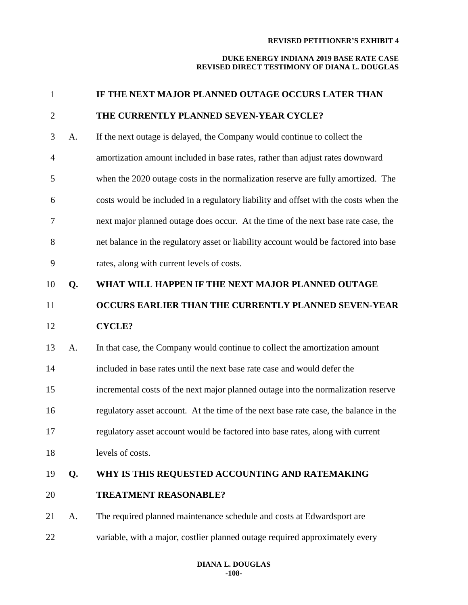| 1              |    | IF THE NEXT MAJOR PLANNED OUTAGE OCCURS LATER THAN                                   |
|----------------|----|--------------------------------------------------------------------------------------|
| $\overline{2}$ |    | THE CURRENTLY PLANNED SEVEN-YEAR CYCLE?                                              |
| 3              | A. | If the next outage is delayed, the Company would continue to collect the             |
| $\overline{4}$ |    | amortization amount included in base rates, rather than adjust rates downward        |
| 5              |    | when the 2020 outage costs in the normalization reserve are fully amortized. The     |
| 6              |    | costs would be included in a regulatory liability and offset with the costs when the |
| 7              |    | next major planned outage does occur. At the time of the next base rate case, the    |
| 8              |    | net balance in the regulatory asset or liability account would be factored into base |
| 9              |    | rates, along with current levels of costs.                                           |
| 10             | Q. | WHAT WILL HAPPEN IF THE NEXT MAJOR PLANNED OUTAGE                                    |
| 11             |    | OCCURS EARLIER THAN THE CURRENTLY PLANNED SEVEN-YEAR                                 |
| 12             |    | <b>CYCLE?</b>                                                                        |
|                |    |                                                                                      |
| 13             | A. | In that case, the Company would continue to collect the amortization amount          |
| 14             |    | included in base rates until the next base rate case and would defer the             |
| 15             |    | incremental costs of the next major planned outage into the normalization reserve    |
| 16             |    | regulatory asset account. At the time of the next base rate case, the balance in the |
|                |    | regulatory asset account would be factored into base rates, along with current       |
| 17<br>18       |    | levels of costs.                                                                     |
| 19             | Q. | WHY IS THIS REQUESTED ACCOUNTING AND RATEMAKING                                      |
| 20             |    | <b>TREATMENT REASONABLE?</b>                                                         |
| 21             | A. | The required planned maintenance schedule and costs at Edwardsport are               |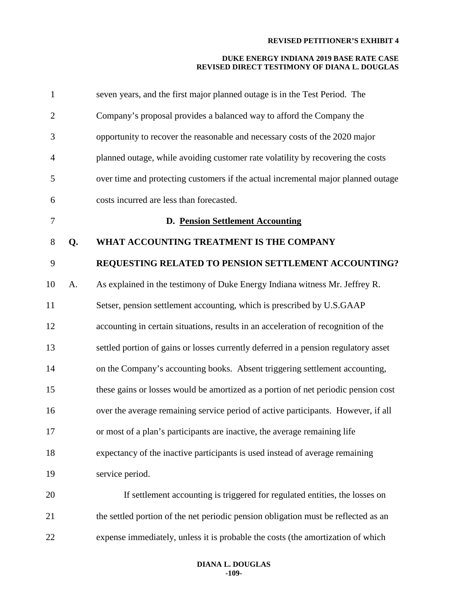| $\mathbf{1}$   |    | seven years, and the first major planned outage is in the Test Period. The          |
|----------------|----|-------------------------------------------------------------------------------------|
| $\mathbf{2}$   |    | Company's proposal provides a balanced way to afford the Company the                |
| 3              |    | opportunity to recover the reasonable and necessary costs of the 2020 major         |
| $\overline{4}$ |    | planned outage, while avoiding customer rate volatility by recovering the costs     |
| 5              |    | over time and protecting customers if the actual incremental major planned outage   |
| 6              |    | costs incurred are less than forecasted.                                            |
| 7              |    | D. Pension Settlement Accounting                                                    |
| 8              | Q. | WHAT ACCOUNTING TREATMENT IS THE COMPANY                                            |
| 9              |    | REQUESTING RELATED TO PENSION SETTLEMENT ACCOUNTING?                                |
| 10             | A. | As explained in the testimony of Duke Energy Indiana witness Mr. Jeffrey R.         |
| 11             |    | Setser, pension settlement accounting, which is prescribed by U.S.GAAP              |
| 12             |    | accounting in certain situations, results in an acceleration of recognition of the  |
| 13             |    | settled portion of gains or losses currently deferred in a pension regulatory asset |
| 14             |    | on the Company's accounting books. Absent triggering settlement accounting,         |
| 15             |    | these gains or losses would be amortized as a portion of net periodic pension cost  |
| 16             |    | over the average remaining service period of active participants. However, if all   |
| 17             |    | or most of a plan's participants are inactive, the average remaining life           |
| 18             |    | expectancy of the inactive participants is used instead of average remaining        |
| 19             |    | service period.                                                                     |
| 20             |    | If settlement accounting is triggered for regulated entities, the losses on         |
| 21             |    | the settled portion of the net periodic pension obligation must be reflected as an  |
| 22             |    | expense immediately, unless it is probable the costs (the amortization of which     |
|                |    |                                                                                     |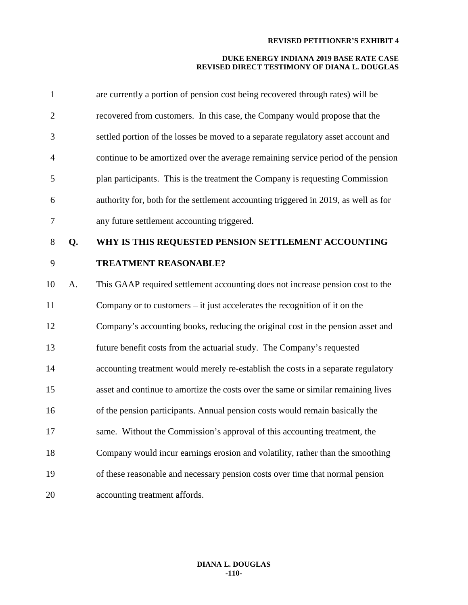| $\mathbf{1}$   |    | are currently a portion of pension cost being recovered through rates) will be      |
|----------------|----|-------------------------------------------------------------------------------------|
| $\overline{2}$ |    | recovered from customers. In this case, the Company would propose that the          |
| 3              |    | settled portion of the losses be moved to a separate regulatory asset account and   |
| $\overline{4}$ |    | continue to be amortized over the average remaining service period of the pension   |
| 5              |    | plan participants. This is the treatment the Company is requesting Commission       |
| 6              |    | authority for, both for the settlement accounting triggered in 2019, as well as for |
| $\tau$         |    | any future settlement accounting triggered.                                         |
| 8              | Q. | WHY IS THIS REQUESTED PENSION SETTLEMENT ACCOUNTING                                 |
| 9              |    | <b>TREATMENT REASONABLE?</b>                                                        |
| 10             | A. | This GAAP required settlement accounting does not increase pension cost to the      |
| 11             |    | Company or to customers $-$ it just accelerates the recognition of it on the        |
| 12             |    | Company's accounting books, reducing the original cost in the pension asset and     |
| 13             |    | future benefit costs from the actuarial study. The Company's requested              |
| 14             |    | accounting treatment would merely re-establish the costs in a separate regulatory   |
| 15             |    | asset and continue to amortize the costs over the same or similar remaining lives   |
| 16             |    | of the pension participants. Annual pension costs would remain basically the        |
| 17             |    | same. Without the Commission's approval of this accounting treatment, the           |
| 18             |    | Company would incur earnings erosion and volatility, rather than the smoothing      |
| 19             |    | of these reasonable and necessary pension costs over time that normal pension       |
| 20             |    | accounting treatment affords.                                                       |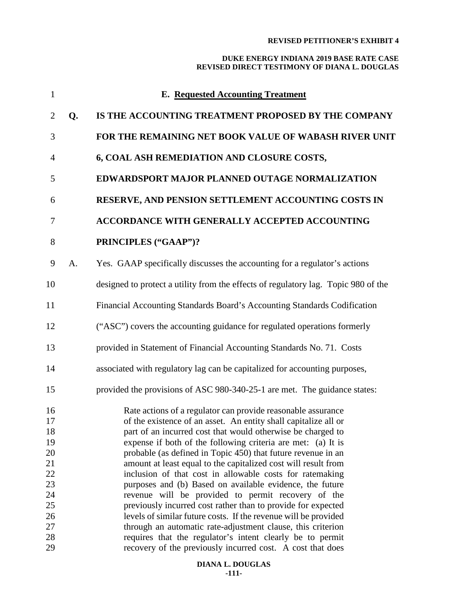| $\mathbf{1}$                                                         |    | <b>E.</b> Requested Accounting Treatment                                                                                                                                                                                                                                                                                                                                                                                                                                                                                                                                                                                                                                                                                                                                         |
|----------------------------------------------------------------------|----|----------------------------------------------------------------------------------------------------------------------------------------------------------------------------------------------------------------------------------------------------------------------------------------------------------------------------------------------------------------------------------------------------------------------------------------------------------------------------------------------------------------------------------------------------------------------------------------------------------------------------------------------------------------------------------------------------------------------------------------------------------------------------------|
| $\overline{2}$                                                       | Q. | IS THE ACCOUNTING TREATMENT PROPOSED BY THE COMPANY                                                                                                                                                                                                                                                                                                                                                                                                                                                                                                                                                                                                                                                                                                                              |
| 3                                                                    |    | FOR THE REMAINING NET BOOK VALUE OF WABASH RIVER UNIT                                                                                                                                                                                                                                                                                                                                                                                                                                                                                                                                                                                                                                                                                                                            |
| $\overline{4}$                                                       |    | 6, COAL ASH REMEDIATION AND CLOSURE COSTS,                                                                                                                                                                                                                                                                                                                                                                                                                                                                                                                                                                                                                                                                                                                                       |
| 5                                                                    |    | EDWARDSPORT MAJOR PLANNED OUTAGE NORMALIZATION                                                                                                                                                                                                                                                                                                                                                                                                                                                                                                                                                                                                                                                                                                                                   |
| 6                                                                    |    | RESERVE, AND PENSION SETTLEMENT ACCOUNTING COSTS IN                                                                                                                                                                                                                                                                                                                                                                                                                                                                                                                                                                                                                                                                                                                              |
| 7                                                                    |    | ACCORDANCE WITH GENERALLY ACCEPTED ACCOUNTING                                                                                                                                                                                                                                                                                                                                                                                                                                                                                                                                                                                                                                                                                                                                    |
| 8                                                                    |    | PRINCIPLES ("GAAP")?                                                                                                                                                                                                                                                                                                                                                                                                                                                                                                                                                                                                                                                                                                                                                             |
| 9                                                                    | A. | Yes. GAAP specifically discusses the accounting for a regulator's actions                                                                                                                                                                                                                                                                                                                                                                                                                                                                                                                                                                                                                                                                                                        |
| 10                                                                   |    | designed to protect a utility from the effects of regulatory lag. Topic 980 of the                                                                                                                                                                                                                                                                                                                                                                                                                                                                                                                                                                                                                                                                                               |
| 11                                                                   |    | Financial Accounting Standards Board's Accounting Standards Codification                                                                                                                                                                                                                                                                                                                                                                                                                                                                                                                                                                                                                                                                                                         |
| 12                                                                   |    | ("ASC") covers the accounting guidance for regulated operations formerly                                                                                                                                                                                                                                                                                                                                                                                                                                                                                                                                                                                                                                                                                                         |
| 13                                                                   |    | provided in Statement of Financial Accounting Standards No. 71. Costs                                                                                                                                                                                                                                                                                                                                                                                                                                                                                                                                                                                                                                                                                                            |
| 14                                                                   |    | associated with regulatory lag can be capitalized for accounting purposes,                                                                                                                                                                                                                                                                                                                                                                                                                                                                                                                                                                                                                                                                                                       |
| 15                                                                   |    | provided the provisions of ASC 980-340-25-1 are met. The guidance states:                                                                                                                                                                                                                                                                                                                                                                                                                                                                                                                                                                                                                                                                                                        |
| 16<br>17<br>18<br>19<br>20<br>21<br>22<br>23<br>24<br>25<br>26<br>27 |    | Rate actions of a regulator can provide reasonable assurance<br>of the existence of an asset. An entity shall capitalize all or<br>part of an incurred cost that would otherwise be charged to<br>expense if both of the following criteria are met: (a) It is<br>probable (as defined in Topic 450) that future revenue in an<br>amount at least equal to the capitalized cost will result from<br>inclusion of that cost in allowable costs for ratemaking<br>purposes and (b) Based on available evidence, the future<br>revenue will be provided to permit recovery of the<br>previously incurred cost rather than to provide for expected<br>levels of similar future costs. If the revenue will be provided<br>through an automatic rate-adjustment clause, this criterion |
| 28<br>29                                                             |    | requires that the regulator's intent clearly be to permit<br>recovery of the previously incurred cost. A cost that does                                                                                                                                                                                                                                                                                                                                                                                                                                                                                                                                                                                                                                                          |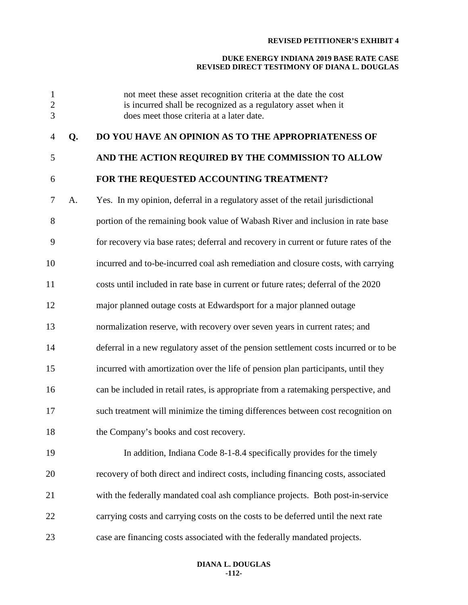# **DUKE ENERGY INDIANA 2019 BASE RATE CASE REVISED DIRECT TESTIMONY OF DIANA L. DOUGLAS**

|    | not meet these asset recognition criteria at the date the cost<br>is incurred shall be recognized as a regulatory asset when it<br>does meet those criteria at a later date. |
|----|------------------------------------------------------------------------------------------------------------------------------------------------------------------------------|
| Q. | DO YOU HAVE AN OPINION AS TO THE APPROPRIATENESS OF                                                                                                                          |
|    | AND THE ACTION REQUIRED BY THE COMMISSION TO ALLOW                                                                                                                           |
|    | FOR THE REQUESTED ACCOUNTING TREATMENT?                                                                                                                                      |
| A. | Yes. In my opinion, deferral in a regulatory asset of the retail jurisdictional                                                                                              |
|    | portion of the remaining book value of Wabash River and inclusion in rate base                                                                                               |
|    | for recovery via base rates; deferral and recovery in current or future rates of the                                                                                         |
|    | incurred and to-be-incurred coal ash remediation and closure costs, with carrying                                                                                            |
|    | costs until included in rate base in current or future rates; deferral of the 2020                                                                                           |
|    | major planned outage costs at Edwardsport for a major planned outage                                                                                                         |
|    | normalization reserve, with recovery over seven years in current rates; and                                                                                                  |
|    | deferral in a new regulatory asset of the pension settlement costs incurred or to be                                                                                         |
|    | incurred with amortization over the life of pension plan participants, until they                                                                                            |
|    | can be included in retail rates, is appropriate from a ratemaking perspective, and                                                                                           |
|    | such treatment will minimize the timing differences between cost recognition on                                                                                              |
|    | the Company's books and cost recovery.                                                                                                                                       |
|    | In addition, Indiana Code 8-1-8.4 specifically provides for the timely                                                                                                       |
|    | recovery of both direct and indirect costs, including financing costs, associated                                                                                            |
|    | with the federally mandated coal ash compliance projects. Both post-in-service                                                                                               |
|    | carrying costs and carrying costs on the costs to be deferred until the next rate                                                                                            |
|    | case are financing costs associated with the federally mandated projects.                                                                                                    |
|    |                                                                                                                                                                              |

# **DIANA L. DOUGLAS -112-**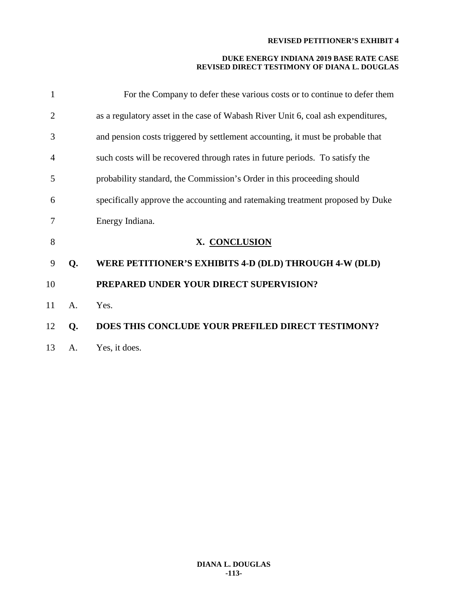| 1              |             | For the Company to defer these various costs or to continue to defer them        |
|----------------|-------------|----------------------------------------------------------------------------------|
| $\overline{2}$ |             | as a regulatory asset in the case of Wabash River Unit 6, coal ash expenditures, |
| 3              |             | and pension costs triggered by settlement accounting, it must be probable that   |
| 4              |             | such costs will be recovered through rates in future periods. To satisfy the     |
| 5              |             | probability standard, the Commission's Order in this proceeding should           |
| 6              |             | specifically approve the accounting and ratemaking treatment proposed by Duke    |
| 7              |             | Energy Indiana.                                                                  |
| 8              |             | X. CONCLUSION                                                                    |
| 9              | Q.          | WERE PETITIONER'S EXHIBITS 4-D (DLD) THROUGH 4-W (DLD)                           |
| 10             |             | PREPARED UNDER YOUR DIRECT SUPERVISION?                                          |
| 11             | $A_{\cdot}$ | Yes.                                                                             |
| 12             | Q.          | DOES THIS CONCLUDE YOUR PREFILED DIRECT TESTIMONY?                               |
| 13             | А.          | Yes, it does.                                                                    |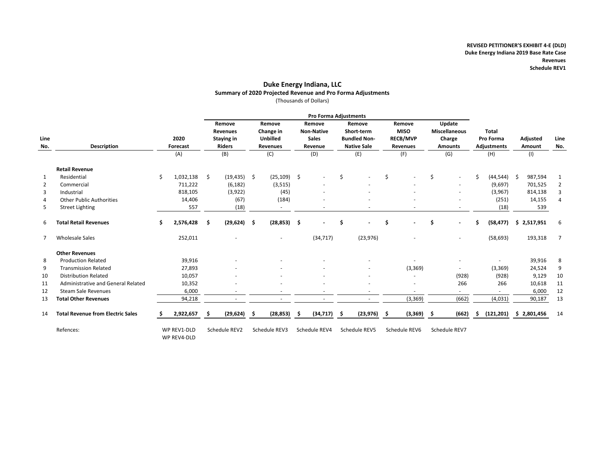#### **Duke Energy Indiana, LLC Summary of 2020 Projected Revenue and Pro Forma Adjustments** (Thousands of Dollars)

|                | <b>Pro Forma Adjustments</b>             |    |                            |     |                 |    |                 |    |                   |     |                     |    |                 |    |                      |    |                          |             |                |
|----------------|------------------------------------------|----|----------------------------|-----|-----------------|----|-----------------|----|-------------------|-----|---------------------|----|-----------------|----|----------------------|----|--------------------------|-------------|----------------|
|                |                                          |    |                            |     | Remove          |    | Remove          |    | Remove            |     | Remove              |    | Remove          |    | Update               |    |                          |             |                |
|                |                                          |    |                            |     | <b>Revenues</b> |    | Change in       |    | <b>Non-Native</b> |     | Short-term          |    | <b>MISO</b>     |    | <b>Miscellaneous</b> |    | <b>Total</b>             |             |                |
| Line           |                                          |    | 2020                       |     | Staying in      |    | <b>Unbilled</b> |    | <b>Sales</b>      |     | <b>Bundled Non-</b> |    | <b>RECB/MVP</b> |    | Charge               |    | Pro Forma                | Adjusted    | Line           |
| No.            | <b>Description</b>                       |    | Forecast                   |     | <b>Riders</b>   |    | <b>Revenues</b> |    | Revenue           |     | <b>Native Sale</b>  |    | <b>Revenues</b> |    | <b>Amounts</b>       |    | Adjustments              | Amount      | No.            |
|                |                                          |    | (A)                        |     | (B)             |    | (C)             |    | (D)               |     | (E)                 |    | (F)             |    | (G)                  |    | (H)                      | (1)         |                |
|                | <b>Retail Revenue</b>                    |    |                            |     |                 |    |                 |    |                   |     |                     |    |                 |    |                      |    |                          |             |                |
| 1              | Residential                              | \$ | 1,032,138                  | \$  | $(19, 435)$ \$  |    | $(25, 109)$ \$  |    |                   | Š.  |                     | Ś  |                 | Ś. |                      | Ś  | (44, 544)                | 987,594     | 1              |
| $\overline{2}$ | Commercial                               |    | 711,222                    |     | (6, 182)        |    | (3, 515)        |    |                   |     |                     |    |                 |    |                      |    | (9,697)                  | 701,525     | $\overline{2}$ |
| 3              | Industrial                               |    | 818,105                    |     | (3,922)         |    | (45)            |    |                   |     |                     |    |                 |    |                      |    | (3,967)                  | 814,138     | 3              |
| 4              | <b>Other Public Authorities</b>          |    | 14,406                     |     | (67)            |    | (184)           |    |                   |     |                     |    |                 |    |                      |    | (251)                    | 14,155      | 4              |
| 5              | <b>Street Lighting</b>                   |    | 557                        |     | (18)            |    | $\sim$          |    |                   |     |                     |    |                 |    |                      |    | (18)                     | 539         |                |
| 6              | <b>Total Retail Revenues</b>             | \$ | 2,576,428                  | -\$ | $(29, 624)$ \$  |    | $(28, 853)$ \$  |    | ۰                 | .\$ |                     | \$ |                 | \$ |                      | S. | (58, 477)                | \$2,517,951 | 6              |
| -7             | <b>Wholesale Sales</b>                   |    | 252,011                    |     |                 |    |                 |    | (34, 717)         |     | (23, 976)           |    |                 |    |                      |    | (58, 693)                | 193,318     | $\overline{7}$ |
|                | <b>Other Revenues</b>                    |    |                            |     |                 |    |                 |    |                   |     |                     |    |                 |    |                      |    |                          |             |                |
| 8              | <b>Production Related</b>                |    | 39,916                     |     |                 |    |                 |    |                   |     |                     |    |                 |    |                      |    | $\sim$                   | 39,916      | 8              |
| 9              | <b>Transmission Related</b>              |    | 27,893                     |     |                 |    |                 |    |                   |     |                     |    | (3, 369)        |    |                      |    | (3, 369)                 | 24,524      | 9              |
| 10             | <b>Distribution Related</b>              |    | 10,057                     |     |                 |    |                 |    |                   |     |                     |    |                 |    | (928)                |    | (928)                    | 9,129       | 10             |
| 11             | Administrative and General Related       |    | 10,352                     |     |                 |    |                 |    |                   |     |                     |    |                 |    | 266                  |    | 266                      | 10,618      | 11             |
| 12             | <b>Steam Sale Revenues</b>               |    | 6,000                      |     |                 |    |                 |    |                   |     |                     |    |                 |    |                      |    | $\overline{\phantom{a}}$ | 6,000       | 12             |
| 13             | <b>Total Other Revenues</b>              |    | 94,218                     |     |                 |    |                 |    |                   |     |                     |    | (3, 369)        |    | (662)                |    | (4,031)                  | 90,187      | 13             |
| 14             | <b>Total Revenue from Electric Sales</b> | s  | 2,922,657                  |     | (29, 624)       | -S | (28, 853)       | Ŝ. | (34, 717)         | -S  | (23, 976)           | -S | $(3,369)$ \$    |    | (662)                | s. | (121, 201)               | \$2,801,456 | 14             |
|                | Refences:                                |    | WP REV1-DLD<br>WP REV4-DLD |     | Schedule REV2   |    | Schedule REV3   |    | Schedule REV4     |     | Schedule REV5       |    | Schedule REV6   |    | Schedule REV7        |    |                          |             |                |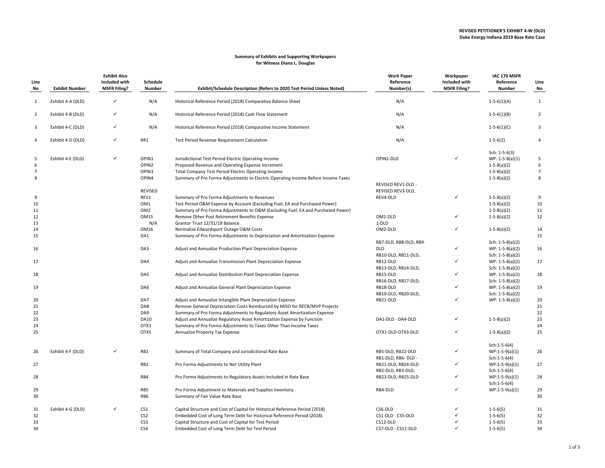#### **Summary of Exhibits and Supporting Workpapers for Witness Diana L. Douglas**

| Line<br>No     | <b>Exhibit Number</b> | <b>Exhibit Also</b><br>Included with<br><b>MSFR Filing?</b> | Schedule<br>Number | Exhibit/Schedule Description (Refers to 2020 Test Period Unless Noted)            | <b>Work Paper</b><br>Reference<br>Number(s) | Workpaper<br>Included with<br><b>MSFR Filing?</b> | IAC 170 MSFR<br>Reference<br><b>Number</b> | Line<br>No     |
|----------------|-----------------------|-------------------------------------------------------------|--------------------|-----------------------------------------------------------------------------------|---------------------------------------------|---------------------------------------------------|--------------------------------------------|----------------|
| 1              | Exhibit 4-A (DLD)     | $\checkmark$                                                | N/A                | Historical Reference Period (2018) Comparative Balance Sheet                      | N/A                                         |                                                   | $1 - 5 - 6(1)(A)$                          | 1              |
| $\overline{2}$ | Exhibit 4-B (DLD)     | $\checkmark$                                                | N/A                | Historical Reference Period (2018) Cash Flow Statement                            | N/A                                         |                                                   | $1 - 5 - 6(1)(B)$                          | $\overline{2}$ |
| 3              | Exhibit 4-C (DLD)     | $\checkmark$                                                | N/A                | Historical Reference Period (2018) Comparative Income Statement                   | N/A                                         |                                                   | $1 - 5 - 6(1)(C)$                          | $\overline{3}$ |
| 4              | Exhibit 4-D (DLD)     | $\checkmark$                                                | RR1                | Test Period Revenue Requirement Calculation                                       | N/A                                         |                                                   | $1 - 5 - 6(2)$                             | 4              |
|                |                       |                                                             |                    |                                                                                   |                                             |                                                   | Sch: $1-5-6(3)$                            |                |
| 5              | Exhibit 4-E (DLD)     | ✓                                                           | OPIN1              | Jurisdictional Test Period Electric Operating Income                              | OPIN1-DLD                                   |                                                   | $WP: 1-5-8(a)(1)$                          | 5              |
| 6              |                       |                                                             | OPIN2              | Proposed Revenue and Operating Expense Increment                                  |                                             |                                                   | $1-5-8(a)(2)$                              | 6              |
| $\overline{7}$ |                       |                                                             | OPIN3              | Total Company Test Period Electric Operating Income                               |                                             |                                                   | $1-5-8(a)(2)$                              | $\overline{7}$ |
| 8              |                       |                                                             | OPIN4              | Summary of Pro Forma Adjustments to Electric Operating Income Before Income Taxes |                                             |                                                   | $1-5-8(a)(2)$                              | 8              |
|                |                       |                                                             | <b>REVISED</b>     |                                                                                   | REVISED REV1-DLD -<br>REVISED REV3-DLD,     |                                                   |                                            |                |
| 9              |                       |                                                             | REV1               | Summary of Pro Forma Adjustments to Revenues                                      | REV4-DLD                                    | ✓                                                 | $1-5-8(a)(2)$                              | 9              |
| 10             |                       |                                                             | OM1                | Test Period O&M Expense by Account (Excluding Fuel, EA and Purchased Power)       |                                             |                                                   | $1-5-8(a)(2)$                              | 10             |
| 11             |                       |                                                             | OM <sub>2</sub>    | Summary of Pro Forma Adjustments to O&M (Excluding Fuel, EA and Purchased Power)  |                                             |                                                   | $1-5-8(a)(2)$                              | 11             |
| 12             |                       |                                                             | <b>OM15</b>        | Remove Other Post Retirement Benefits Expense                                     | OM1-DLD                                     | ✓                                                 | $1-5-8(a)(2)$                              | 12             |
| 13             |                       |                                                             | N/A                | Grantor Trust 12/31/18 Balance                                                    | 1-DLD                                       |                                                   |                                            |                |
| 14             |                       |                                                             | OM16               | Normalize Edwardsport Outage O&M Costs                                            | OM2-DLD                                     | ✓                                                 | $1-5-8(a)(2)$                              | 14             |
| 15             |                       |                                                             | DA1                | Summary of Pro Forma Adjustments to Depreciation and Amortization Expense         |                                             |                                                   |                                            | 15             |
|                |                       |                                                             |                    |                                                                                   | RB7-DLD, RB8-DLD, RB9-                      |                                                   | Sch: 1-5-8(a)(2)                           |                |
| 16             |                       |                                                             | DA3                | Adjust and Annualize Production Plant Depreciation Expense                        | <b>DLD</b>                                  |                                                   | $WP: 1-5-8(a)(2)$                          | 16             |
|                |                       |                                                             |                    |                                                                                   |                                             |                                                   |                                            |                |
|                |                       |                                                             |                    |                                                                                   | RB10-DLD, RB11-DLD,                         | ✓                                                 | Sch: 1-5-8(a)(2)                           |                |
| 17             |                       |                                                             | DA4                | Adjust and Annualize Transmission Plant Depreciation Expense                      | RB12-DLD                                    |                                                   | $WP: 1-5-8(a)(2)$                          | 17             |
|                |                       |                                                             |                    |                                                                                   | RB13-DLD, RB14-DLD,                         |                                                   | Sch: 1-5-8(a)(2)                           |                |
| 18             |                       |                                                             | DA5                | Adjust and Annualize Distribution Plant Depreciation Expense                      | RB15-DLD                                    | ✓                                                 | $WP: 1-5-8(a)(2)$                          | 18             |
|                |                       |                                                             |                    |                                                                                   | RB16-DLD, RB17-DLD,                         |                                                   | Sch: 1-5-8(a)(2)                           |                |
| 19             |                       |                                                             | DA6                | Adjust and Annualize General Plant Depreciation Expense                           | RB18-DLD                                    |                                                   | WP: 1-5-8(a)(2)                            | 19             |
|                |                       |                                                             |                    |                                                                                   | RB19-DLD, RB20-DLD,                         |                                                   | Sch: 1-5-8(a)(2)                           |                |
| 20             |                       |                                                             | DA7                | Adjust and Annualize Intangible Plant Depreciation Expense                        | RB21-DLD                                    | ✓                                                 | WP: 1-5-8(a)(2)                            | 20             |
| 21             |                       |                                                             | DA8                | Remove General Depreciation Costs Reimbursed by MISO for RECB/MVP Projects        |                                             |                                                   |                                            | 21             |
| 22             |                       |                                                             | DA9                | Summary of Pro Forma Adjustments to Regulatory Asset Amortization Expense         |                                             |                                                   |                                            | 22             |
| 23             |                       |                                                             | <b>DA10</b>        | Adjust and Annualize Regulatory Asset Amortization Expense by Function            | DA1-DLD - DA4-DLD                           | ✓                                                 | $1-5-8(a)(2)$                              | 23             |
| 24             |                       |                                                             | OTX1               | Summary of Pro Forma Adjustments to Taxes Other Than Income Taxes                 |                                             |                                                   |                                            | 24             |
| 25             |                       |                                                             | OTX5               | Annualize Property Tax Expense                                                    | OTX1-DLD-OTX3-DLD                           | ✓                                                 | $1-5-8(a)(2)$                              | 25             |
|                |                       |                                                             |                    |                                                                                   |                                             |                                                   | $Sch: 1-5-6(4)$                            |                |
| 26             | Exhibit 4-F (DLD)     | ✓                                                           | RB1                | Summary of Total Company and Jurisdictional Rate Base                             | RB5-DLD, RB22-DLD                           | ✓                                                 | $WP:1-5-9(a)(1)$                           | 26             |
|                |                       |                                                             |                    |                                                                                   | RB1-DLD, RB6- DLD -                         |                                                   | $Sch: 1-5-6(4)$                            |                |
| 27             |                       |                                                             | RB <sub>2</sub>    | Pro Forma Adjustments to Net Utility Plant                                        | RB21-DLD, RB24-DLD                          | ✓                                                 | $WP:1-5-9(a)(1)$                           | 27             |
|                |                       |                                                             |                    |                                                                                   | RB2-DLD, RB3-DLD,                           |                                                   | $Sch: 1-5-6(4)$                            |                |
| 28             |                       |                                                             | RB4                | Pro Forma Adjustments to Regulatory Assets Included in Rate Base                  | RB23-DLD, RB25-DLD                          | ✓                                                 | $WP:1-5-9(a)(1)$                           | 28             |
|                |                       |                                                             |                    |                                                                                   |                                             |                                                   | $Sch: 1-5-6(4)$                            |                |
| 29             |                       |                                                             | RB5                | Pro Forma Adjustment to Materials and Supplies Inventory                          | RB4-DLD                                     | ✓                                                 | $WP:1-5-9(a)(1)$                           | 29             |
| 30             |                       |                                                             | RB6                | Summary of Fair Value Rate Base                                                   |                                             |                                                   |                                            | 30             |
| 31             | Exhibit 4-G (DLD)     | $\checkmark$                                                | CS <sub>1</sub>    | Capital Structure and Cost of Capital for Historical Reference Period (2018)      | CS6-DLD                                     |                                                   | $1 - 5 - 6(5)$                             | 31             |
| 32             |                       |                                                             | CS <sub>2</sub>    | Embedded Cost of Long Term Debt for Historical Reference Period (2018)            | CS1-DLD - CS5-DLD                           | ✓                                                 | $1 - 5 - 6(5)$                             | 32             |
| 33             |                       |                                                             | CS3                | Capital Structure and Cost of Capital for Test Period                             | CS12-DLD                                    | ✓                                                 | $1 - 5 - 6(5)$                             | 33             |
| 34             |                       |                                                             | CS4                | Embedded Cost of Long Term Debt for Test Period                                   | CS7-DLD - CS11-DLD                          | ✓                                                 | $1 - 5 - 6(5)$                             | 34             |
|                |                       |                                                             |                    |                                                                                   |                                             |                                                   |                                            |                |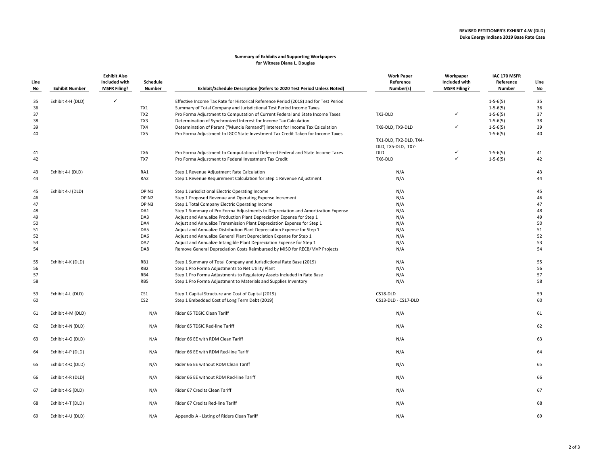#### **Summary of Exhibits and Supporting Workpapers for Witness Diana L. Douglas**

| Line<br>No | <b>Exhibit Number</b> | <b>Exhibit Also</b><br>Included with<br><b>MSFR Filing?</b> | Schedule<br>Number | Exhibit/Schedule Description (Refers to 2020 Test Period Unless Noted)               | <b>Work Paper</b><br>Reference<br>Number(s)  | Workpaper<br>Included with<br><b>MSFR Filing?</b> | IAC 170 MSFR<br>Reference<br><b>Number</b> | Line<br>No |
|------------|-----------------------|-------------------------------------------------------------|--------------------|--------------------------------------------------------------------------------------|----------------------------------------------|---------------------------------------------------|--------------------------------------------|------------|
| 35         | Exhibit 4-H (DLD)     | $\checkmark$                                                |                    | Effective Income Tax Rate for Historical Reference Period (2018) and for Test Period |                                              |                                                   | $1 - 5 - 6(5)$                             | 35         |
| 36         |                       |                                                             | TX1                | Summary of Total Company and Jurisdictional Test Period Income Taxes                 |                                              |                                                   | $1 - 5 - 6(5)$                             | 36         |
| 37         |                       |                                                             | TX <sub>2</sub>    | Pro Forma Adjustment to Computation of Current Federal and State Income Taxes        | TX3-DLD                                      | ✓                                                 | $1 - 5 - 6(5)$                             | 37         |
| 38         |                       |                                                             | TX3                | Determination of Synchronized Interest for Income Tax Calculation                    |                                              |                                                   | $1 - 5 - 6(5)$                             | 38         |
| 39         |                       |                                                             | TX4                | Determination of Parent ("Muncie Remand") Interest for Income Tax Calculation        | TX8-DLD, TX9-DLD                             | ✓                                                 | $1 - 5 - 6(5)$                             | 39         |
| 40         |                       |                                                             | TX5                | Pro Forma Adjustment to IGCC State Investment Tax Credit Taken for Income Taxes      |                                              |                                                   | $1 - 5 - 6(5)$                             | 40         |
|            |                       |                                                             |                    |                                                                                      | TX1-DLD, TX2-DLD, TX4-<br>DLD, TX5-DLD, TX7- |                                                   |                                            |            |
| 41         |                       |                                                             | TX6                | Pro Forma Adjustment to Computation of Deferred Federal and State Income Taxes       | <b>DLD</b>                                   |                                                   | $1 - 5 - 6(5)$                             | 41         |
| 42         |                       |                                                             | TX7                | Pro Forma Adjustment to Federal Investment Tax Credit                                | TX6-DLD                                      |                                                   | $1 - 5 - 6(5)$                             | 42         |
| 43         | Exhibit 4-I (DLD)     |                                                             | RA1                | Step 1 Revenue Adjustment Rate Calculation                                           | N/A                                          |                                                   |                                            | 43         |
| 44         |                       |                                                             | RA <sub>2</sub>    | Step 1 Revenue Requirement Calculation for Step 1 Revenue Adjustment                 | N/A                                          |                                                   |                                            | 44         |
| 45         | Exhibit 4-J (DLD)     |                                                             | OPIN1              | Step 1 Jurisdictional Electric Operating Income                                      | N/A                                          |                                                   |                                            | 45         |
| 46         |                       |                                                             | OPIN2              | Step 1 Proposed Revenue and Operating Expense Increment                              | N/A                                          |                                                   |                                            | 46         |
| 47         |                       |                                                             | OPIN3              | Step 1 Total Company Electric Operating Income                                       | N/A                                          |                                                   |                                            | 47         |
| 48         |                       |                                                             | DA1                | Step 1 Summary of Pro Forma Adjustments to Depreciation and Amortization Expense     | N/A                                          |                                                   |                                            | 48         |
| 49         |                       |                                                             | DA3                | Adjust and Annualize Production Plant Depreciation Expense for Step 1                | N/A                                          |                                                   |                                            | 49         |
| 50         |                       |                                                             | DA4                | Adjust and Annualize Transmission Plant Depreciation Expense for Step 1              | N/A                                          |                                                   |                                            | 50         |
| 51         |                       |                                                             | DA5                | Adjust and Annualize Distribution Plant Depreciation Expense for Step 1              | N/A                                          |                                                   |                                            | 51         |
| 52         |                       |                                                             | DA6                | Adjust and Annualize General Plant Depreciation Expense for Step 1                   | N/A                                          |                                                   |                                            | 52         |
| 53         |                       |                                                             | DA7                | Adjust and Annualize Intangible Plant Depreciation Expense for Step 1                | N/A                                          |                                                   |                                            | 53         |
| 54         |                       |                                                             | DA8                | Remove General Depreciation Costs Reimbursed by MISO for RECB/MVP Projects           | N/A                                          |                                                   |                                            | 54         |
| 55         | Exhibit 4-K (DLD)     |                                                             | RB1                | Step 1 Summary of Total Company and Jurisdictional Rate Base (2019)                  | N/A                                          |                                                   |                                            | 55         |
| 56         |                       |                                                             | RB <sub>2</sub>    | Step 1 Pro Forma Adjustments to Net Utility Plant                                    | N/A                                          |                                                   |                                            | 56         |
| 57         |                       |                                                             | RB4                | Step 1 Pro Forma Adjustments to Regulatory Assets Included in Rate Base              | N/A                                          |                                                   |                                            | 57         |
| 58         |                       |                                                             | RB5                | Step 1 Pro Forma Adjustment to Materials and Supplies Inventory                      | N/A                                          |                                                   |                                            | 58         |
| 59         | Exhibit 4-L (DLD)     |                                                             | CS1                | Step 1 Capital Structure and Cost of Capital (2019)                                  | CS18-DLD                                     |                                                   |                                            | 59         |
| 60         |                       |                                                             | CS <sub>2</sub>    | Step 1 Embedded Cost of Long Term Debt (2019)                                        | CS13-DLD - CS17-DLD                          |                                                   |                                            | 60         |
| 61         | Exhibit 4-M (DLD)     |                                                             | N/A                | Rider 65 TDSIC Clean Tariff                                                          | N/A                                          |                                                   |                                            | 61         |
| 62         | Exhibit 4-N (DLD)     |                                                             | N/A                | Rider 65 TDSIC Red-line Tariff                                                       | N/A                                          |                                                   |                                            | 62         |
| 63         | Exhibit 4-O (DLD)     |                                                             | N/A                | Rider 66 EE with RDM Clean Tariff                                                    | N/A                                          |                                                   |                                            | 63         |
| 64         | Exhibit 4-P (DLD)     |                                                             | N/A                | Rider 66 EE with RDM Red-line Tariff                                                 | N/A                                          |                                                   |                                            | 64         |
| 65         | Exhibit 4-Q (DLD)     |                                                             | N/A                | Rider 66 EE without RDM Clean Tariff                                                 | N/A                                          |                                                   |                                            | 65         |
| 66         | Exhibit 4-R (DLD)     |                                                             | N/A                | Rider 66 EE without RDM Red-line Tariff                                              | N/A                                          |                                                   |                                            | 66         |
| 67         | Exhibit 4-S (DLD)     |                                                             | N/A                | Rider 67 Credits Clean Tariff                                                        | N/A                                          |                                                   |                                            | 67         |
| 68         | Exhibit 4-T (DLD)     |                                                             | N/A                | Rider 67 Credits Red-line Tariff                                                     | N/A                                          |                                                   |                                            | 68         |
| 69         | Exhibit 4-U (DLD)     |                                                             | N/A                | Appendix A - Listing of Riders Clean Tariff                                          | N/A                                          |                                                   |                                            | 69         |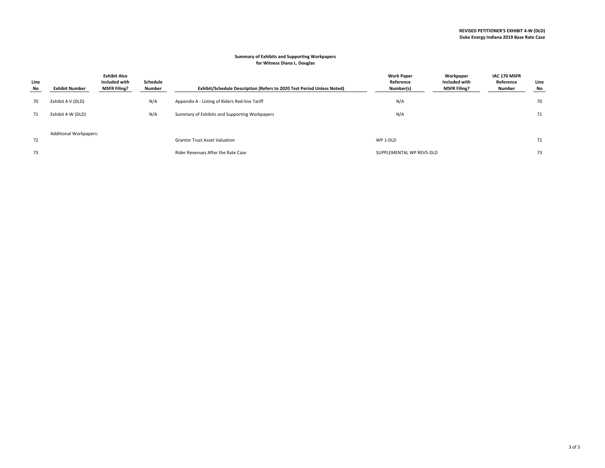#### **Summary of Exhibits and Supporting Workpapers for Witness Diana L. Douglas**

| Line<br>No | <b>Exhibit Number</b>         | <b>Exhibit Also</b><br>Included with<br><b>MSFR Filing?</b> | Schedule<br>Number | Exhibit/Schedule Description (Refers to 2020 Test Period Unless Noted) | <b>Work Paper</b><br>Reference<br>Number(s) | Workpaper<br>Included with<br><b>MSFR Filing?</b> | IAC 170 MSFR<br>Reference<br>Number | Line<br>No |
|------------|-------------------------------|-------------------------------------------------------------|--------------------|------------------------------------------------------------------------|---------------------------------------------|---------------------------------------------------|-------------------------------------|------------|
| 70         | Exhibit 4-V (DLD)             |                                                             | N/A                | Appendix A - Listing of Riders Red-line Tariff                         | N/A                                         |                                                   |                                     | 70         |
| 71         | Exhibit 4-W (DLD)             |                                                             | N/A                | Summary of Exhibits and Supporting Workpapers                          | N/A                                         |                                                   |                                     | 71         |
|            | <b>Additional Workpapers:</b> |                                                             |                    |                                                                        |                                             |                                                   |                                     |            |
| 72         |                               |                                                             |                    | <b>Grantor Trust Asset Valuation</b>                                   | WP 1-DLD                                    |                                                   |                                     | 72         |
| 73         |                               |                                                             |                    | Rider Revenues After the Rate Case                                     | SUPPLEMENTAL WP REV5-DLD                    |                                                   |                                     | 73         |